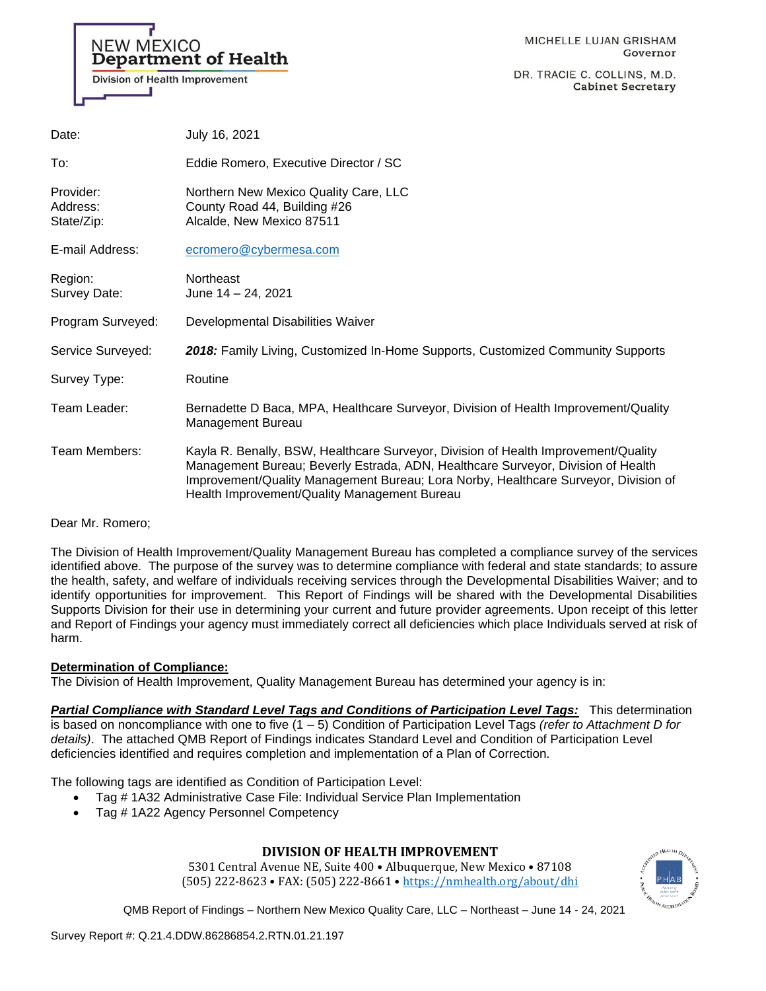# **NEW MEXICO Department of Health Division of Health Improvement**

DR. TRACIE C. COLLINS, M.D. **Cabinet Secretary** 

| Date:                               | July 16, 2021                                                                                                                                                                                                                                                                                                 |
|-------------------------------------|---------------------------------------------------------------------------------------------------------------------------------------------------------------------------------------------------------------------------------------------------------------------------------------------------------------|
| To:                                 | Eddie Romero, Executive Director / SC                                                                                                                                                                                                                                                                         |
| Provider:<br>Address:<br>State/Zip: | Northern New Mexico Quality Care, LLC<br>County Road 44, Building #26<br>Alcalde, New Mexico 87511                                                                                                                                                                                                            |
| E-mail Address:                     | ecromero@cybermesa.com                                                                                                                                                                                                                                                                                        |
| Region:<br>Survey Date:             | Northeast<br>June $14 - 24$ , 2021                                                                                                                                                                                                                                                                            |
| Program Surveyed:                   | Developmental Disabilities Waiver                                                                                                                                                                                                                                                                             |
| Service Surveyed:                   | 2018: Family Living, Customized In-Home Supports, Customized Community Supports                                                                                                                                                                                                                               |
| Survey Type:                        | Routine                                                                                                                                                                                                                                                                                                       |
| Team Leader:                        | Bernadette D Baca, MPA, Healthcare Surveyor, Division of Health Improvement/Quality<br>Management Bureau                                                                                                                                                                                                      |
| Team Members:                       | Kayla R. Benally, BSW, Healthcare Surveyor, Division of Health Improvement/Quality<br>Management Bureau; Beverly Estrada, ADN, Healthcare Surveyor, Division of Health<br>Improvement/Quality Management Bureau; Lora Norby, Healthcare Surveyor, Division of<br>Health Improvement/Quality Management Bureau |

Dear Mr. Romero;

The Division of Health Improvement/Quality Management Bureau has completed a compliance survey of the services identified above. The purpose of the survey was to determine compliance with federal and state standards; to assure the health, safety, and welfare of individuals receiving services through the Developmental Disabilities Waiver; and to identify opportunities for improvement. This Report of Findings will be shared with the Developmental Disabilities Supports Division for their use in determining your current and future provider agreements. Upon receipt of this letter and Report of Findings your agency must immediately correct all deficiencies which place Individuals served at risk of harm.

# **Determination of Compliance:**

The Division of Health Improvement, Quality Management Bureau has determined your agency is in:

*Partial Compliance with Standard Level Tags and Conditions of Participation Level Tags:* This determination is based on noncompliance with one to five (1 – 5) Condition of Participation Level Tags *(refer to Attachment D for details)*. The attached QMB Report of Findings indicates Standard Level and Condition of Participation Level deficiencies identified and requires completion and implementation of a Plan of Correction.

The following tags are identified as Condition of Participation Level:

- Tag # 1A32 Administrative Case File: Individual Service Plan Implementation
- Tag # 1A22 Agency Personnel Competency

# **DIVISION OF HEALTH IMPROVEMENT**

5301 Central Avenue NE, Suite 400 • Albuquerque, New Mexico • 87108 (505) 222-8623 • FAX: (505) 222-8661 • <https://nmhealth.org/about/dhi>

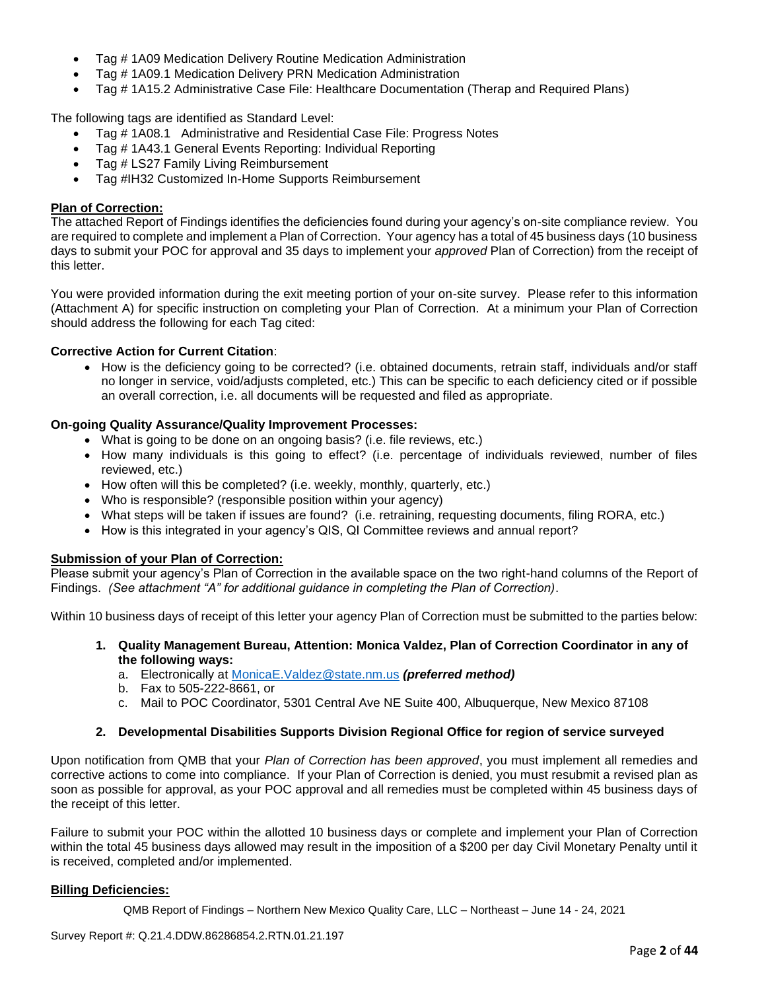- Tag # 1A09 Medication Delivery Routine Medication Administration
- Tag # 1A09.1 Medication Delivery PRN Medication Administration
- Tag # 1A15.2 Administrative Case File: Healthcare Documentation (Therap and Required Plans)

The following tags are identified as Standard Level:

- Tag # 1A08.1 Administrative and Residential Case File: Progress Notes
- Tag # 1A43.1 General Events Reporting: Individual Reporting
- Tag # LS27 Family Living Reimbursement
- Tag #IH32 Customized In-Home Supports Reimbursement

# **Plan of Correction:**

The attached Report of Findings identifies the deficiencies found during your agency's on-site compliance review. You are required to complete and implement a Plan of Correction. Your agency has a total of 45 business days (10 business days to submit your POC for approval and 35 days to implement your *approved* Plan of Correction) from the receipt of this letter.

You were provided information during the exit meeting portion of your on-site survey. Please refer to this information (Attachment A) for specific instruction on completing your Plan of Correction. At a minimum your Plan of Correction should address the following for each Tag cited:

# **Corrective Action for Current Citation**:

• How is the deficiency going to be corrected? (i.e. obtained documents, retrain staff, individuals and/or staff no longer in service, void/adjusts completed, etc.) This can be specific to each deficiency cited or if possible an overall correction, i.e. all documents will be requested and filed as appropriate.

# **On-going Quality Assurance/Quality Improvement Processes:**

- What is going to be done on an ongoing basis? (i.e. file reviews, etc.)
- How many individuals is this going to effect? (i.e. percentage of individuals reviewed, number of files reviewed, etc.)
- How often will this be completed? (i.e. weekly, monthly, quarterly, etc.)
- Who is responsible? (responsible position within your agency)
- What steps will be taken if issues are found? (i.e. retraining, requesting documents, filing RORA, etc.)
- How is this integrated in your agency's QIS, QI Committee reviews and annual report?

# **Submission of your Plan of Correction:**

Please submit your agency's Plan of Correction in the available space on the two right-hand columns of the Report of Findings. *(See attachment "A" for additional guidance in completing the Plan of Correction)*.

Within 10 business days of receipt of this letter your agency Plan of Correction must be submitted to the parties below:

- **1. Quality Management Bureau, Attention: Monica Valdez, Plan of Correction Coordinator in any of the following ways:**
	- a. Electronically at [MonicaE.Valdez@state.nm.us](mailto:MonicaE.Valdez@state.nm.us) *(preferred method)*
	- b. Fax to 505-222-8661, or
	- c. Mail to POC Coordinator, 5301 Central Ave NE Suite 400, Albuquerque, New Mexico 87108

#### **2. Developmental Disabilities Supports Division Regional Office for region of service surveyed**

Upon notification from QMB that your *Plan of Correction has been approved*, you must implement all remedies and corrective actions to come into compliance. If your Plan of Correction is denied, you must resubmit a revised plan as soon as possible for approval, as your POC approval and all remedies must be completed within 45 business days of the receipt of this letter.

Failure to submit your POC within the allotted 10 business days or complete and implement your Plan of Correction within the total 45 business days allowed may result in the imposition of a \$200 per day Civil Monetary Penalty until it is received, completed and/or implemented.

# **Billing Deficiencies:**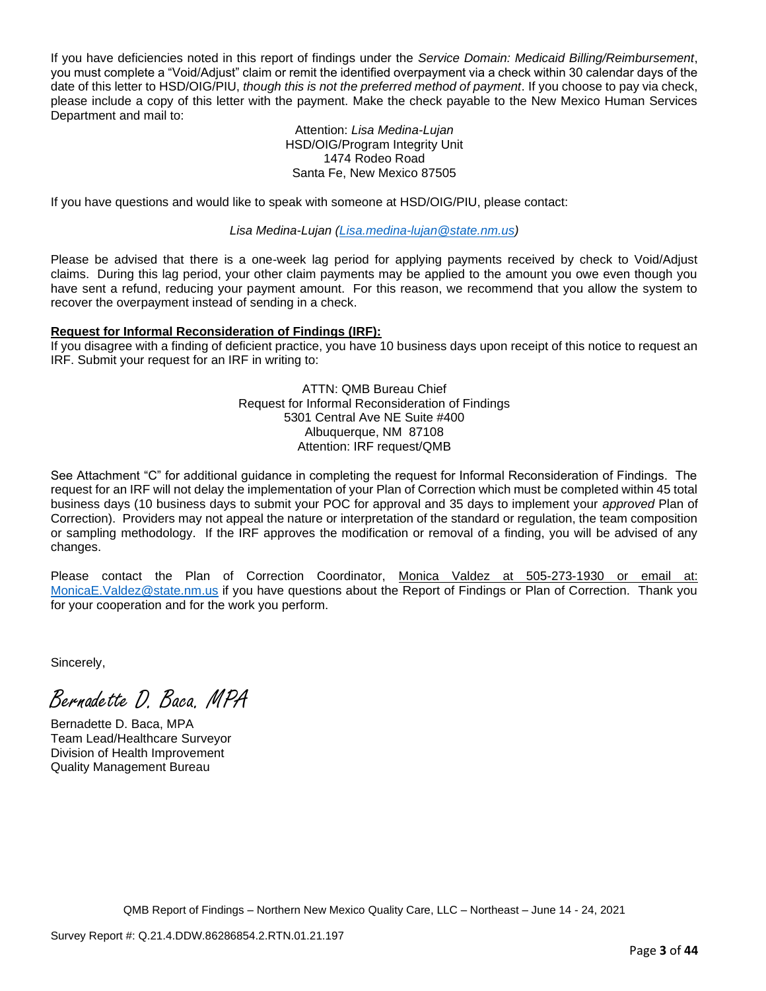If you have deficiencies noted in this report of findings under the *Service Domain: Medicaid Billing/Reimbursement*, you must complete a "Void/Adjust" claim or remit the identified overpayment via a check within 30 calendar days of the date of this letter to HSD/OIG/PIU, *though this is not the preferred method of payment*. If you choose to pay via check, please include a copy of this letter with the payment. Make the check payable to the New Mexico Human Services Department and mail to:

#### Attention: *Lisa Medina-Lujan* HSD/OIG/Program Integrity Unit 1474 Rodeo Road Santa Fe, New Mexico 87505

If you have questions and would like to speak with someone at HSD/OIG/PIU, please contact:

*Lisa Medina-Lujan [\(Lisa.medina-lujan@state.nm.us\)](mailto:Lisa.medina-lujan@state.nm.us)*

Please be advised that there is a one-week lag period for applying payments received by check to Void/Adjust claims. During this lag period, your other claim payments may be applied to the amount you owe even though you have sent a refund, reducing your payment amount. For this reason, we recommend that you allow the system to recover the overpayment instead of sending in a check.

#### **Request for Informal Reconsideration of Findings (IRF):**

If you disagree with a finding of deficient practice, you have 10 business days upon receipt of this notice to request an IRF. Submit your request for an IRF in writing to:

> ATTN: QMB Bureau Chief Request for Informal Reconsideration of Findings 5301 Central Ave NE Suite #400 Albuquerque, NM 87108 Attention: IRF request/QMB

See Attachment "C" for additional guidance in completing the request for Informal Reconsideration of Findings. The request for an IRF will not delay the implementation of your Plan of Correction which must be completed within 45 total business days (10 business days to submit your POC for approval and 35 days to implement your *approved* Plan of Correction). Providers may not appeal the nature or interpretation of the standard or regulation, the team composition or sampling methodology. If the IRF approves the modification or removal of a finding, you will be advised of any changes.

Please contact the Plan of Correction Coordinator, Monica Valdez at 505-273-1930 or email at: [MonicaE.Valdez@state.nm.us](mailto:MonicaE.Valdez@state.nm.us) if you have questions about the Report of Findings or Plan of Correction. Thank you for your cooperation and for the work you perform.

Sincerely,

Bernadette D. Baca. MPA

Bernadette D. Baca, MPA Team Lead/Healthcare Surveyor Division of Health Improvement Quality Management Bureau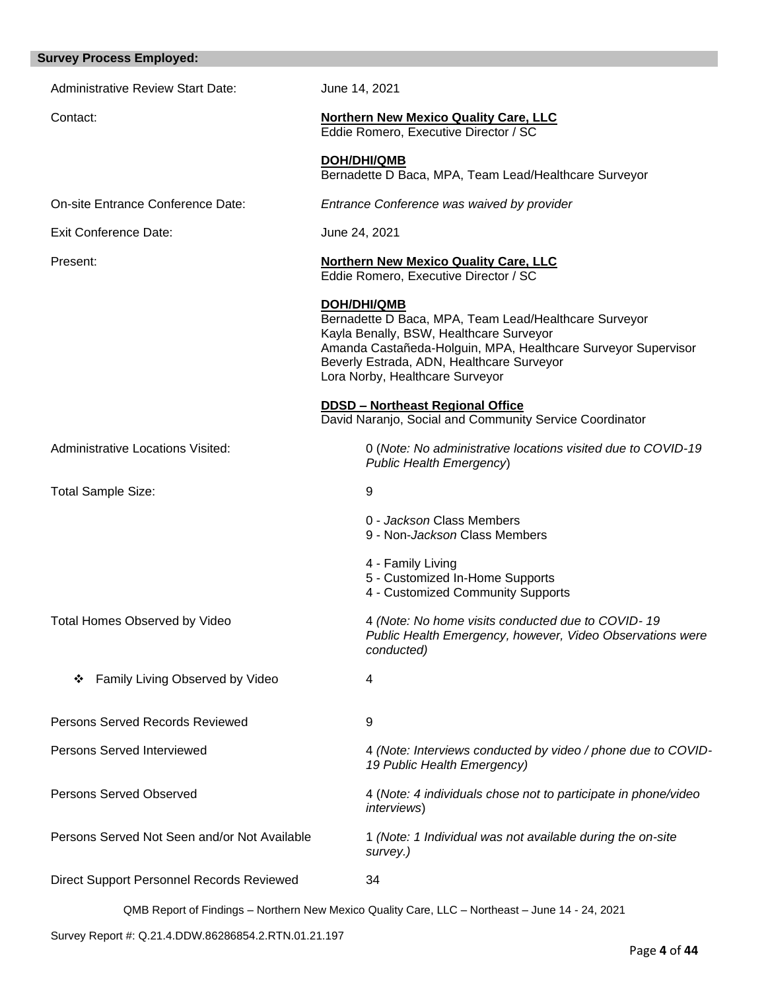| <b>Survey Process Employed:</b>              |                                                                                                                                                                                                                                                                  |
|----------------------------------------------|------------------------------------------------------------------------------------------------------------------------------------------------------------------------------------------------------------------------------------------------------------------|
| <b>Administrative Review Start Date:</b>     | June 14, 2021                                                                                                                                                                                                                                                    |
| Contact:                                     | <b>Northern New Mexico Quality Care, LLC</b><br>Eddie Romero, Executive Director / SC                                                                                                                                                                            |
|                                              | <b>DOH/DHI/QMB</b><br>Bernadette D Baca, MPA, Team Lead/Healthcare Surveyor                                                                                                                                                                                      |
| On-site Entrance Conference Date:            | Entrance Conference was waived by provider                                                                                                                                                                                                                       |
| <b>Exit Conference Date:</b>                 | June 24, 2021                                                                                                                                                                                                                                                    |
| Present:                                     | <b>Northern New Mexico Quality Care, LLC</b><br>Eddie Romero, Executive Director / SC                                                                                                                                                                            |
|                                              | DOH/DHI/QMB<br>Bernadette D Baca, MPA, Team Lead/Healthcare Surveyor<br>Kayla Benally, BSW, Healthcare Surveyor<br>Amanda Castañeda-Holguin, MPA, Healthcare Surveyor Supervisor<br>Beverly Estrada, ADN, Healthcare Surveyor<br>Lora Norby, Healthcare Surveyor |
|                                              | <b>DDSD - Northeast Regional Office</b><br>David Naranjo, Social and Community Service Coordinator                                                                                                                                                               |
| <b>Administrative Locations Visited:</b>     | 0 (Note: No administrative locations visited due to COVID-19<br>Public Health Emergency)                                                                                                                                                                         |
| <b>Total Sample Size:</b>                    | 9                                                                                                                                                                                                                                                                |
|                                              | 0 - Jackson Class Members<br>9 - Non-Jackson Class Members                                                                                                                                                                                                       |
|                                              | 4 - Family Living<br>5 - Customized In-Home Supports<br>4 - Customized Community Supports                                                                                                                                                                        |
| <b>Total Homes Observed by Video</b>         | 4 (Note: No home visits conducted due to COVID-19<br>Public Health Emergency, however, Video Observations were<br>conducted)                                                                                                                                     |
| Family Living Observed by Video<br>❖         | 4                                                                                                                                                                                                                                                                |
| <b>Persons Served Records Reviewed</b>       | 9                                                                                                                                                                                                                                                                |
| <b>Persons Served Interviewed</b>            | 4 (Note: Interviews conducted by video / phone due to COVID-<br>19 Public Health Emergency)                                                                                                                                                                      |
| <b>Persons Served Observed</b>               | 4 (Note: 4 individuals chose not to participate in phone/video<br><i>interviews</i> )                                                                                                                                                                            |
| Persons Served Not Seen and/or Not Available | 1 (Note: 1 Individual was not available during the on-site<br>survey.)                                                                                                                                                                                           |
| Direct Support Personnel Records Reviewed    | 34                                                                                                                                                                                                                                                               |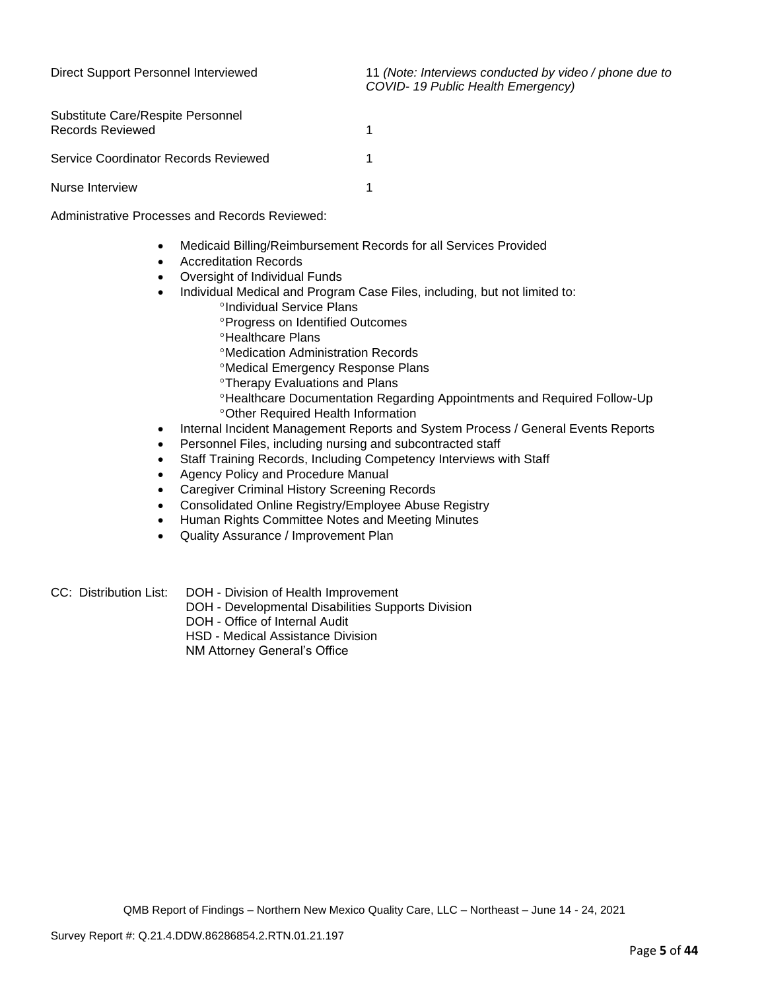| Substitute Care/Respite Personnel<br><b>Records Reviewed</b> |  |
|--------------------------------------------------------------|--|
| Service Coordinator Records Reviewed                         |  |
| Nurse Interview                                              |  |

Administrative Processes and Records Reviewed:

- Medicaid Billing/Reimbursement Records for all Services Provided
- Accreditation Records
- Oversight of Individual Funds
- Individual Medical and Program Case Files, including, but not limited to:
	- <sup>o</sup>Individual Service Plans
	- Progress on Identified Outcomes
	- **<sup>o</sup>Healthcare Plans**
	- Medication Administration Records
	- Medical Emergency Response Plans
	- **<sup>o</sup>Therapy Evaluations and Plans**
	- Healthcare Documentation Regarding Appointments and Required Follow-Up Other Required Health Information
- Internal Incident Management Reports and System Process / General Events Reports
- Personnel Files, including nursing and subcontracted staff
- Staff Training Records, Including Competency Interviews with Staff
- Agency Policy and Procedure Manual
- Caregiver Criminal History Screening Records
- Consolidated Online Registry/Employee Abuse Registry
- Human Rights Committee Notes and Meeting Minutes
- Quality Assurance / Improvement Plan
- CC: Distribution List: DOH Division of Health Improvement
	- DOH Developmental Disabilities Supports Division
	- DOH Office of Internal Audit
	- HSD Medical Assistance Division

NM Attorney General's Office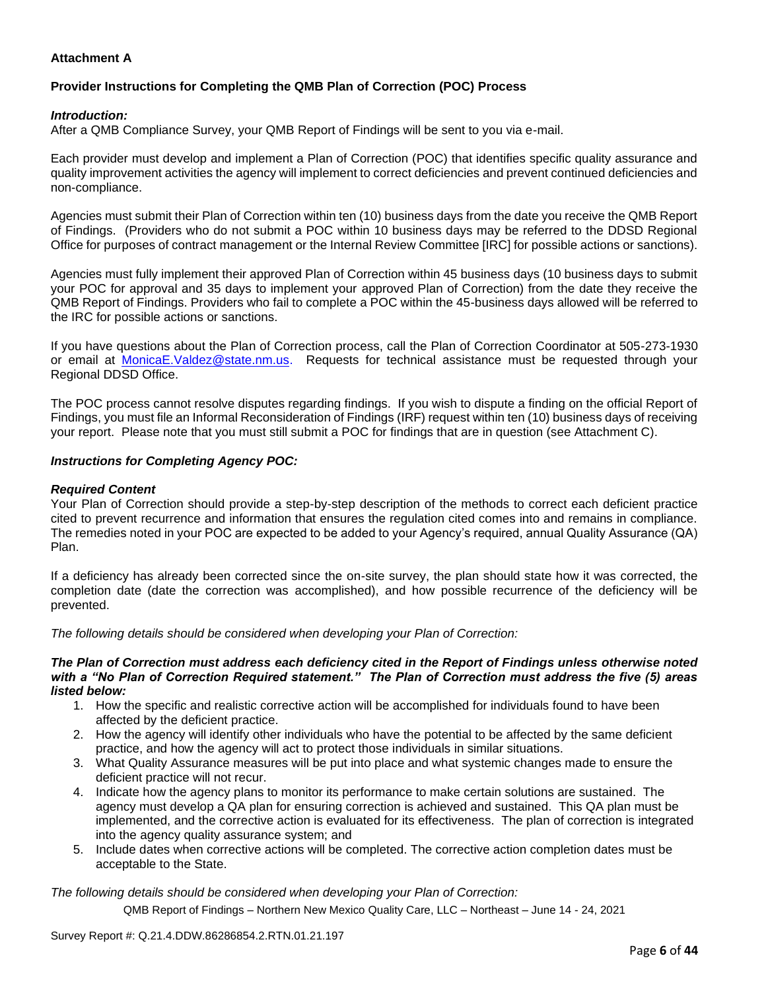# **Attachment A**

# **Provider Instructions for Completing the QMB Plan of Correction (POC) Process**

# *Introduction:*

After a QMB Compliance Survey, your QMB Report of Findings will be sent to you via e-mail.

Each provider must develop and implement a Plan of Correction (POC) that identifies specific quality assurance and quality improvement activities the agency will implement to correct deficiencies and prevent continued deficiencies and non-compliance.

Agencies must submit their Plan of Correction within ten (10) business days from the date you receive the QMB Report of Findings. (Providers who do not submit a POC within 10 business days may be referred to the DDSD Regional Office for purposes of contract management or the Internal Review Committee [IRC] for possible actions or sanctions).

Agencies must fully implement their approved Plan of Correction within 45 business days (10 business days to submit your POC for approval and 35 days to implement your approved Plan of Correction) from the date they receive the QMB Report of Findings. Providers who fail to complete a POC within the 45-business days allowed will be referred to the IRC for possible actions or sanctions.

If you have questions about the Plan of Correction process, call the Plan of Correction Coordinator at 505-273-1930 or email at [MonicaE.Valdez@state.nm.us.](mailto:MonicaE.Valdez@state.nm.us) Requests for technical assistance must be requested through your Regional DDSD Office.

The POC process cannot resolve disputes regarding findings. If you wish to dispute a finding on the official Report of Findings, you must file an Informal Reconsideration of Findings (IRF) request within ten (10) business days of receiving your report. Please note that you must still submit a POC for findings that are in question (see Attachment C).

#### *Instructions for Completing Agency POC:*

### *Required Content*

Your Plan of Correction should provide a step-by-step description of the methods to correct each deficient practice cited to prevent recurrence and information that ensures the regulation cited comes into and remains in compliance. The remedies noted in your POC are expected to be added to your Agency's required, annual Quality Assurance (QA) Plan.

If a deficiency has already been corrected since the on-site survey, the plan should state how it was corrected, the completion date (date the correction was accomplished), and how possible recurrence of the deficiency will be prevented.

*The following details should be considered when developing your Plan of Correction:*

#### *The Plan of Correction must address each deficiency cited in the Report of Findings unless otherwise noted with a "No Plan of Correction Required statement." The Plan of Correction must address the five (5) areas listed below:*

- 1. How the specific and realistic corrective action will be accomplished for individuals found to have been affected by the deficient practice.
- 2. How the agency will identify other individuals who have the potential to be affected by the same deficient practice, and how the agency will act to protect those individuals in similar situations.
- 3. What Quality Assurance measures will be put into place and what systemic changes made to ensure the deficient practice will not recur.
- 4. Indicate how the agency plans to monitor its performance to make certain solutions are sustained. The agency must develop a QA plan for ensuring correction is achieved and sustained. This QA plan must be implemented, and the corrective action is evaluated for its effectiveness. The plan of correction is integrated into the agency quality assurance system; and
- 5. Include dates when corrective actions will be completed. The corrective action completion dates must be acceptable to the State.

*The following details should be considered when developing your Plan of Correction:*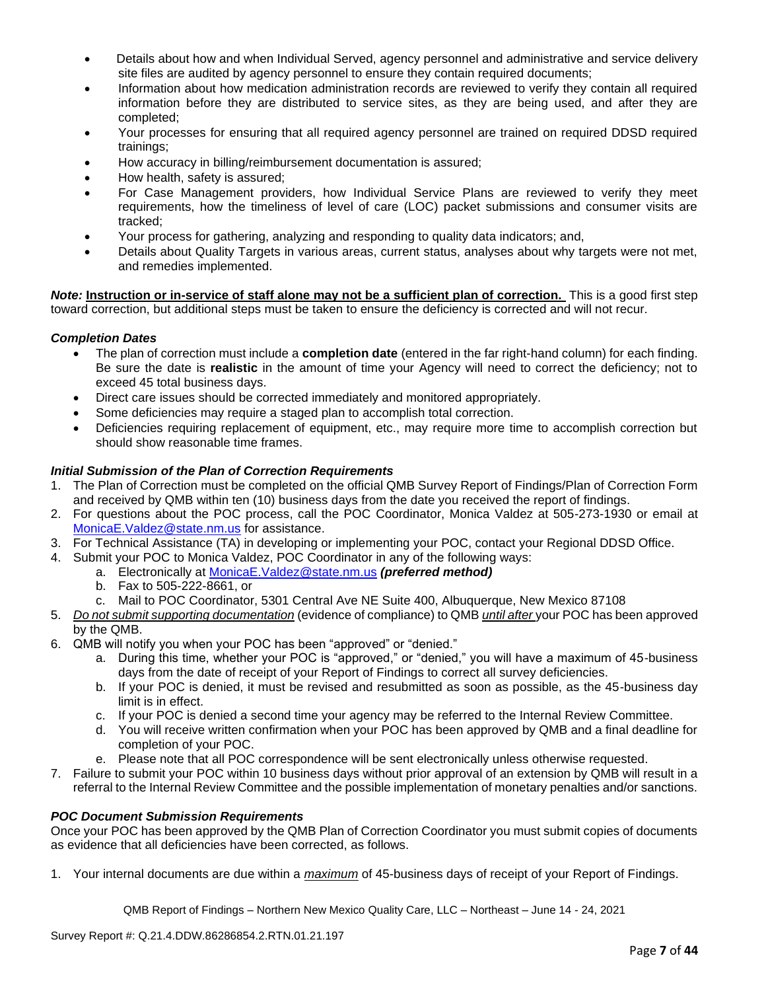- Details about how and when Individual Served, agency personnel and administrative and service delivery site files are audited by agency personnel to ensure they contain required documents;
- Information about how medication administration records are reviewed to verify they contain all required information before they are distributed to service sites, as they are being used, and after they are completed;
- Your processes for ensuring that all required agency personnel are trained on required DDSD required trainings;
- How accuracy in billing/reimbursement documentation is assured;
- How health, safety is assured;
- For Case Management providers, how Individual Service Plans are reviewed to verify they meet requirements, how the timeliness of level of care (LOC) packet submissions and consumer visits are tracked;
- Your process for gathering, analyzing and responding to quality data indicators; and,
- Details about Quality Targets in various areas, current status, analyses about why targets were not met, and remedies implemented.

*Note:* **Instruction or in-service of staff alone may not be a sufficient plan of correction.** This is a good first step toward correction, but additional steps must be taken to ensure the deficiency is corrected and will not recur.

#### *Completion Dates*

- The plan of correction must include a **completion date** (entered in the far right-hand column) for each finding. Be sure the date is **realistic** in the amount of time your Agency will need to correct the deficiency; not to exceed 45 total business days.
- Direct care issues should be corrected immediately and monitored appropriately.
- Some deficiencies may require a staged plan to accomplish total correction.
- Deficiencies requiring replacement of equipment, etc., may require more time to accomplish correction but should show reasonable time frames.

# *Initial Submission of the Plan of Correction Requirements*

- 1. The Plan of Correction must be completed on the official QMB Survey Report of Findings/Plan of Correction Form and received by QMB within ten (10) business days from the date you received the report of findings.
- 2. For questions about the POC process, call the POC Coordinator, Monica Valdez at 505-273-1930 or email at [MonicaE.Valdez@state.nm.us](mailto:MonicaE.Valdez@state.nm.us) for assistance.
- 3. For Technical Assistance (TA) in developing or implementing your POC, contact your Regional DDSD Office.
- 4. Submit your POC to Monica Valdez, POC Coordinator in any of the following ways:
	- a. Electronically at [MonicaE.Valdez@state.nm.us](mailto:MonicaE.Valdez@state.nm.us) *(preferred method)*
		- b. Fax to 505-222-8661, or
		- c. Mail to POC Coordinator, 5301 Central Ave NE Suite 400, Albuquerque, New Mexico 87108
- 5. *Do not submit supporting documentation* (evidence of compliance) to QMB *until after* your POC has been approved by the QMB.
- 6. QMB will notify you when your POC has been "approved" or "denied."
	- a. During this time, whether your POC is "approved," or "denied," you will have a maximum of 45-business days from the date of receipt of your Report of Findings to correct all survey deficiencies.
	- b. If your POC is denied, it must be revised and resubmitted as soon as possible, as the 45-business day limit is in effect.
	- c. If your POC is denied a second time your agency may be referred to the Internal Review Committee.
	- d. You will receive written confirmation when your POC has been approved by QMB and a final deadline for completion of your POC.
	- e. Please note that all POC correspondence will be sent electronically unless otherwise requested.
- 7. Failure to submit your POC within 10 business days without prior approval of an extension by QMB will result in a referral to the Internal Review Committee and the possible implementation of monetary penalties and/or sanctions.

#### *POC Document Submission Requirements*

Once your POC has been approved by the QMB Plan of Correction Coordinator you must submit copies of documents as evidence that all deficiencies have been corrected, as follows.

1. Your internal documents are due within a *maximum* of 45-business days of receipt of your Report of Findings.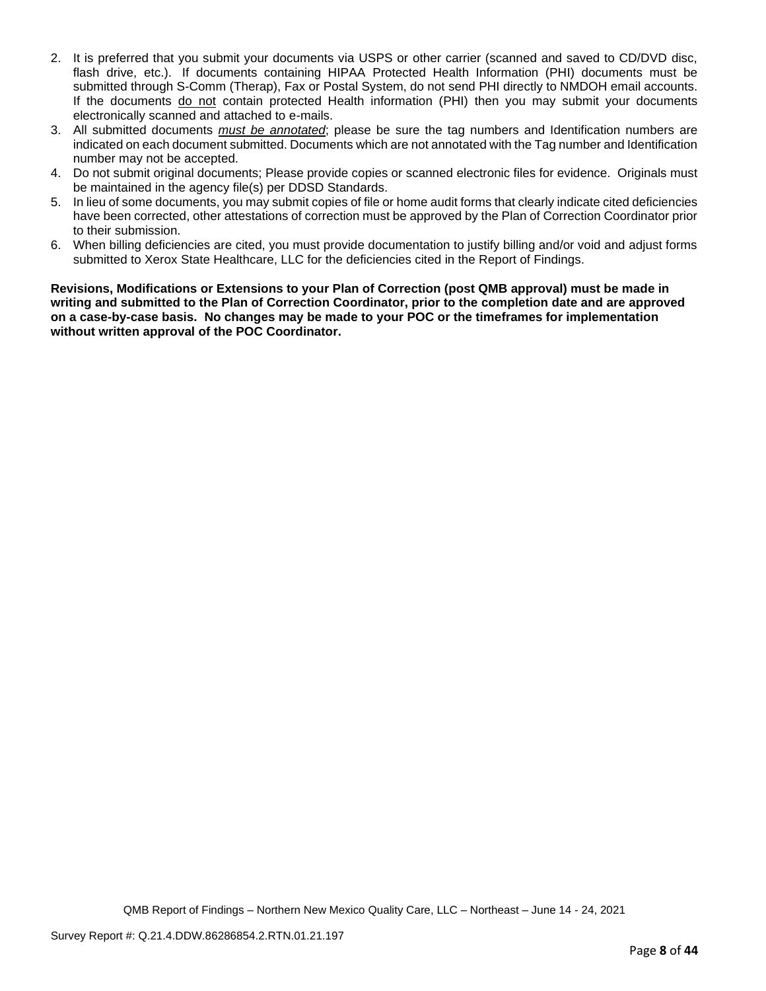- 2. It is preferred that you submit your documents via USPS or other carrier (scanned and saved to CD/DVD disc, flash drive, etc.). If documents containing HIPAA Protected Health Information (PHI) documents must be submitted through S-Comm (Therap), Fax or Postal System, do not send PHI directly to NMDOH email accounts. If the documents do not contain protected Health information (PHI) then you may submit your documents electronically scanned and attached to e-mails.
- 3. All submitted documents *must be annotated*; please be sure the tag numbers and Identification numbers are indicated on each document submitted. Documents which are not annotated with the Tag number and Identification number may not be accepted.
- 4. Do not submit original documents; Please provide copies or scanned electronic files for evidence. Originals must be maintained in the agency file(s) per DDSD Standards.
- 5. In lieu of some documents, you may submit copies of file or home audit forms that clearly indicate cited deficiencies have been corrected, other attestations of correction must be approved by the Plan of Correction Coordinator prior to their submission.
- 6. When billing deficiencies are cited, you must provide documentation to justify billing and/or void and adjust forms submitted to Xerox State Healthcare, LLC for the deficiencies cited in the Report of Findings.

**Revisions, Modifications or Extensions to your Plan of Correction (post QMB approval) must be made in writing and submitted to the Plan of Correction Coordinator, prior to the completion date and are approved on a case-by-case basis. No changes may be made to your POC or the timeframes for implementation without written approval of the POC Coordinator.**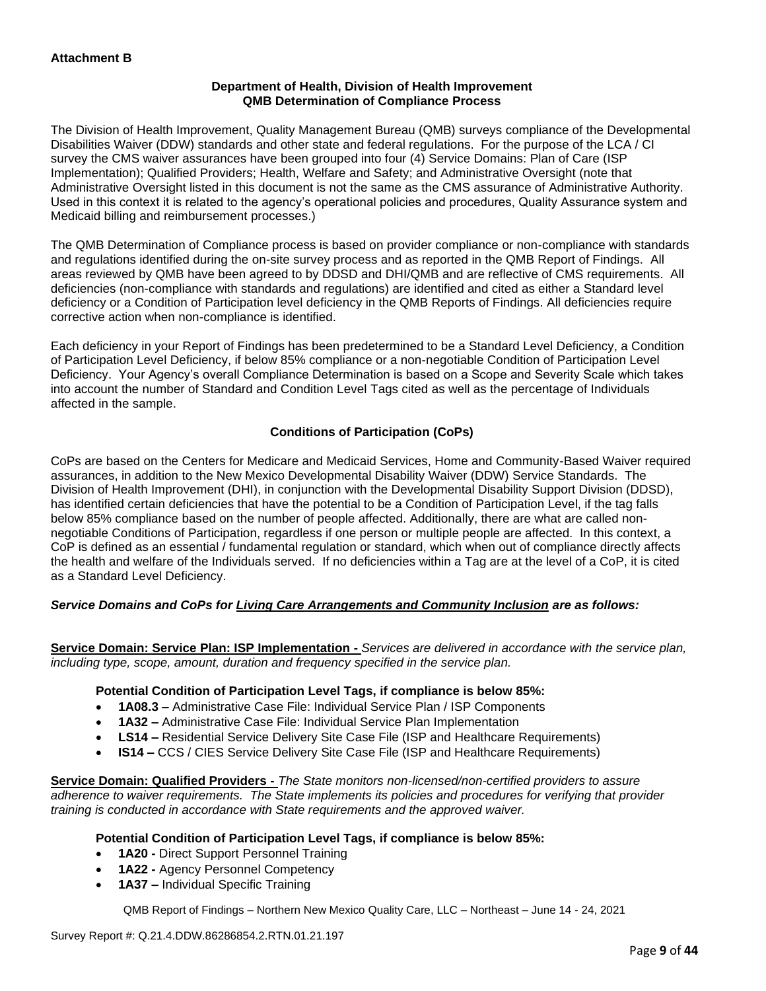# **Department of Health, Division of Health Improvement QMB Determination of Compliance Process**

The Division of Health Improvement, Quality Management Bureau (QMB) surveys compliance of the Developmental Disabilities Waiver (DDW) standards and other state and federal regulations. For the purpose of the LCA / CI survey the CMS waiver assurances have been grouped into four (4) Service Domains: Plan of Care (ISP Implementation); Qualified Providers; Health, Welfare and Safety; and Administrative Oversight (note that Administrative Oversight listed in this document is not the same as the CMS assurance of Administrative Authority. Used in this context it is related to the agency's operational policies and procedures, Quality Assurance system and Medicaid billing and reimbursement processes.)

The QMB Determination of Compliance process is based on provider compliance or non-compliance with standards and regulations identified during the on-site survey process and as reported in the QMB Report of Findings. All areas reviewed by QMB have been agreed to by DDSD and DHI/QMB and are reflective of CMS requirements. All deficiencies (non-compliance with standards and regulations) are identified and cited as either a Standard level deficiency or a Condition of Participation level deficiency in the QMB Reports of Findings. All deficiencies require corrective action when non-compliance is identified.

Each deficiency in your Report of Findings has been predetermined to be a Standard Level Deficiency, a Condition of Participation Level Deficiency, if below 85% compliance or a non-negotiable Condition of Participation Level Deficiency. Your Agency's overall Compliance Determination is based on a Scope and Severity Scale which takes into account the number of Standard and Condition Level Tags cited as well as the percentage of Individuals affected in the sample.

# **Conditions of Participation (CoPs)**

CoPs are based on the Centers for Medicare and Medicaid Services, Home and Community-Based Waiver required assurances, in addition to the New Mexico Developmental Disability Waiver (DDW) Service Standards. The Division of Health Improvement (DHI), in conjunction with the Developmental Disability Support Division (DDSD), has identified certain deficiencies that have the potential to be a Condition of Participation Level, if the tag falls below 85% compliance based on the number of people affected. Additionally, there are what are called nonnegotiable Conditions of Participation, regardless if one person or multiple people are affected. In this context, a CoP is defined as an essential / fundamental regulation or standard, which when out of compliance directly affects the health and welfare of the Individuals served. If no deficiencies within a Tag are at the level of a CoP, it is cited as a Standard Level Deficiency.

# *Service Domains and CoPs for Living Care Arrangements and Community Inclusion are as follows:*

**Service Domain: Service Plan: ISP Implementation -** *Services are delivered in accordance with the service plan, including type, scope, amount, duration and frequency specified in the service plan.*

#### **Potential Condition of Participation Level Tags, if compliance is below 85%:**

- **1A08.3 –** Administrative Case File: Individual Service Plan / ISP Components
- **1A32 –** Administrative Case File: Individual Service Plan Implementation
- **LS14 –** Residential Service Delivery Site Case File (ISP and Healthcare Requirements)
- **IS14 –** CCS / CIES Service Delivery Site Case File (ISP and Healthcare Requirements)

**Service Domain: Qualified Providers -** *The State monitors non-licensed/non-certified providers to assure adherence to waiver requirements. The State implements its policies and procedures for verifying that provider training is conducted in accordance with State requirements and the approved waiver.*

#### **Potential Condition of Participation Level Tags, if compliance is below 85%:**

- **1A20 -** Direct Support Personnel Training
- **1A22 -** Agency Personnel Competency
- **1A37 –** Individual Specific Training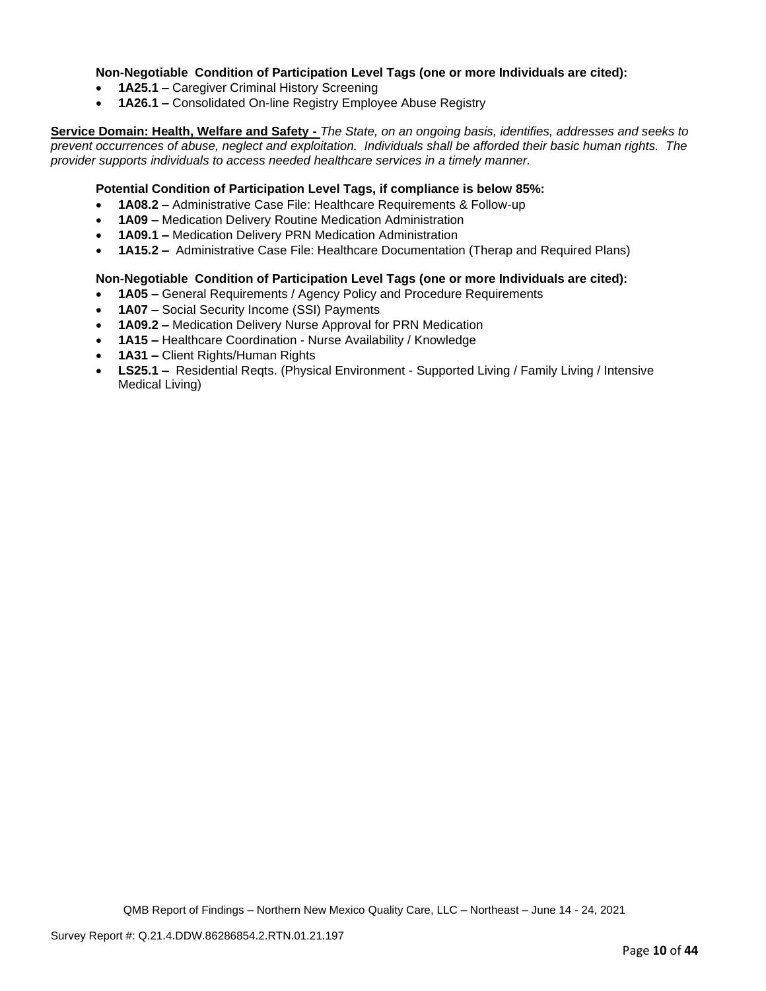### **Non-Negotiable Condition of Participation Level Tags (one or more Individuals are cited):**

- **1A25.1 –** Caregiver Criminal History Screening
- **1A26.1 –** Consolidated On-line Registry Employee Abuse Registry

**Service Domain: Health, Welfare and Safety -** *The State, on an ongoing basis, identifies, addresses and seeks to prevent occurrences of abuse, neglect and exploitation. Individuals shall be afforded their basic human rights. The provider supports individuals to access needed healthcare services in a timely manner.*

### **Potential Condition of Participation Level Tags, if compliance is below 85%:**

- **1A08.2 –** Administrative Case File: Healthcare Requirements & Follow-up
- **1A09 –** Medication Delivery Routine Medication Administration
- **1A09.1 –** Medication Delivery PRN Medication Administration
- **1A15.2 –** Administrative Case File: Healthcare Documentation (Therap and Required Plans)

#### **Non-Negotiable Condition of Participation Level Tags (one or more Individuals are cited):**

- **1A05 –** General Requirements / Agency Policy and Procedure Requirements
- **1A07 –** Social Security Income (SSI) Payments
- **1A09.2 –** Medication Delivery Nurse Approval for PRN Medication
- **1A15 –** Healthcare Coordination Nurse Availability / Knowledge
- **1A31 –** Client Rights/Human Rights
- **LS25.1 –** Residential Reqts. (Physical Environment Supported Living / Family Living / Intensive Medical Living)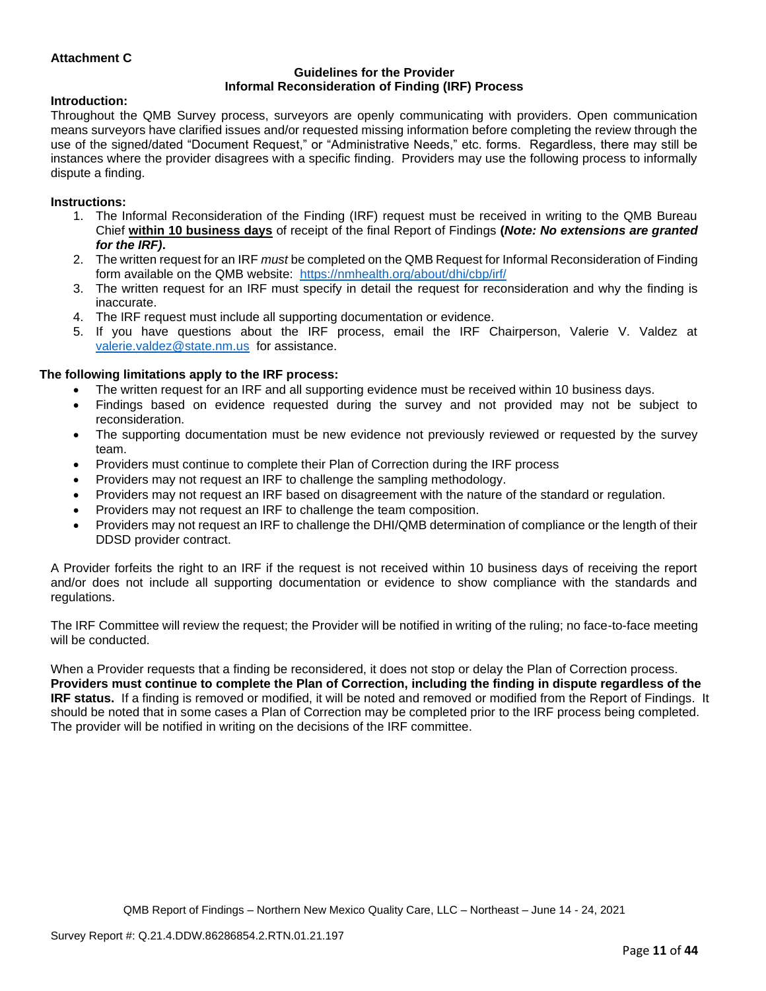# **Attachment C**

#### **Guidelines for the Provider Informal Reconsideration of Finding (IRF) Process**

#### **Introduction:**

Throughout the QMB Survey process, surveyors are openly communicating with providers. Open communication means surveyors have clarified issues and/or requested missing information before completing the review through the use of the signed/dated "Document Request," or "Administrative Needs," etc. forms. Regardless, there may still be instances where the provider disagrees with a specific finding. Providers may use the following process to informally dispute a finding.

#### **Instructions:**

- 1. The Informal Reconsideration of the Finding (IRF) request must be received in writing to the QMB Bureau Chief **within 10 business days** of receipt of the final Report of Findings **(***Note: No extensions are granted for the IRF)***.**
- 2. The written request for an IRF *must* be completed on the QMB Request for Informal Reconsideration of Finding form available on the QMB website: <https://nmhealth.org/about/dhi/cbp/irf/>
- 3. The written request for an IRF must specify in detail the request for reconsideration and why the finding is inaccurate.
- 4. The IRF request must include all supporting documentation or evidence.
- 5. If you have questions about the IRF process, email the IRF Chairperson, Valerie V. Valdez at [valerie.valdez@state.nm.us](mailto:valerie.valdez@state.nm.us) for assistance.

#### **The following limitations apply to the IRF process:**

- The written request for an IRF and all supporting evidence must be received within 10 business days.
- Findings based on evidence requested during the survey and not provided may not be subject to reconsideration.
- The supporting documentation must be new evidence not previously reviewed or requested by the survey team.
- Providers must continue to complete their Plan of Correction during the IRF process
- Providers may not request an IRF to challenge the sampling methodology.
- Providers may not request an IRF based on disagreement with the nature of the standard or regulation.
- Providers may not request an IRF to challenge the team composition.
- Providers may not request an IRF to challenge the DHI/QMB determination of compliance or the length of their DDSD provider contract.

A Provider forfeits the right to an IRF if the request is not received within 10 business days of receiving the report and/or does not include all supporting documentation or evidence to show compliance with the standards and regulations.

The IRF Committee will review the request; the Provider will be notified in writing of the ruling; no face-to-face meeting will be conducted.

When a Provider requests that a finding be reconsidered, it does not stop or delay the Plan of Correction process. **Providers must continue to complete the Plan of Correction, including the finding in dispute regardless of the IRF status.** If a finding is removed or modified, it will be noted and removed or modified from the Report of Findings. It should be noted that in some cases a Plan of Correction may be completed prior to the IRF process being completed. The provider will be notified in writing on the decisions of the IRF committee.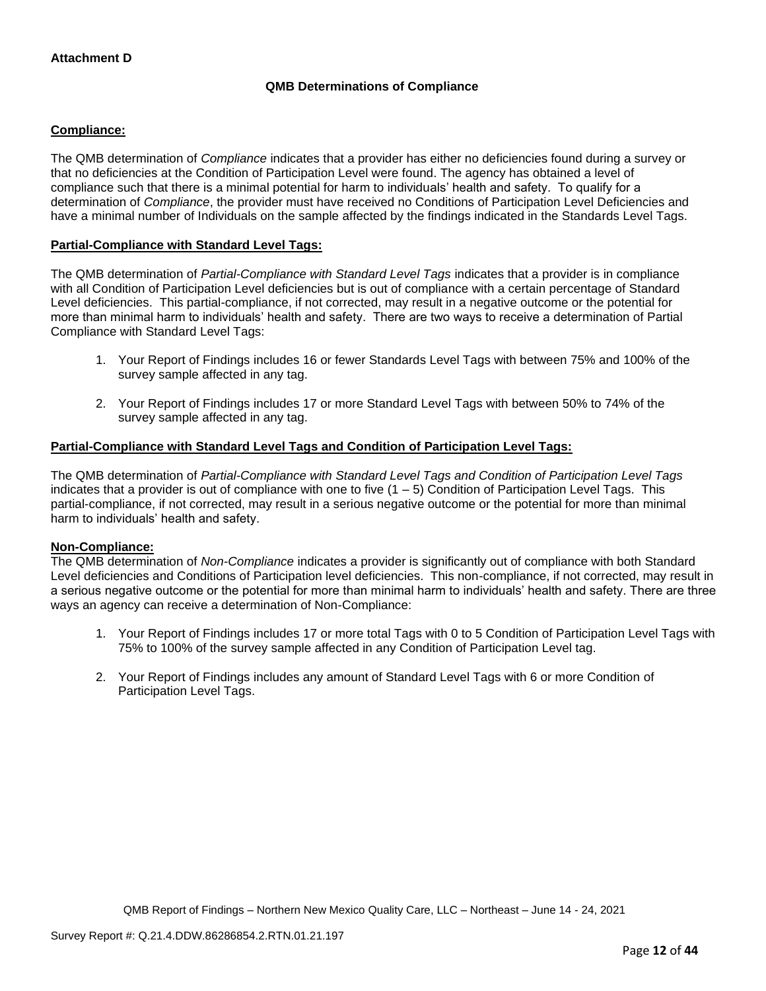# **QMB Determinations of Compliance**

# **Compliance:**

The QMB determination of *Compliance* indicates that a provider has either no deficiencies found during a survey or that no deficiencies at the Condition of Participation Level were found. The agency has obtained a level of compliance such that there is a minimal potential for harm to individuals' health and safety. To qualify for a determination of *Compliance*, the provider must have received no Conditions of Participation Level Deficiencies and have a minimal number of Individuals on the sample affected by the findings indicated in the Standards Level Tags.

# **Partial-Compliance with Standard Level Tags:**

The QMB determination of *Partial-Compliance with Standard Level Tags* indicates that a provider is in compliance with all Condition of Participation Level deficiencies but is out of compliance with a certain percentage of Standard Level deficiencies. This partial-compliance, if not corrected, may result in a negative outcome or the potential for more than minimal harm to individuals' health and safety. There are two ways to receive a determination of Partial Compliance with Standard Level Tags:

- 1. Your Report of Findings includes 16 or fewer Standards Level Tags with between 75% and 100% of the survey sample affected in any tag.
- 2. Your Report of Findings includes 17 or more Standard Level Tags with between 50% to 74% of the survey sample affected in any tag.

# **Partial-Compliance with Standard Level Tags and Condition of Participation Level Tags:**

The QMB determination of *Partial-Compliance with Standard Level Tags and Condition of Participation Level Tags*  indicates that a provider is out of compliance with one to five  $(1 - 5)$  Condition of Participation Level Tags. This partial-compliance, if not corrected, may result in a serious negative outcome or the potential for more than minimal harm to individuals' health and safety.

#### **Non-Compliance:**

The QMB determination of *Non-Compliance* indicates a provider is significantly out of compliance with both Standard Level deficiencies and Conditions of Participation level deficiencies. This non-compliance, if not corrected, may result in a serious negative outcome or the potential for more than minimal harm to individuals' health and safety. There are three ways an agency can receive a determination of Non-Compliance:

- 1. Your Report of Findings includes 17 or more total Tags with 0 to 5 Condition of Participation Level Tags with 75% to 100% of the survey sample affected in any Condition of Participation Level tag.
- 2. Your Report of Findings includes any amount of Standard Level Tags with 6 or more Condition of Participation Level Tags.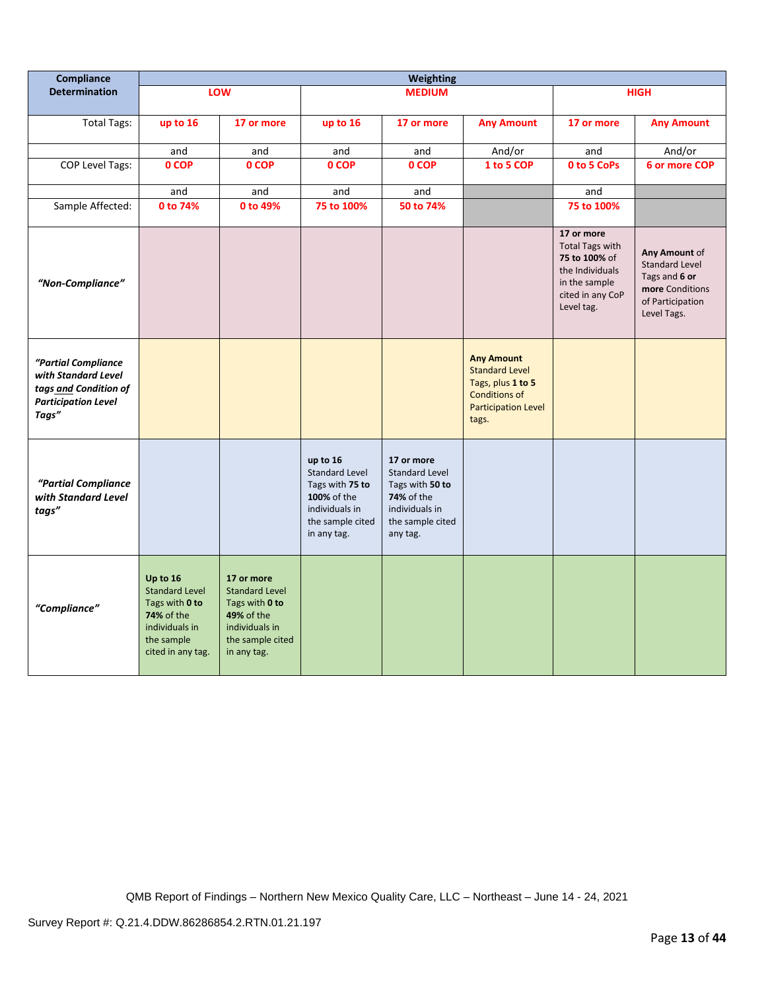| Compliance                                                                                                 | Weighting                                                                                                                     |                                                                                                                                 |                                                                                                                          |                                                                                                                        |                                                                                                                                |                                                                                                                             |                                                                                                               |
|------------------------------------------------------------------------------------------------------------|-------------------------------------------------------------------------------------------------------------------------------|---------------------------------------------------------------------------------------------------------------------------------|--------------------------------------------------------------------------------------------------------------------------|------------------------------------------------------------------------------------------------------------------------|--------------------------------------------------------------------------------------------------------------------------------|-----------------------------------------------------------------------------------------------------------------------------|---------------------------------------------------------------------------------------------------------------|
| <b>Determination</b>                                                                                       |                                                                                                                               | <b>LOW</b>                                                                                                                      |                                                                                                                          | <b>MEDIUM</b>                                                                                                          |                                                                                                                                |                                                                                                                             | <b>HIGH</b>                                                                                                   |
| <b>Total Tags:</b>                                                                                         | up to 16                                                                                                                      | 17 or more                                                                                                                      | up to 16                                                                                                                 | 17 or more                                                                                                             | <b>Any Amount</b>                                                                                                              | 17 or more                                                                                                                  | <b>Any Amount</b>                                                                                             |
|                                                                                                            | and                                                                                                                           | and                                                                                                                             | and                                                                                                                      | and                                                                                                                    | And/or                                                                                                                         | and                                                                                                                         | And/or                                                                                                        |
| COP Level Tags:                                                                                            | 0 COP                                                                                                                         | 0 COP                                                                                                                           | 0 COP                                                                                                                    | 0 COP                                                                                                                  | 1 to 5 COP                                                                                                                     | 0 to 5 CoPs                                                                                                                 | 6 or more COP                                                                                                 |
|                                                                                                            | and                                                                                                                           | and                                                                                                                             | and                                                                                                                      | and                                                                                                                    |                                                                                                                                | and                                                                                                                         |                                                                                                               |
| Sample Affected:                                                                                           | 0 to 74%                                                                                                                      | 0 to 49%                                                                                                                        | 75 to 100%                                                                                                               | 50 to 74%                                                                                                              |                                                                                                                                | 75 to 100%                                                                                                                  |                                                                                                               |
| "Non-Compliance"                                                                                           |                                                                                                                               |                                                                                                                                 |                                                                                                                          |                                                                                                                        |                                                                                                                                | 17 or more<br><b>Total Tags with</b><br>75 to 100% of<br>the Individuals<br>in the sample<br>cited in any CoP<br>Level tag. | Any Amount of<br><b>Standard Level</b><br>Tags and 6 or<br>more Conditions<br>of Participation<br>Level Tags. |
| "Partial Compliance<br>with Standard Level<br>tags and Condition of<br><b>Participation Level</b><br>Tags" |                                                                                                                               |                                                                                                                                 |                                                                                                                          |                                                                                                                        | <b>Any Amount</b><br><b>Standard Level</b><br>Tags, plus 1 to 5<br><b>Conditions of</b><br><b>Participation Level</b><br>tags. |                                                                                                                             |                                                                                                               |
| "Partial Compliance<br>with Standard Level<br>tags"                                                        |                                                                                                                               |                                                                                                                                 | up to 16<br><b>Standard Level</b><br>Tags with 75 to<br>100% of the<br>individuals in<br>the sample cited<br>in any tag. | 17 or more<br><b>Standard Level</b><br>Tags with 50 to<br>74% of the<br>individuals in<br>the sample cited<br>any tag. |                                                                                                                                |                                                                                                                             |                                                                                                               |
| "Compliance"                                                                                               | Up to 16<br><b>Standard Level</b><br>Tags with 0 to<br><b>74% of the</b><br>individuals in<br>the sample<br>cited in any tag. | 17 or more<br><b>Standard Level</b><br>Tags with 0 to<br><b>49% of the</b><br>individuals in<br>the sample cited<br>in any tag. |                                                                                                                          |                                                                                                                        |                                                                                                                                |                                                                                                                             |                                                                                                               |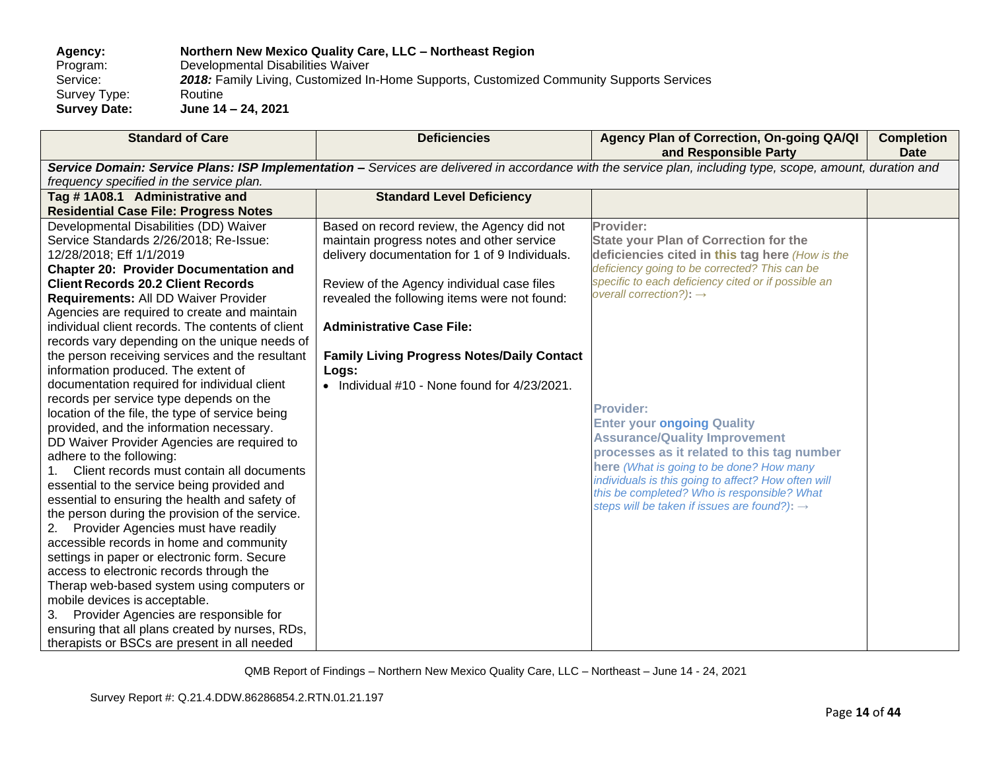# **Agency: Northern New Mexico Quality Care, LLC – Northeast Region** Program: Developmental Disabilities Waiver<br>Service: 2018: Family Living, Customized In 2018: Family Living, Customized In-Home Supports, Customized Community Supports Services<br>Routine Survey Type:<br>Survey Date: **Survey Date: June 14 – 24, 2021**

| <b>Standard of Care</b>                           | <b>Deficiencies</b>                               | Agency Plan of Correction, On-going QA/QI<br>and Responsible Party                                                                                          | <b>Completion</b><br><b>Date</b> |
|---------------------------------------------------|---------------------------------------------------|-------------------------------------------------------------------------------------------------------------------------------------------------------------|----------------------------------|
|                                                   |                                                   | Service Domain: Service Plans: ISP Implementation - Services are delivered in accordance with the service plan, including type, scope, amount, duration and |                                  |
| frequency specified in the service plan.          |                                                   |                                                                                                                                                             |                                  |
| Tag #1A08.1 Administrative and                    | <b>Standard Level Deficiency</b>                  |                                                                                                                                                             |                                  |
| <b>Residential Case File: Progress Notes</b>      |                                                   |                                                                                                                                                             |                                  |
| Developmental Disabilities (DD) Waiver            | Based on record review, the Agency did not        | Provider:                                                                                                                                                   |                                  |
| Service Standards 2/26/2018; Re-Issue:            | maintain progress notes and other service         | <b>State your Plan of Correction for the</b>                                                                                                                |                                  |
| 12/28/2018; Eff 1/1/2019                          | delivery documentation for 1 of 9 Individuals.    | deficiencies cited in this tag here (How is the                                                                                                             |                                  |
| <b>Chapter 20: Provider Documentation and</b>     |                                                   | deficiency going to be corrected? This can be                                                                                                               |                                  |
| <b>Client Records 20.2 Client Records</b>         | Review of the Agency individual case files        | specific to each deficiency cited or if possible an                                                                                                         |                                  |
| Requirements: All DD Waiver Provider              | revealed the following items were not found:      | overall correction?): $\rightarrow$                                                                                                                         |                                  |
| Agencies are required to create and maintain      |                                                   |                                                                                                                                                             |                                  |
| individual client records. The contents of client | <b>Administrative Case File:</b>                  |                                                                                                                                                             |                                  |
| records vary depending on the unique needs of     |                                                   |                                                                                                                                                             |                                  |
| the person receiving services and the resultant   | <b>Family Living Progress Notes/Daily Contact</b> |                                                                                                                                                             |                                  |
| information produced. The extent of               | Logs:                                             |                                                                                                                                                             |                                  |
| documentation required for individual client      | • Individual #10 - None found for 4/23/2021.      |                                                                                                                                                             |                                  |
| records per service type depends on the           |                                                   | <b>Provider:</b>                                                                                                                                            |                                  |
| location of the file, the type of service being   |                                                   |                                                                                                                                                             |                                  |
| provided, and the information necessary.          |                                                   | <b>Enter your ongoing Quality</b>                                                                                                                           |                                  |
| DD Waiver Provider Agencies are required to       |                                                   | <b>Assurance/Quality Improvement</b><br>processes as it related to this tag number                                                                          |                                  |
| adhere to the following:                          |                                                   |                                                                                                                                                             |                                  |
| 1. Client records must contain all documents      |                                                   | here (What is going to be done? How many<br>individuals is this going to affect? How often will                                                             |                                  |
| essential to the service being provided and       |                                                   | this be completed? Who is responsible? What                                                                                                                 |                                  |
| essential to ensuring the health and safety of    |                                                   | steps will be taken if issues are found?): $\rightarrow$                                                                                                    |                                  |
| the person during the provision of the service.   |                                                   |                                                                                                                                                             |                                  |
| Provider Agencies must have readily<br>2.         |                                                   |                                                                                                                                                             |                                  |
| accessible records in home and community          |                                                   |                                                                                                                                                             |                                  |
| settings in paper or electronic form. Secure      |                                                   |                                                                                                                                                             |                                  |
| access to electronic records through the          |                                                   |                                                                                                                                                             |                                  |
| Therap web-based system using computers or        |                                                   |                                                                                                                                                             |                                  |
| mobile devices is acceptable.                     |                                                   |                                                                                                                                                             |                                  |
| Provider Agencies are responsible for<br>3.       |                                                   |                                                                                                                                                             |                                  |
| ensuring that all plans created by nurses, RDs,   |                                                   |                                                                                                                                                             |                                  |
| therapists or BSCs are present in all needed      |                                                   |                                                                                                                                                             |                                  |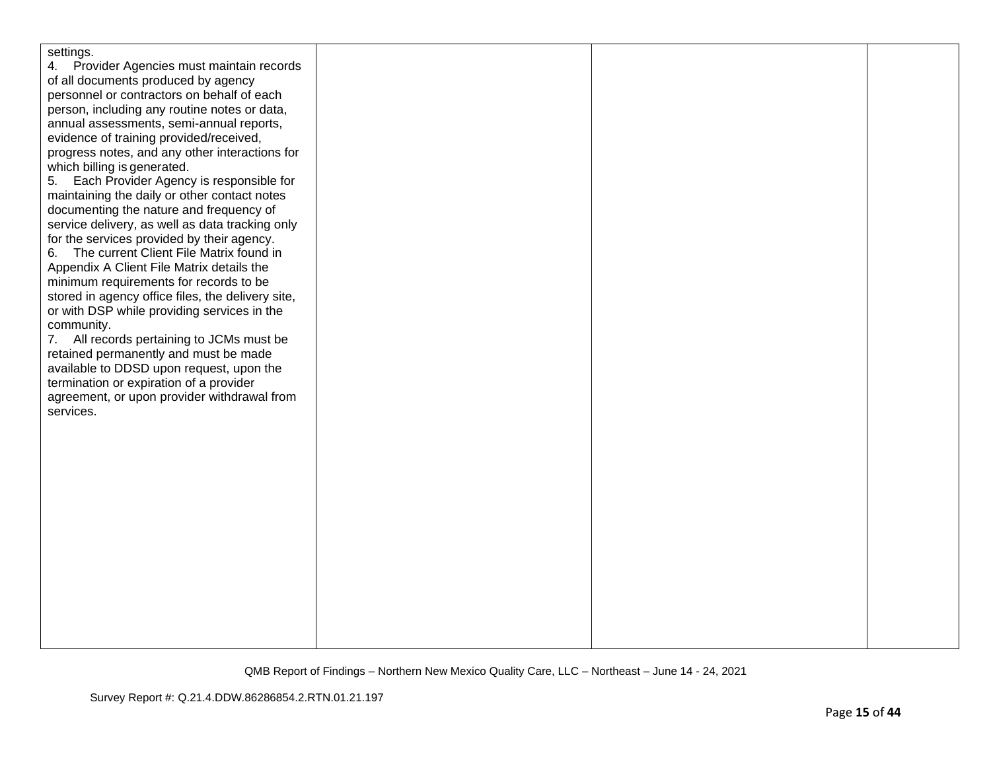| settings.                                         |  |  |
|---------------------------------------------------|--|--|
| 4. Provider Agencies must maintain records        |  |  |
| of all documents produced by agency               |  |  |
| personnel or contractors on behalf of each        |  |  |
| person, including any routine notes or data,      |  |  |
| annual assessments, semi-annual reports,          |  |  |
| evidence of training provided/received,           |  |  |
| progress notes, and any other interactions for    |  |  |
| which billing is generated.                       |  |  |
| 5. Each Provider Agency is responsible for        |  |  |
| maintaining the daily or other contact notes      |  |  |
| documenting the nature and frequency of           |  |  |
| service delivery, as well as data tracking only   |  |  |
| for the services provided by their agency.        |  |  |
| 6. The current Client File Matrix found in        |  |  |
| Appendix A Client File Matrix details the         |  |  |
| minimum requirements for records to be            |  |  |
| stored in agency office files, the delivery site, |  |  |
| or with DSP while providing services in the       |  |  |
| community.                                        |  |  |
| 7. All records pertaining to JCMs must be         |  |  |
| retained permanently and must be made             |  |  |
| available to DDSD upon request, upon the          |  |  |
| termination or expiration of a provider           |  |  |
| agreement, or upon provider withdrawal from       |  |  |
| services.                                         |  |  |
|                                                   |  |  |
|                                                   |  |  |
|                                                   |  |  |
|                                                   |  |  |
|                                                   |  |  |
|                                                   |  |  |
|                                                   |  |  |
|                                                   |  |  |
|                                                   |  |  |
|                                                   |  |  |
|                                                   |  |  |
|                                                   |  |  |
|                                                   |  |  |
|                                                   |  |  |
|                                                   |  |  |
|                                                   |  |  |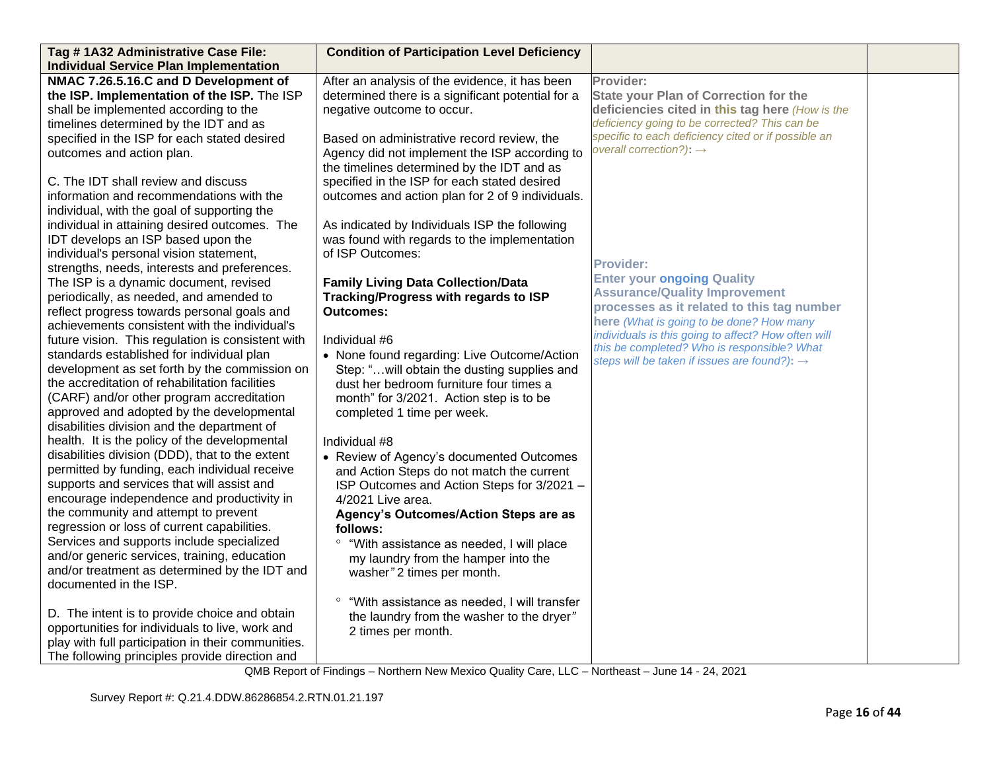| Tag #1A32 Administrative Case File:                | <b>Condition of Participation Level Deficiency</b>  |                                                                                                 |  |
|----------------------------------------------------|-----------------------------------------------------|-------------------------------------------------------------------------------------------------|--|
| <b>Individual Service Plan Implementation</b>      |                                                     |                                                                                                 |  |
| NMAC 7.26.5.16.C and D Development of              | After an analysis of the evidence, it has been      | Provider:                                                                                       |  |
| the ISP. Implementation of the ISP. The ISP        | determined there is a significant potential for a   | <b>State your Plan of Correction for the</b>                                                    |  |
| shall be implemented according to the              | negative outcome to occur.                          | deficiencies cited in this tag here (How is the                                                 |  |
| timelines determined by the IDT and as             |                                                     | deficiency going to be corrected? This can be                                                   |  |
| specified in the ISP for each stated desired       | Based on administrative record review, the          | specific to each deficiency cited or if possible an                                             |  |
| outcomes and action plan.                          | Agency did not implement the ISP according to       | overall correction?): $\rightarrow$                                                             |  |
|                                                    | the timelines determined by the IDT and as          |                                                                                                 |  |
| C. The IDT shall review and discuss                | specified in the ISP for each stated desired        |                                                                                                 |  |
| information and recommendations with the           | outcomes and action plan for 2 of 9 individuals.    |                                                                                                 |  |
| individual, with the goal of supporting the        |                                                     |                                                                                                 |  |
| individual in attaining desired outcomes. The      | As indicated by Individuals ISP the following       |                                                                                                 |  |
| IDT develops an ISP based upon the                 | was found with regards to the implementation        |                                                                                                 |  |
| individual's personal vision statement,            | of ISP Outcomes:                                    |                                                                                                 |  |
| strengths, needs, interests and preferences.       |                                                     | <b>Provider:</b>                                                                                |  |
| The ISP is a dynamic document, revised             | <b>Family Living Data Collection/Data</b>           | <b>Enter your ongoing Quality</b>                                                               |  |
| periodically, as needed, and amended to            | Tracking/Progress with regards to ISP               | <b>Assurance/Quality Improvement</b>                                                            |  |
| reflect progress towards personal goals and        | <b>Outcomes:</b>                                    | processes as it related to this tag number                                                      |  |
| achievements consistent with the individual's      |                                                     | here (What is going to be done? How many<br>individuals is this going to affect? How often will |  |
| future vision. This regulation is consistent with  | Individual #6                                       | this be completed? Who is responsible? What                                                     |  |
| standards established for individual plan          | • None found regarding: Live Outcome/Action         | steps will be taken if issues are found?): $\rightarrow$                                        |  |
| development as set forth by the commission on      | Step: "will obtain the dusting supplies and         |                                                                                                 |  |
| the accreditation of rehabilitation facilities     | dust her bedroom furniture four times a             |                                                                                                 |  |
| (CARF) and/or other program accreditation          | month" for 3/2021. Action step is to be             |                                                                                                 |  |
| approved and adopted by the developmental          | completed 1 time per week.                          |                                                                                                 |  |
| disabilities division and the department of        |                                                     |                                                                                                 |  |
| health. It is the policy of the developmental      | Individual #8                                       |                                                                                                 |  |
| disabilities division (DDD), that to the extent    | • Review of Agency's documented Outcomes            |                                                                                                 |  |
| permitted by funding, each individual receive      | and Action Steps do not match the current           |                                                                                                 |  |
| supports and services that will assist and         | ISP Outcomes and Action Steps for 3/2021 -          |                                                                                                 |  |
| encourage independence and productivity in         | 4/2021 Live area.                                   |                                                                                                 |  |
| the community and attempt to prevent               | Agency's Outcomes/Action Steps are as               |                                                                                                 |  |
| regression or loss of current capabilities.        | follows:                                            |                                                                                                 |  |
| Services and supports include specialized          | $\circ$<br>"With assistance as needed, I will place |                                                                                                 |  |
| and/or generic services, training, education       | my laundry from the hamper into the                 |                                                                                                 |  |
| and/or treatment as determined by the IDT and      | washer" 2 times per month.                          |                                                                                                 |  |
| documented in the ISP.                             |                                                     |                                                                                                 |  |
|                                                    | ° "With assistance as needed, I will transfer       |                                                                                                 |  |
| D. The intent is to provide choice and obtain      | the laundry from the washer to the dryer"           |                                                                                                 |  |
| opportunities for individuals to live, work and    | 2 times per month.                                  |                                                                                                 |  |
| play with full participation in their communities. |                                                     |                                                                                                 |  |
| The following principles provide direction and     |                                                     |                                                                                                 |  |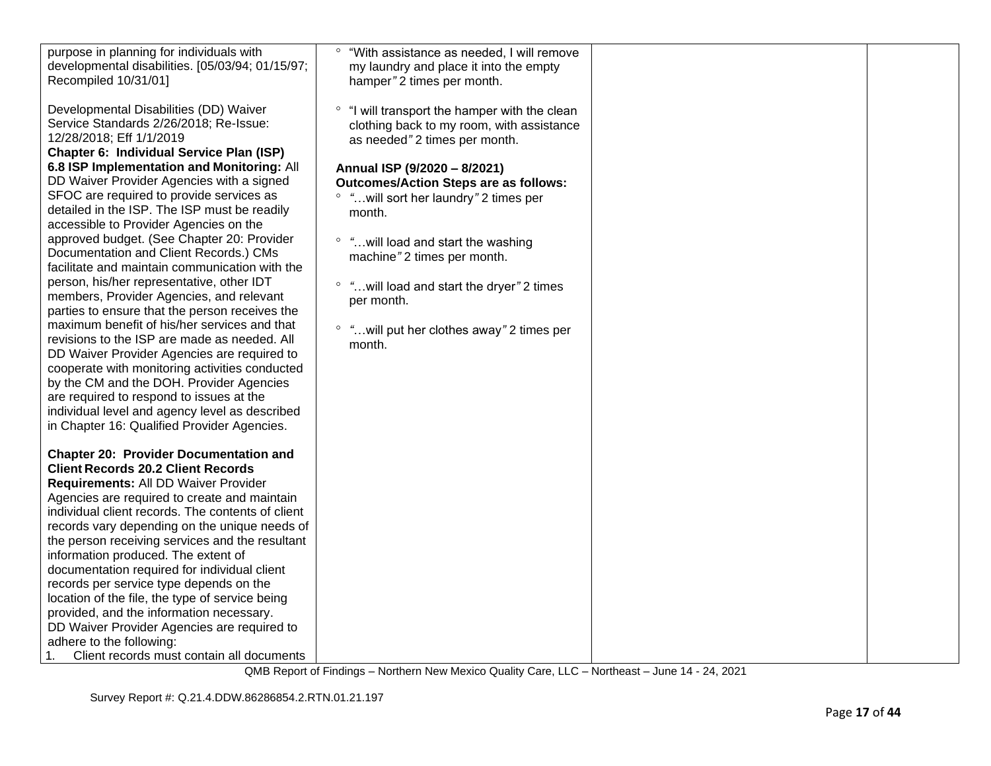| purpose in planning for individuals with                                                                                                                 | "With assistance as needed, I will remove                                                                                   |  |
|----------------------------------------------------------------------------------------------------------------------------------------------------------|-----------------------------------------------------------------------------------------------------------------------------|--|
| developmental disabilities. [05/03/94; 01/15/97;                                                                                                         | my laundry and place it into the empty                                                                                      |  |
| Recompiled 10/31/01]                                                                                                                                     | hamper" 2 times per month.                                                                                                  |  |
| Developmental Disabilities (DD) Waiver<br>Service Standards 2/26/2018; Re-Issue:<br>12/28/2018; Eff 1/1/2019<br>Chapter 6: Individual Service Plan (ISP) | ° "I will transport the hamper with the clean<br>clothing back to my room, with assistance<br>as needed" 2 times per month. |  |
| 6.8 ISP Implementation and Monitoring: All                                                                                                               | Annual ISP (9/2020 - 8/2021)                                                                                                |  |
| DD Waiver Provider Agencies with a signed                                                                                                                | <b>Outcomes/Action Steps are as follows:</b>                                                                                |  |
| SFOC are required to provide services as                                                                                                                 | ° "will sort her laundry" 2 times per                                                                                       |  |
| detailed in the ISP. The ISP must be readily                                                                                                             | month.                                                                                                                      |  |
| accessible to Provider Agencies on the                                                                                                                   |                                                                                                                             |  |
| approved budget. (See Chapter 20: Provider                                                                                                               | ° "will load and start the washing                                                                                          |  |
| Documentation and Client Records.) CMs                                                                                                                   | machine" 2 times per month.                                                                                                 |  |
| facilitate and maintain communication with the                                                                                                           |                                                                                                                             |  |
| person, his/her representative, other IDT                                                                                                                | ° "will load and start the dryer" 2 times                                                                                   |  |
| members, Provider Agencies, and relevant                                                                                                                 | per month.                                                                                                                  |  |
| parties to ensure that the person receives the<br>maximum benefit of his/her services and that                                                           |                                                                                                                             |  |
| revisions to the ISP are made as needed. All                                                                                                             | ° " will put her clothes away" 2 times per                                                                                  |  |
| DD Waiver Provider Agencies are required to                                                                                                              | month.                                                                                                                      |  |
| cooperate with monitoring activities conducted                                                                                                           |                                                                                                                             |  |
| by the CM and the DOH. Provider Agencies                                                                                                                 |                                                                                                                             |  |
| are required to respond to issues at the                                                                                                                 |                                                                                                                             |  |
| individual level and agency level as described                                                                                                           |                                                                                                                             |  |
| in Chapter 16: Qualified Provider Agencies.                                                                                                              |                                                                                                                             |  |
|                                                                                                                                                          |                                                                                                                             |  |
| <b>Chapter 20: Provider Documentation and</b>                                                                                                            |                                                                                                                             |  |
| <b>Client Records 20.2 Client Records</b>                                                                                                                |                                                                                                                             |  |
| Requirements: All DD Waiver Provider                                                                                                                     |                                                                                                                             |  |
| Agencies are required to create and maintain                                                                                                             |                                                                                                                             |  |
| individual client records. The contents of client                                                                                                        |                                                                                                                             |  |
| records vary depending on the unique needs of                                                                                                            |                                                                                                                             |  |
| the person receiving services and the resultant                                                                                                          |                                                                                                                             |  |
| information produced. The extent of                                                                                                                      |                                                                                                                             |  |
| documentation required for individual client                                                                                                             |                                                                                                                             |  |
| records per service type depends on the                                                                                                                  |                                                                                                                             |  |
| location of the file, the type of service being                                                                                                          |                                                                                                                             |  |
| provided, and the information necessary.                                                                                                                 |                                                                                                                             |  |
| DD Waiver Provider Agencies are required to                                                                                                              |                                                                                                                             |  |
| adhere to the following:                                                                                                                                 |                                                                                                                             |  |
| 1.<br>Client records must contain all documents                                                                                                          |                                                                                                                             |  |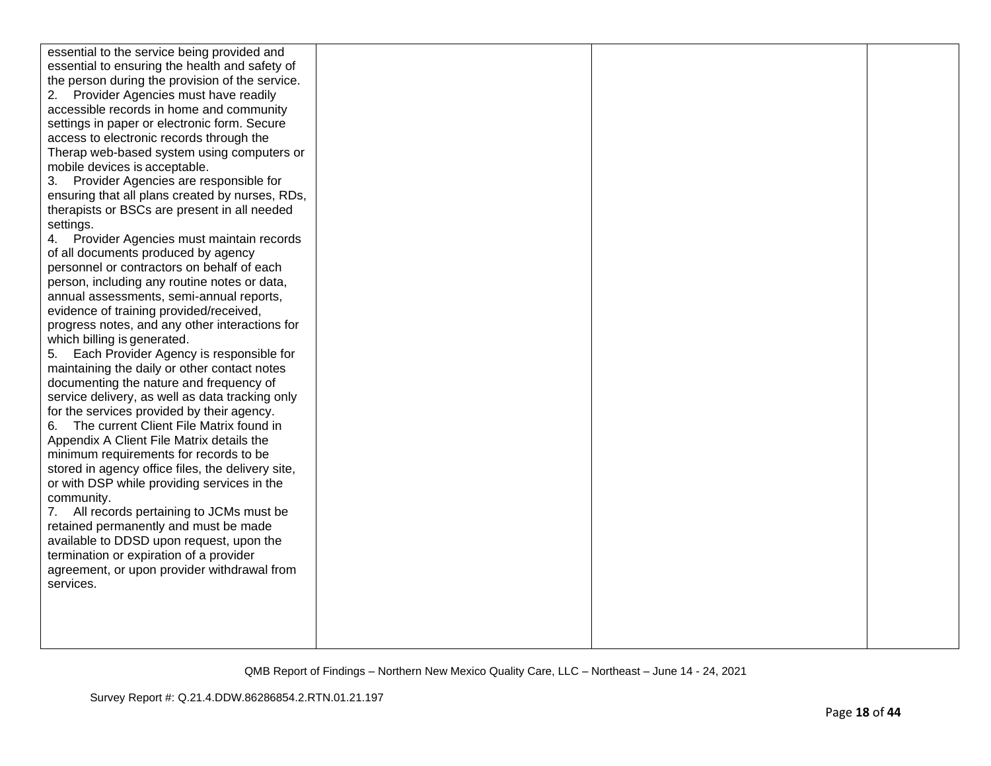| essential to the service being provided and       |  |  |
|---------------------------------------------------|--|--|
| essential to ensuring the health and safety of    |  |  |
| the person during the provision of the service.   |  |  |
| Provider Agencies must have readily<br>2.         |  |  |
| accessible records in home and community          |  |  |
| settings in paper or electronic form. Secure      |  |  |
| access to electronic records through the          |  |  |
| Therap web-based system using computers or        |  |  |
| mobile devices is acceptable.                     |  |  |
| Provider Agencies are responsible for<br>3.       |  |  |
| ensuring that all plans created by nurses, RDs,   |  |  |
| therapists or BSCs are present in all needed      |  |  |
| settings.                                         |  |  |
| Provider Agencies must maintain records<br>4.     |  |  |
| of all documents produced by agency               |  |  |
| personnel or contractors on behalf of each        |  |  |
| person, including any routine notes or data,      |  |  |
| annual assessments, semi-annual reports,          |  |  |
| evidence of training provided/received,           |  |  |
| progress notes, and any other interactions for    |  |  |
| which billing is generated.                       |  |  |
| Each Provider Agency is responsible for<br>5.     |  |  |
| maintaining the daily or other contact notes      |  |  |
| documenting the nature and frequency of           |  |  |
| service delivery, as well as data tracking only   |  |  |
| for the services provided by their agency.        |  |  |
| The current Client File Matrix found in<br>6.     |  |  |
| Appendix A Client File Matrix details the         |  |  |
| minimum requirements for records to be            |  |  |
| stored in agency office files, the delivery site, |  |  |
| or with DSP while providing services in the       |  |  |
| community.                                        |  |  |
| All records pertaining to JCMs must be<br>7.      |  |  |
| retained permanently and must be made             |  |  |
| available to DDSD upon request, upon the          |  |  |
| termination or expiration of a provider           |  |  |
| agreement, or upon provider withdrawal from       |  |  |
| services.                                         |  |  |
|                                                   |  |  |
|                                                   |  |  |
|                                                   |  |  |
|                                                   |  |  |
|                                                   |  |  |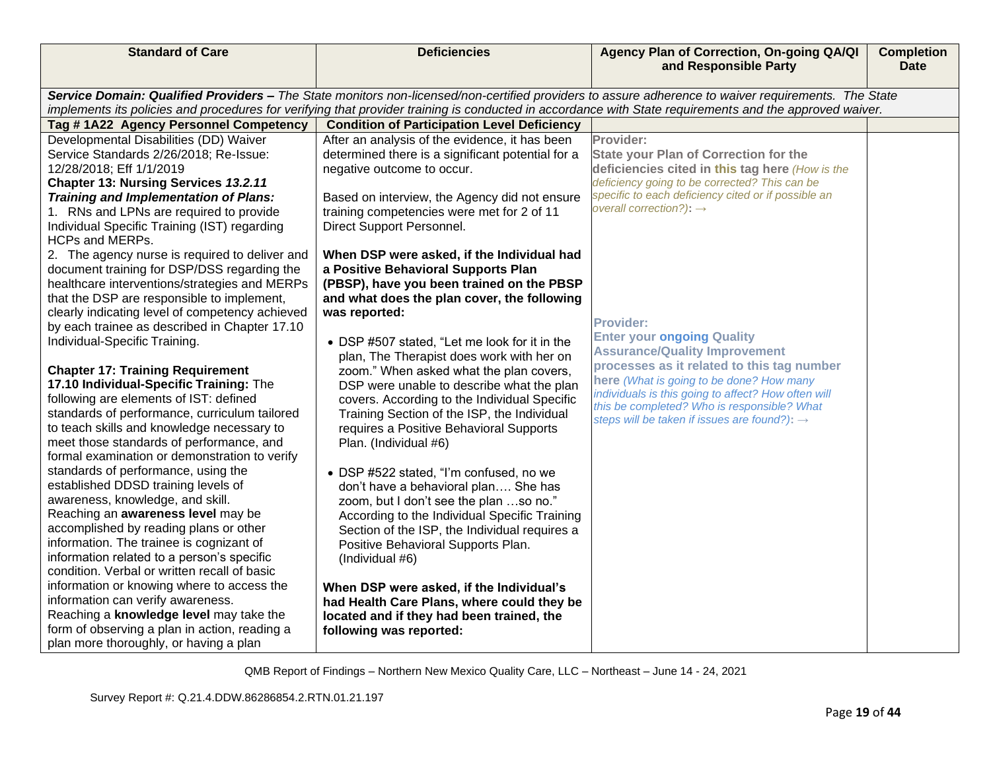| <b>Standard of Care</b>                                                                                                                             | <b>Deficiencies</b>                                                                         | Agency Plan of Correction, On-going QA/QI<br>and Responsible Party                                                                                      | <b>Completion</b><br><b>Date</b> |  |
|-----------------------------------------------------------------------------------------------------------------------------------------------------|---------------------------------------------------------------------------------------------|---------------------------------------------------------------------------------------------------------------------------------------------------------|----------------------------------|--|
|                                                                                                                                                     |                                                                                             |                                                                                                                                                         |                                  |  |
| Service Domain: Qualified Providers - The State monitors non-licensed/non-certified providers to assure adherence to waiver requirements. The State |                                                                                             |                                                                                                                                                         |                                  |  |
|                                                                                                                                                     |                                                                                             | implements its policies and procedures for verifying that provider training is conducted in accordance with State requirements and the approved waiver. |                                  |  |
| Tag #1A22 Agency Personnel Competency                                                                                                               | <b>Condition of Participation Level Deficiency</b>                                          |                                                                                                                                                         |                                  |  |
| Developmental Disabilities (DD) Waiver                                                                                                              | After an analysis of the evidence, it has been                                              | Provider:                                                                                                                                               |                                  |  |
| Service Standards 2/26/2018; Re-Issue:                                                                                                              | determined there is a significant potential for a                                           | <b>State your Plan of Correction for the</b>                                                                                                            |                                  |  |
| 12/28/2018; Eff 1/1/2019                                                                                                                            | negative outcome to occur.                                                                  | deficiencies cited in this tag here (How is the                                                                                                         |                                  |  |
| Chapter 13: Nursing Services 13.2.11                                                                                                                |                                                                                             | deficiency going to be corrected? This can be                                                                                                           |                                  |  |
| Training and Implementation of Plans:                                                                                                               | Based on interview, the Agency did not ensure                                               | specific to each deficiency cited or if possible an<br>overall correction?): $\rightarrow$                                                              |                                  |  |
| 1. RNs and LPNs are required to provide                                                                                                             | training competencies were met for 2 of 11                                                  |                                                                                                                                                         |                                  |  |
| Individual Specific Training (IST) regarding                                                                                                        | Direct Support Personnel.                                                                   |                                                                                                                                                         |                                  |  |
| <b>HCPs and MERPs.</b>                                                                                                                              |                                                                                             |                                                                                                                                                         |                                  |  |
| 2. The agency nurse is required to deliver and                                                                                                      | When DSP were asked, if the Individual had                                                  |                                                                                                                                                         |                                  |  |
| document training for DSP/DSS regarding the                                                                                                         | a Positive Behavioral Supports Plan                                                         |                                                                                                                                                         |                                  |  |
| healthcare interventions/strategies and MERPs                                                                                                       | (PBSP), have you been trained on the PBSP                                                   |                                                                                                                                                         |                                  |  |
| that the DSP are responsible to implement,                                                                                                          | and what does the plan cover, the following                                                 |                                                                                                                                                         |                                  |  |
| clearly indicating level of competency achieved                                                                                                     | was reported:                                                                               | <b>Provider:</b>                                                                                                                                        |                                  |  |
| by each trainee as described in Chapter 17.10<br>Individual-Specific Training.                                                                      |                                                                                             | <b>Enter your ongoing Quality</b>                                                                                                                       |                                  |  |
|                                                                                                                                                     | • DSP #507 stated, "Let me look for it in the                                               | <b>Assurance/Quality Improvement</b>                                                                                                                    |                                  |  |
|                                                                                                                                                     | plan, The Therapist does work with her on                                                   | processes as it related to this tag number                                                                                                              |                                  |  |
| <b>Chapter 17: Training Requirement</b><br>17.10 Individual-Specific Training: The                                                                  | zoom." When asked what the plan covers,                                                     | here (What is going to be done? How many                                                                                                                |                                  |  |
| following are elements of IST: defined                                                                                                              | DSP were unable to describe what the plan                                                   | individuals is this going to affect? How often will                                                                                                     |                                  |  |
| standards of performance, curriculum tailored                                                                                                       | covers. According to the Individual Specific<br>Training Section of the ISP, the Individual | this be completed? Who is responsible? What                                                                                                             |                                  |  |
| to teach skills and knowledge necessary to                                                                                                          | requires a Positive Behavioral Supports                                                     | steps will be taken if issues are found?): $\rightarrow$                                                                                                |                                  |  |
| meet those standards of performance, and                                                                                                            | Plan. (Individual #6)                                                                       |                                                                                                                                                         |                                  |  |
| formal examination or demonstration to verify                                                                                                       |                                                                                             |                                                                                                                                                         |                                  |  |
| standards of performance, using the                                                                                                                 | • DSP #522 stated, "I'm confused, no we                                                     |                                                                                                                                                         |                                  |  |
| established DDSD training levels of                                                                                                                 | don't have a behavioral plan She has                                                        |                                                                                                                                                         |                                  |  |
| awareness, knowledge, and skill.                                                                                                                    | zoom, but I don't see the plan so no."                                                      |                                                                                                                                                         |                                  |  |
| Reaching an awareness level may be                                                                                                                  | According to the Individual Specific Training                                               |                                                                                                                                                         |                                  |  |
| accomplished by reading plans or other                                                                                                              | Section of the ISP, the Individual requires a                                               |                                                                                                                                                         |                                  |  |
| information. The trainee is cognizant of                                                                                                            | Positive Behavioral Supports Plan.                                                          |                                                                                                                                                         |                                  |  |
| information related to a person's specific                                                                                                          | (Individual #6)                                                                             |                                                                                                                                                         |                                  |  |
| condition. Verbal or written recall of basic                                                                                                        |                                                                                             |                                                                                                                                                         |                                  |  |
| information or knowing where to access the                                                                                                          | When DSP were asked, if the Individual's                                                    |                                                                                                                                                         |                                  |  |
| information can verify awareness.                                                                                                                   | had Health Care Plans, where could they be                                                  |                                                                                                                                                         |                                  |  |
| Reaching a knowledge level may take the                                                                                                             | located and if they had been trained, the                                                   |                                                                                                                                                         |                                  |  |
| form of observing a plan in action, reading a                                                                                                       | following was reported:                                                                     |                                                                                                                                                         |                                  |  |
| plan more thoroughly, or having a plan                                                                                                              |                                                                                             |                                                                                                                                                         |                                  |  |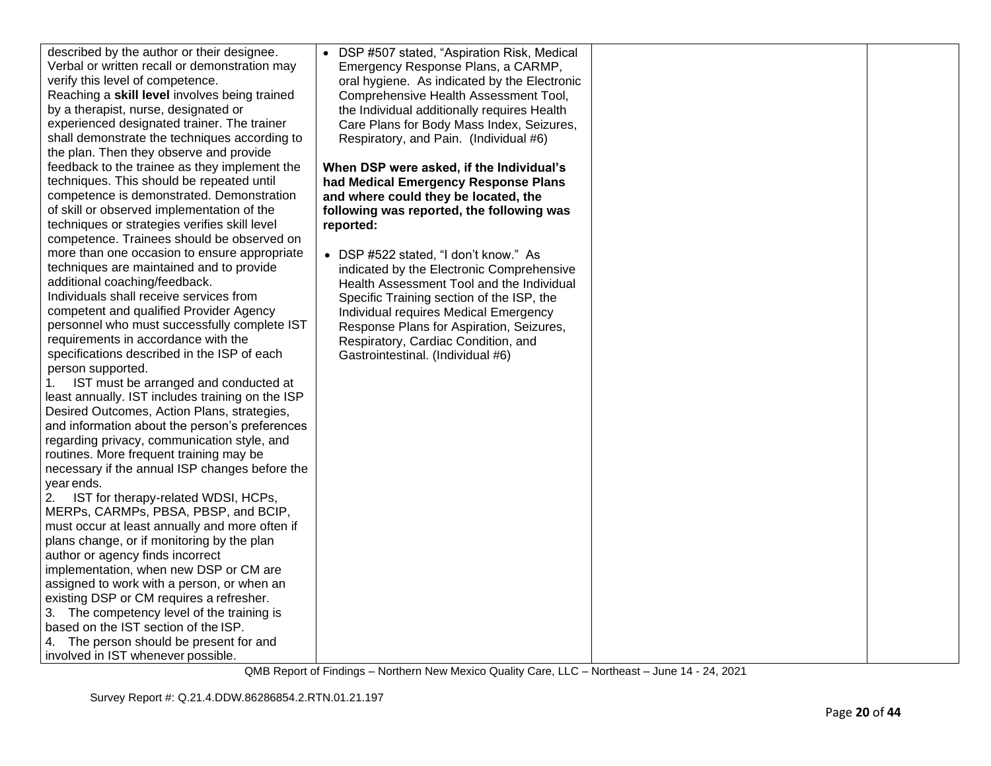| described by the author or their designee.       | • DSP #507 stated, "Aspiration Risk, Medical |  |
|--------------------------------------------------|----------------------------------------------|--|
| Verbal or written recall or demonstration may    | Emergency Response Plans, a CARMP,           |  |
| verify this level of competence.                 | oral hygiene. As indicated by the Electronic |  |
| Reaching a skill level involves being trained    | Comprehensive Health Assessment Tool,        |  |
| by a therapist, nurse, designated or             | the Individual additionally requires Health  |  |
| experienced designated trainer. The trainer      | Care Plans for Body Mass Index, Seizures,    |  |
| shall demonstrate the techniques according to    | Respiratory, and Pain. (Individual #6)       |  |
| the plan. Then they observe and provide          |                                              |  |
| feedback to the trainee as they implement the    | When DSP were asked, if the Individual's     |  |
| techniques. This should be repeated until        | had Medical Emergency Response Plans         |  |
| competence is demonstrated. Demonstration        | and where could they be located, the         |  |
| of skill or observed implementation of the       | following was reported, the following was    |  |
| techniques or strategies verifies skill level    | reported:                                    |  |
| competence. Trainees should be observed on       |                                              |  |
| more than one occasion to ensure appropriate     | • DSP #522 stated, "I don't know." As        |  |
| techniques are maintained and to provide         | indicated by the Electronic Comprehensive    |  |
| additional coaching/feedback.                    | Health Assessment Tool and the Individual    |  |
| Individuals shall receive services from          | Specific Training section of the ISP, the    |  |
| competent and qualified Provider Agency          | Individual requires Medical Emergency        |  |
| personnel who must successfully complete IST     | Response Plans for Aspiration, Seizures,     |  |
| requirements in accordance with the              | Respiratory, Cardiac Condition, and          |  |
| specifications described in the ISP of each      | Gastrointestinal. (Individual #6)            |  |
| person supported.                                |                                              |  |
| IST must be arranged and conducted at<br>1.      |                                              |  |
| least annually. IST includes training on the ISP |                                              |  |
| Desired Outcomes, Action Plans, strategies,      |                                              |  |
| and information about the person's preferences   |                                              |  |
| regarding privacy, communication style, and      |                                              |  |
| routines. More frequent training may be          |                                              |  |
| necessary if the annual ISP changes before the   |                                              |  |
| year ends.                                       |                                              |  |
| 2.<br>IST for therapy-related WDSI, HCPs,        |                                              |  |
| MERPs, CARMPs, PBSA, PBSP, and BCIP,             |                                              |  |
| must occur at least annually and more often if   |                                              |  |
| plans change, or if monitoring by the plan       |                                              |  |
| author or agency finds incorrect                 |                                              |  |
| implementation, when new DSP or CM are           |                                              |  |
| assigned to work with a person, or when an       |                                              |  |
| existing DSP or CM requires a refresher.         |                                              |  |
| 3. The competency level of the training is       |                                              |  |
| based on the IST section of the ISP.             |                                              |  |
| 4. The person should be present for and          |                                              |  |
| involved in IST whenever possible.               |                                              |  |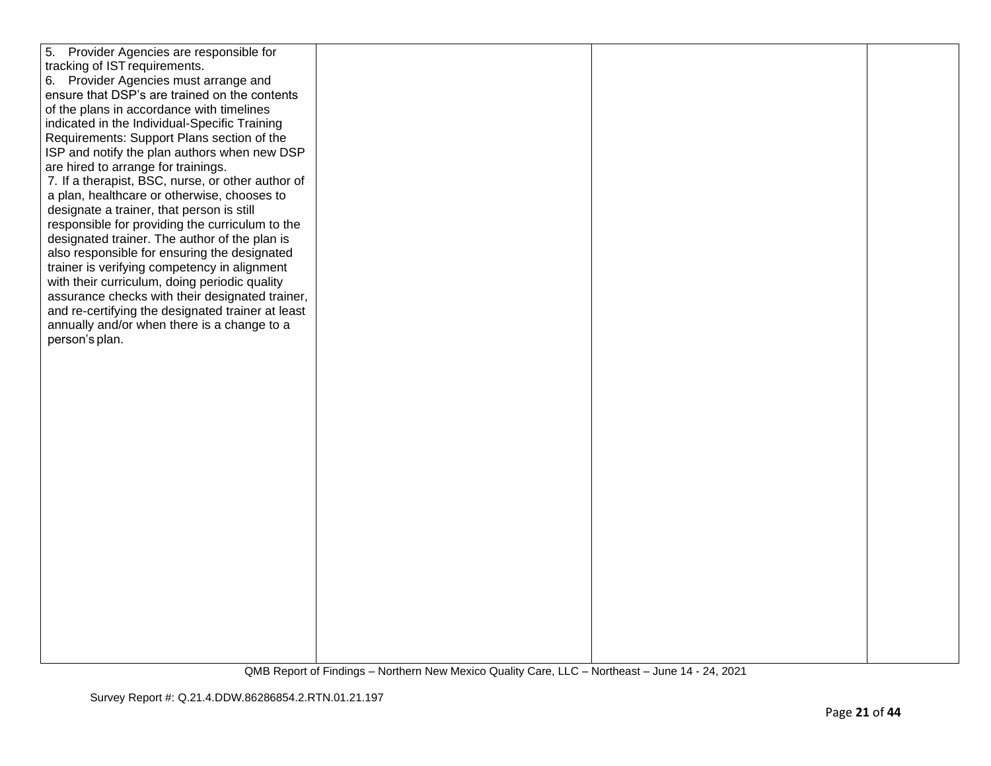| 5. Provider Agencies are responsible for          |  |  |
|---------------------------------------------------|--|--|
| tracking of IST requirements.                     |  |  |
| 6. Provider Agencies must arrange and             |  |  |
| ensure that DSP's are trained on the contents     |  |  |
|                                                   |  |  |
| of the plans in accordance with timelines         |  |  |
| indicated in the Individual-Specific Training     |  |  |
| Requirements: Support Plans section of the        |  |  |
| ISP and notify the plan authors when new DSP      |  |  |
| are hired to arrange for trainings.               |  |  |
| 7. If a therapist, BSC, nurse, or other author of |  |  |
| a plan, healthcare or otherwise, chooses to       |  |  |
| designate a trainer, that person is still         |  |  |
| responsible for providing the curriculum to the   |  |  |
| designated trainer. The author of the plan is     |  |  |
| also responsible for ensuring the designated      |  |  |
| trainer is verifying competency in alignment      |  |  |
| with their curriculum, doing periodic quality     |  |  |
| assurance checks with their designated trainer,   |  |  |
| and re-certifying the designated trainer at least |  |  |
| annually and/or when there is a change to a       |  |  |
| person's plan.                                    |  |  |
|                                                   |  |  |
|                                                   |  |  |
|                                                   |  |  |
|                                                   |  |  |
|                                                   |  |  |
|                                                   |  |  |
|                                                   |  |  |
|                                                   |  |  |
|                                                   |  |  |
|                                                   |  |  |
|                                                   |  |  |
|                                                   |  |  |
|                                                   |  |  |
|                                                   |  |  |
|                                                   |  |  |
|                                                   |  |  |
|                                                   |  |  |
|                                                   |  |  |
|                                                   |  |  |
|                                                   |  |  |
|                                                   |  |  |
|                                                   |  |  |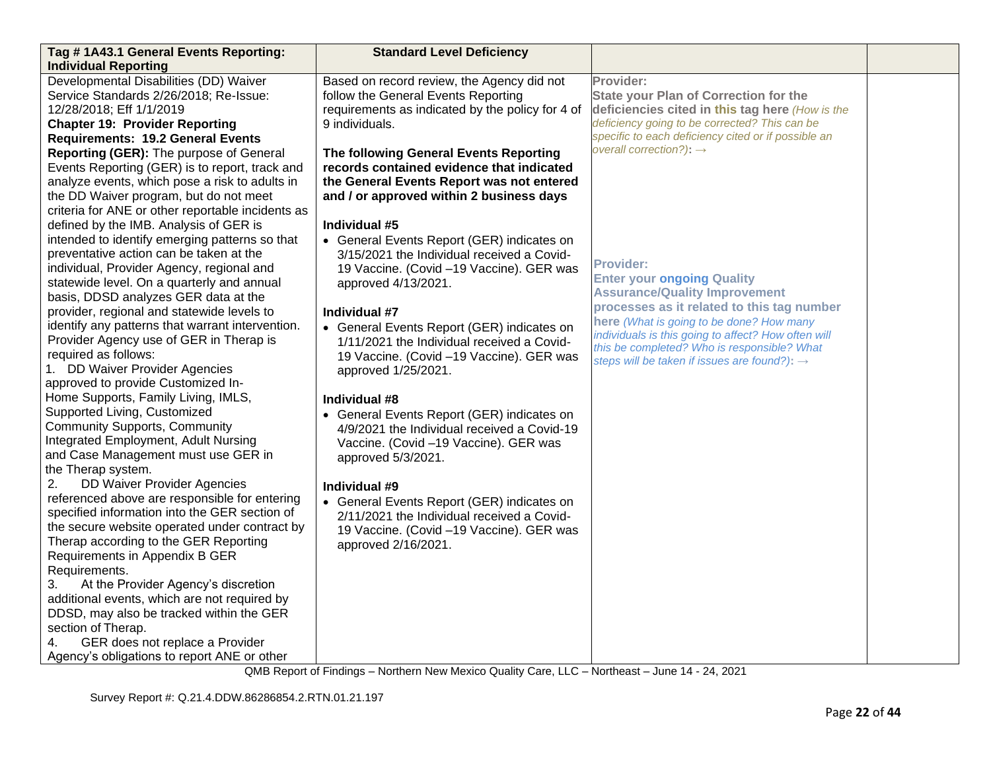| Tag #1A43.1 General Events Reporting:<br><b>Individual Reporting</b>                                                                                                                                                                                                                    | <b>Standard Level Deficiency</b>                                                                                                                                             |                                                                                                                                                                                                                                                          |  |
|-----------------------------------------------------------------------------------------------------------------------------------------------------------------------------------------------------------------------------------------------------------------------------------------|------------------------------------------------------------------------------------------------------------------------------------------------------------------------------|----------------------------------------------------------------------------------------------------------------------------------------------------------------------------------------------------------------------------------------------------------|--|
| Developmental Disabilities (DD) Waiver<br>Service Standards 2/26/2018; Re-Issue:<br>12/28/2018; Eff 1/1/2019<br><b>Chapter 19: Provider Reporting</b><br><b>Requirements: 19.2 General Events</b>                                                                                       | Based on record review, the Agency did not<br>follow the General Events Reporting<br>requirements as indicated by the policy for 4 of<br>9 individuals.                      | Provider:<br><b>State your Plan of Correction for the</b><br>deficiencies cited in this tag here (How is the<br>deficiency going to be corrected? This can be<br>specific to each deficiency cited or if possible an                                     |  |
| Reporting (GER): The purpose of General<br>Events Reporting (GER) is to report, track and<br>analyze events, which pose a risk to adults in<br>the DD Waiver program, but do not meet<br>criteria for ANE or other reportable incidents as                                              | The following General Events Reporting<br>records contained evidence that indicated<br>the General Events Report was not entered<br>and / or approved within 2 business days | overall correction?): $\rightarrow$                                                                                                                                                                                                                      |  |
| defined by the IMB. Analysis of GER is<br>intended to identify emerging patterns so that<br>preventative action can be taken at the<br>individual, Provider Agency, regional and<br>statewide level. On a quarterly and annual<br>basis, DDSD analyzes GER data at the                  | Individual #5<br>• General Events Report (GER) indicates on<br>3/15/2021 the Individual received a Covid-<br>19 Vaccine. (Covid -19 Vaccine). GER was<br>approved 4/13/2021. | <b>Provider:</b><br><b>Enter your ongoing Quality</b><br><b>Assurance/Quality Improvement</b>                                                                                                                                                            |  |
| provider, regional and statewide levels to<br>identify any patterns that warrant intervention.<br>Provider Agency use of GER in Therap is<br>required as follows:<br>1. DD Waiver Provider Agencies<br>approved to provide Customized In-                                               | Individual #7<br>• General Events Report (GER) indicates on<br>1/11/2021 the Individual received a Covid-<br>19 Vaccine. (Covid -19 Vaccine). GER was<br>approved 1/25/2021. | processes as it related to this tag number<br>here (What is going to be done? How many<br>individuals is this going to affect? How often will<br>this be completed? Who is responsible? What<br>steps will be taken if issues are found?): $\rightarrow$ |  |
| Home Supports, Family Living, IMLS,<br>Supported Living, Customized<br><b>Community Supports, Community</b><br>Integrated Employment, Adult Nursing<br>and Case Management must use GER in<br>the Therap system.                                                                        | Individual #8<br>• General Events Report (GER) indicates on<br>4/9/2021 the Individual received a Covid-19<br>Vaccine. (Covid -19 Vaccine). GER was<br>approved 5/3/2021.    |                                                                                                                                                                                                                                                          |  |
| <b>DD Waiver Provider Agencies</b><br>2.<br>referenced above are responsible for entering<br>specified information into the GER section of<br>the secure website operated under contract by<br>Therap according to the GER Reporting<br>Requirements in Appendix B GER<br>Requirements. | Individual #9<br>• General Events Report (GER) indicates on<br>2/11/2021 the Individual received a Covid-<br>19 Vaccine. (Covid -19 Vaccine). GER was<br>approved 2/16/2021. |                                                                                                                                                                                                                                                          |  |
| At the Provider Agency's discretion<br>3.<br>additional events, which are not required by<br>DDSD, may also be tracked within the GER<br>section of Therap.<br>GER does not replace a Provider<br>4.<br>Agency's obligations to report ANE or other                                     |                                                                                                                                                                              |                                                                                                                                                                                                                                                          |  |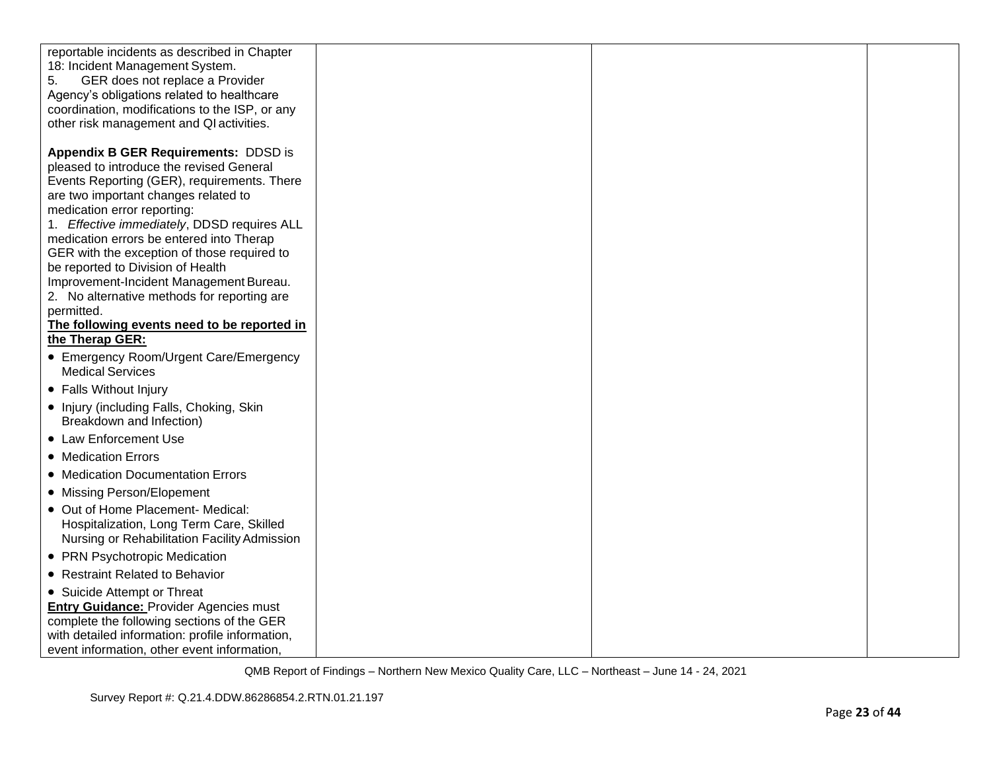| reportable incidents as described in Chapter<br>18: Incident Management System.<br>GER does not replace a Provider<br>5.<br>Agency's obligations related to healthcare<br>coordination, modifications to the ISP, or any<br>other risk management and QI activities.<br><b>Appendix B GER Requirements: DDSD is</b><br>pleased to introduce the revised General<br>Events Reporting (GER), requirements. There<br>are two important changes related to<br>medication error reporting:<br>1. Effective immediately, DDSD requires ALL<br>medication errors be entered into Therap<br>GER with the exception of those required to<br>be reported to Division of Health<br>Improvement-Incident Management Bureau.<br>2. No alternative methods for reporting are<br>permitted.<br>The following events need to be reported in<br>the Therap GER:<br>• Emergency Room/Urgent Care/Emergency<br><b>Medical Services</b><br>• Falls Without Injury<br>• Injury (including Falls, Choking, Skin<br>Breakdown and Infection)<br>• Law Enforcement Use |  |
|------------------------------------------------------------------------------------------------------------------------------------------------------------------------------------------------------------------------------------------------------------------------------------------------------------------------------------------------------------------------------------------------------------------------------------------------------------------------------------------------------------------------------------------------------------------------------------------------------------------------------------------------------------------------------------------------------------------------------------------------------------------------------------------------------------------------------------------------------------------------------------------------------------------------------------------------------------------------------------------------------------------------------------------------|--|
|                                                                                                                                                                                                                                                                                                                                                                                                                                                                                                                                                                                                                                                                                                                                                                                                                                                                                                                                                                                                                                                |  |
|                                                                                                                                                                                                                                                                                                                                                                                                                                                                                                                                                                                                                                                                                                                                                                                                                                                                                                                                                                                                                                                |  |
|                                                                                                                                                                                                                                                                                                                                                                                                                                                                                                                                                                                                                                                                                                                                                                                                                                                                                                                                                                                                                                                |  |
|                                                                                                                                                                                                                                                                                                                                                                                                                                                                                                                                                                                                                                                                                                                                                                                                                                                                                                                                                                                                                                                |  |
|                                                                                                                                                                                                                                                                                                                                                                                                                                                                                                                                                                                                                                                                                                                                                                                                                                                                                                                                                                                                                                                |  |
|                                                                                                                                                                                                                                                                                                                                                                                                                                                                                                                                                                                                                                                                                                                                                                                                                                                                                                                                                                                                                                                |  |
|                                                                                                                                                                                                                                                                                                                                                                                                                                                                                                                                                                                                                                                                                                                                                                                                                                                                                                                                                                                                                                                |  |
|                                                                                                                                                                                                                                                                                                                                                                                                                                                                                                                                                                                                                                                                                                                                                                                                                                                                                                                                                                                                                                                |  |
|                                                                                                                                                                                                                                                                                                                                                                                                                                                                                                                                                                                                                                                                                                                                                                                                                                                                                                                                                                                                                                                |  |
|                                                                                                                                                                                                                                                                                                                                                                                                                                                                                                                                                                                                                                                                                                                                                                                                                                                                                                                                                                                                                                                |  |
|                                                                                                                                                                                                                                                                                                                                                                                                                                                                                                                                                                                                                                                                                                                                                                                                                                                                                                                                                                                                                                                |  |
|                                                                                                                                                                                                                                                                                                                                                                                                                                                                                                                                                                                                                                                                                                                                                                                                                                                                                                                                                                                                                                                |  |
|                                                                                                                                                                                                                                                                                                                                                                                                                                                                                                                                                                                                                                                                                                                                                                                                                                                                                                                                                                                                                                                |  |
|                                                                                                                                                                                                                                                                                                                                                                                                                                                                                                                                                                                                                                                                                                                                                                                                                                                                                                                                                                                                                                                |  |
|                                                                                                                                                                                                                                                                                                                                                                                                                                                                                                                                                                                                                                                                                                                                                                                                                                                                                                                                                                                                                                                |  |
|                                                                                                                                                                                                                                                                                                                                                                                                                                                                                                                                                                                                                                                                                                                                                                                                                                                                                                                                                                                                                                                |  |
| • Medication Errors                                                                                                                                                                                                                                                                                                                                                                                                                                                                                                                                                                                                                                                                                                                                                                                                                                                                                                                                                                                                                            |  |
| • Medication Documentation Errors                                                                                                                                                                                                                                                                                                                                                                                                                                                                                                                                                                                                                                                                                                                                                                                                                                                                                                                                                                                                              |  |
| • Missing Person/Elopement                                                                                                                                                                                                                                                                                                                                                                                                                                                                                                                                                                                                                                                                                                                                                                                                                                                                                                                                                                                                                     |  |
| • Out of Home Placement- Medical:<br>Hospitalization, Long Term Care, Skilled<br>Nursing or Rehabilitation Facility Admission                                                                                                                                                                                                                                                                                                                                                                                                                                                                                                                                                                                                                                                                                                                                                                                                                                                                                                                  |  |
| • PRN Psychotropic Medication                                                                                                                                                                                                                                                                                                                                                                                                                                                                                                                                                                                                                                                                                                                                                                                                                                                                                                                                                                                                                  |  |
| • Restraint Related to Behavior                                                                                                                                                                                                                                                                                                                                                                                                                                                                                                                                                                                                                                                                                                                                                                                                                                                                                                                                                                                                                |  |
| • Suicide Attempt or Threat<br><b>Entry Guidance: Provider Agencies must</b><br>complete the following sections of the GER<br>with detailed information: profile information,<br>event information, other event information,                                                                                                                                                                                                                                                                                                                                                                                                                                                                                                                                                                                                                                                                                                                                                                                                                   |  |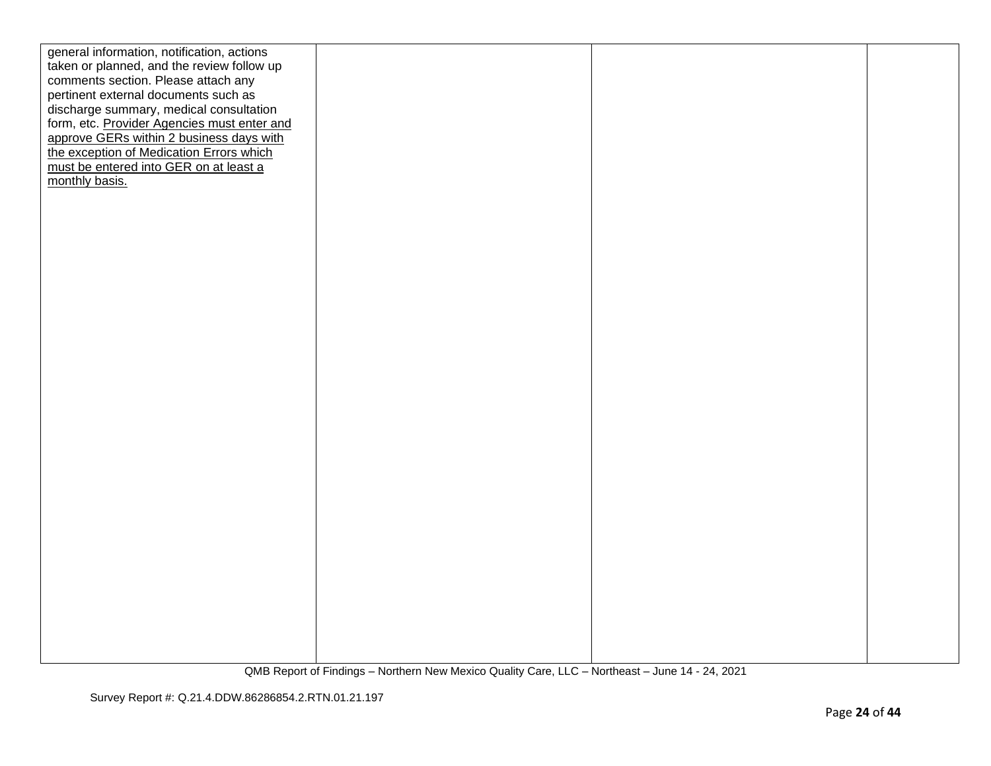| general information, notification, actions  |  |  |
|---------------------------------------------|--|--|
| taken or planned, and the review follow up  |  |  |
| comments section. Please attach any         |  |  |
| pertinent external documents such as        |  |  |
| discharge summary, medical consultation     |  |  |
| form, etc. Provider Agencies must enter and |  |  |
| approve GERs within 2 business days with    |  |  |
| the exception of Medication Errors which    |  |  |
| must be entered into GER on at least a      |  |  |
| monthly basis.                              |  |  |
|                                             |  |  |
|                                             |  |  |
|                                             |  |  |
|                                             |  |  |
|                                             |  |  |
|                                             |  |  |
|                                             |  |  |
|                                             |  |  |
|                                             |  |  |
|                                             |  |  |
|                                             |  |  |
|                                             |  |  |
|                                             |  |  |
|                                             |  |  |
|                                             |  |  |
|                                             |  |  |
|                                             |  |  |
|                                             |  |  |
|                                             |  |  |
|                                             |  |  |
|                                             |  |  |
|                                             |  |  |
|                                             |  |  |
|                                             |  |  |
|                                             |  |  |
|                                             |  |  |
|                                             |  |  |
|                                             |  |  |
|                                             |  |  |
|                                             |  |  |
|                                             |  |  |
|                                             |  |  |
|                                             |  |  |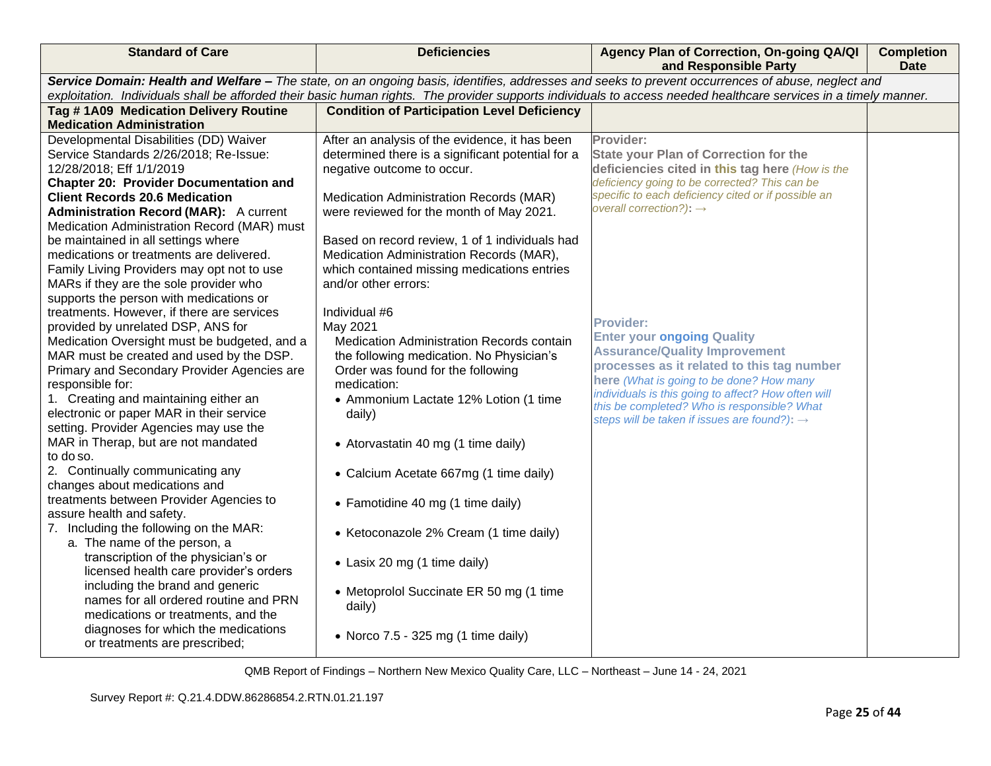| <b>Standard of Care</b>                                                                                                                                          | <b>Deficiencies</b>                                                                        | Agency Plan of Correction, On-going QA/QI<br>and Responsible Party                                   | <b>Completion</b><br><b>Date</b> |
|------------------------------------------------------------------------------------------------------------------------------------------------------------------|--------------------------------------------------------------------------------------------|------------------------------------------------------------------------------------------------------|----------------------------------|
| Service Domain: Health and Welfare - The state, on an ongoing basis, identifies, addresses and seeks to prevent occurrences of abuse, neglect and                |                                                                                            |                                                                                                      |                                  |
| exploitation. Individuals shall be afforded their basic human rights. The provider supports individuals to access needed healthcare services in a timely manner. |                                                                                            |                                                                                                      |                                  |
| Tag #1A09 Medication Delivery Routine                                                                                                                            | <b>Condition of Participation Level Deficiency</b>                                         |                                                                                                      |                                  |
| <b>Medication Administration</b>                                                                                                                                 |                                                                                            |                                                                                                      |                                  |
| Developmental Disabilities (DD) Waiver                                                                                                                           | After an analysis of the evidence, it has been                                             | Provider:                                                                                            |                                  |
| Service Standards 2/26/2018; Re-Issue:                                                                                                                           | determined there is a significant potential for a                                          | <b>State your Plan of Correction for the</b>                                                         |                                  |
| 12/28/2018; Eff 1/1/2019                                                                                                                                         | negative outcome to occur.                                                                 | deficiencies cited in this tag here (How is the                                                      |                                  |
| <b>Chapter 20: Provider Documentation and</b>                                                                                                                    |                                                                                            | deficiency going to be corrected? This can be<br>specific to each deficiency cited or if possible an |                                  |
| <b>Client Records 20.6 Medication</b>                                                                                                                            | Medication Administration Records (MAR)                                                    | overall correction?): $\rightarrow$                                                                  |                                  |
| <b>Administration Record (MAR):</b> A current                                                                                                                    | were reviewed for the month of May 2021.                                                   |                                                                                                      |                                  |
| Medication Administration Record (MAR) must                                                                                                                      |                                                                                            |                                                                                                      |                                  |
| be maintained in all settings where<br>medications or treatments are delivered.                                                                                  | Based on record review, 1 of 1 individuals had<br>Medication Administration Records (MAR), |                                                                                                      |                                  |
| Family Living Providers may opt not to use                                                                                                                       | which contained missing medications entries                                                |                                                                                                      |                                  |
| MARs if they are the sole provider who                                                                                                                           | and/or other errors:                                                                       |                                                                                                      |                                  |
| supports the person with medications or                                                                                                                          |                                                                                            |                                                                                                      |                                  |
| treatments. However, if there are services                                                                                                                       | Individual #6                                                                              |                                                                                                      |                                  |
| provided by unrelated DSP, ANS for                                                                                                                               | May 2021                                                                                   | <b>Provider:</b>                                                                                     |                                  |
| Medication Oversight must be budgeted, and a                                                                                                                     | Medication Administration Records contain                                                  | <b>Enter your ongoing Quality</b>                                                                    |                                  |
| MAR must be created and used by the DSP.                                                                                                                         | the following medication. No Physician's                                                   | <b>Assurance/Quality Improvement</b>                                                                 |                                  |
| Primary and Secondary Provider Agencies are                                                                                                                      | Order was found for the following                                                          | processes as it related to this tag number                                                           |                                  |
| responsible for:                                                                                                                                                 | medication:                                                                                | here (What is going to be done? How many                                                             |                                  |
| 1. Creating and maintaining either an                                                                                                                            | • Ammonium Lactate 12% Lotion (1 time                                                      | individuals is this going to affect? How often will<br>this be completed? Who is responsible? What   |                                  |
| electronic or paper MAR in their service                                                                                                                         | daily)                                                                                     | steps will be taken if issues are found?): $\rightarrow$                                             |                                  |
| setting. Provider Agencies may use the                                                                                                                           |                                                                                            |                                                                                                      |                                  |
| MAR in Therap, but are not mandated                                                                                                                              | • Atorvastatin 40 mg (1 time daily)                                                        |                                                                                                      |                                  |
| to do so.                                                                                                                                                        |                                                                                            |                                                                                                      |                                  |
| 2. Continually communicating any                                                                                                                                 | • Calcium Acetate 667mg (1 time daily)                                                     |                                                                                                      |                                  |
| changes about medications and                                                                                                                                    |                                                                                            |                                                                                                      |                                  |
| treatments between Provider Agencies to<br>assure health and safety.                                                                                             | • Famotidine 40 mg (1 time daily)                                                          |                                                                                                      |                                  |
| 7. Including the following on the MAR:                                                                                                                           |                                                                                            |                                                                                                      |                                  |
| a. The name of the person, a                                                                                                                                     | • Ketoconazole 2% Cream (1 time daily)                                                     |                                                                                                      |                                  |
| transcription of the physician's or                                                                                                                              |                                                                                            |                                                                                                      |                                  |
| licensed health care provider's orders                                                                                                                           | • Lasix 20 mg (1 time daily)                                                               |                                                                                                      |                                  |
| including the brand and generic                                                                                                                                  |                                                                                            |                                                                                                      |                                  |
| names for all ordered routine and PRN                                                                                                                            | • Metoprolol Succinate ER 50 mg (1 time                                                    |                                                                                                      |                                  |
| medications or treatments, and the                                                                                                                               | daily)                                                                                     |                                                                                                      |                                  |
| diagnoses for which the medications                                                                                                                              | • Norco $7.5 - 325$ mg (1 time daily)                                                      |                                                                                                      |                                  |
| or treatments are prescribed;                                                                                                                                    |                                                                                            |                                                                                                      |                                  |
|                                                                                                                                                                  |                                                                                            |                                                                                                      |                                  |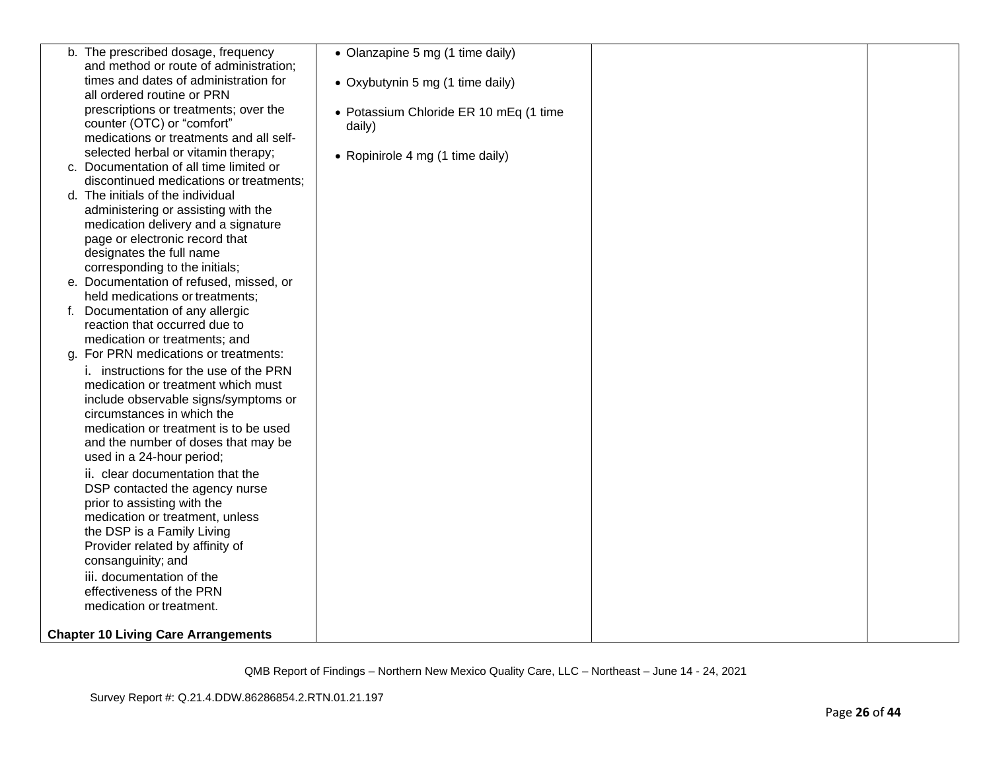|    | b. The prescribed dosage, frequency        | • Olanzapine 5 mg (1 time daily)       |  |
|----|--------------------------------------------|----------------------------------------|--|
|    | and method or route of administration;     |                                        |  |
|    | times and dates of administration for      | • Oxybutynin 5 mg (1 time daily)       |  |
|    | all ordered routine or PRN                 |                                        |  |
|    | prescriptions or treatments; over the      | • Potassium Chloride ER 10 mEq (1 time |  |
|    | counter (OTC) or "comfort"                 | daily)                                 |  |
|    | medications or treatments and all self-    |                                        |  |
|    | selected herbal or vitamin therapy;        | • Ropinirole 4 mg (1 time daily)       |  |
|    | c. Documentation of all time limited or    |                                        |  |
|    | discontinued medications or treatments;    |                                        |  |
|    | d. The initials of the individual          |                                        |  |
|    | administering or assisting with the        |                                        |  |
|    | medication delivery and a signature        |                                        |  |
|    | page or electronic record that             |                                        |  |
|    | designates the full name                   |                                        |  |
|    | corresponding to the initials;             |                                        |  |
|    | e. Documentation of refused, missed, or    |                                        |  |
|    | held medications or treatments;            |                                        |  |
|    | f. Documentation of any allergic           |                                        |  |
|    | reaction that occurred due to              |                                        |  |
|    | medication or treatments; and              |                                        |  |
| a. | For PRN medications or treatments:         |                                        |  |
|    | i. instructions for the use of the PRN     |                                        |  |
|    | medication or treatment which must         |                                        |  |
|    | include observable signs/symptoms or       |                                        |  |
|    | circumstances in which the                 |                                        |  |
|    | medication or treatment is to be used      |                                        |  |
|    | and the number of doses that may be        |                                        |  |
|    | used in a 24-hour period;                  |                                        |  |
|    | ii. clear documentation that the           |                                        |  |
|    | DSP contacted the agency nurse             |                                        |  |
|    | prior to assisting with the                |                                        |  |
|    | medication or treatment, unless            |                                        |  |
|    | the DSP is a Family Living                 |                                        |  |
|    | Provider related by affinity of            |                                        |  |
|    | consanguinity; and                         |                                        |  |
|    | iii. documentation of the                  |                                        |  |
|    | effectiveness of the PRN                   |                                        |  |
|    | medication or treatment.                   |                                        |  |
|    |                                            |                                        |  |
|    | <b>Chapter 10 Living Care Arrangements</b> |                                        |  |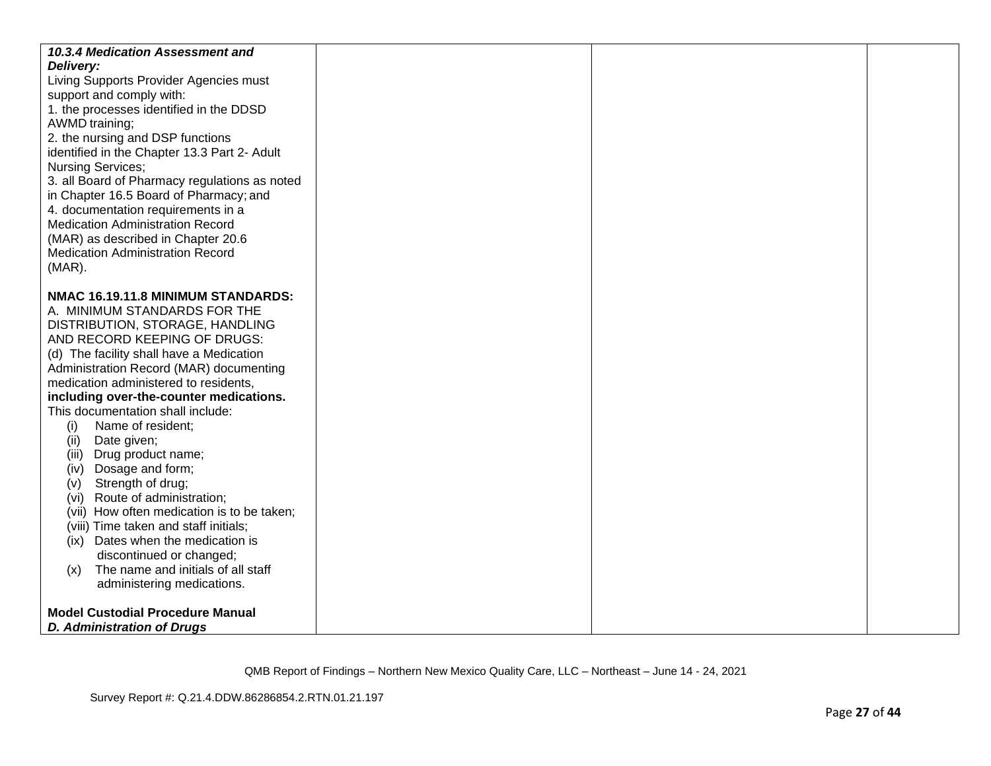| 10.3.4 Medication Assessment and<br>Delivery:<br>Living Supports Provider Agencies must<br>support and comply with:<br>1. the processes identified in the DDSD<br>AWMD training;<br>2. the nursing and DSP functions<br>identified in the Chapter 13.3 Part 2- Adult<br><b>Nursing Services;</b><br>3. all Board of Pharmacy regulations as noted<br>in Chapter 16.5 Board of Pharmacy; and<br>4. documentation requirements in a<br><b>Medication Administration Record</b><br>(MAR) as described in Chapter 20.6<br><b>Medication Administration Record</b><br>$(MAR)$ .                                                                                                                                                                                          |  |  |
|---------------------------------------------------------------------------------------------------------------------------------------------------------------------------------------------------------------------------------------------------------------------------------------------------------------------------------------------------------------------------------------------------------------------------------------------------------------------------------------------------------------------------------------------------------------------------------------------------------------------------------------------------------------------------------------------------------------------------------------------------------------------|--|--|
| NMAC 16.19.11.8 MINIMUM STANDARDS:<br>A. MINIMUM STANDARDS FOR THE<br>DISTRIBUTION, STORAGE, HANDLING<br>AND RECORD KEEPING OF DRUGS:<br>(d) The facility shall have a Medication<br>Administration Record (MAR) documenting<br>medication administered to residents,<br>including over-the-counter medications.<br>This documentation shall include:<br>Name of resident;<br>(i)<br>Date given;<br>(ii)<br>(iii) Drug product name;<br>Dosage and form;<br>(iv)<br>Strength of drug;<br>(V)<br>Route of administration;<br>(Vi)<br>(vii) How often medication is to be taken;<br>(viii) Time taken and staff initials;<br>(ix) Dates when the medication is<br>discontinued or changed;<br>The name and initials of all staff<br>(x)<br>administering medications. |  |  |
| <b>Model Custodial Procedure Manual</b><br><b>D. Administration of Drugs</b>                                                                                                                                                                                                                                                                                                                                                                                                                                                                                                                                                                                                                                                                                        |  |  |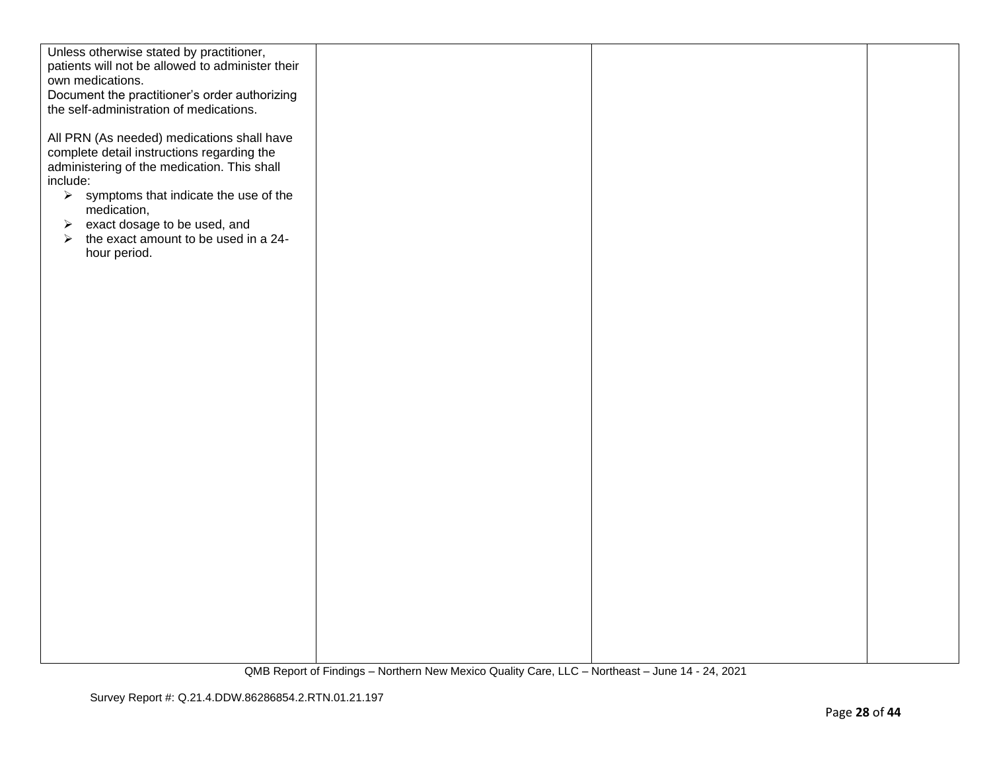| Unless otherwise stated by practitioner,                      |  |  |
|---------------------------------------------------------------|--|--|
| patients will not be allowed to administer their              |  |  |
| own medications.                                              |  |  |
| Document the practitioner's order authorizing                 |  |  |
| the self-administration of medications.                       |  |  |
|                                                               |  |  |
| All PRN (As needed) medications shall have                    |  |  |
| complete detail instructions regarding the                    |  |  |
| administering of the medication. This shall                   |  |  |
| include:                                                      |  |  |
| $\triangleright$ symptoms that indicate the use of the        |  |  |
| medication,                                                   |  |  |
| exact dosage to be used, and<br>$\blacktriangleright$         |  |  |
| the exact amount to be used in a 24-<br>$\blacktriangleright$ |  |  |
| hour period.                                                  |  |  |
|                                                               |  |  |
|                                                               |  |  |
|                                                               |  |  |
|                                                               |  |  |
|                                                               |  |  |
|                                                               |  |  |
|                                                               |  |  |
|                                                               |  |  |
|                                                               |  |  |
|                                                               |  |  |
|                                                               |  |  |
|                                                               |  |  |
|                                                               |  |  |
|                                                               |  |  |
|                                                               |  |  |
|                                                               |  |  |
|                                                               |  |  |
|                                                               |  |  |
|                                                               |  |  |
|                                                               |  |  |
|                                                               |  |  |
|                                                               |  |  |
|                                                               |  |  |
|                                                               |  |  |
|                                                               |  |  |
|                                                               |  |  |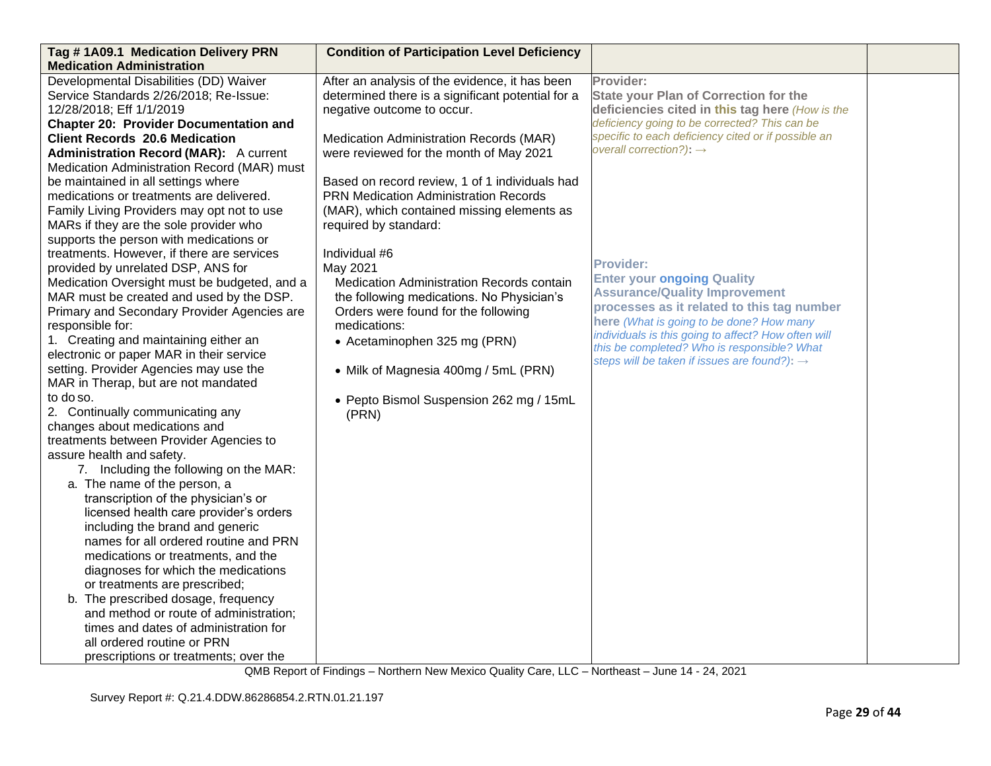| Tag #1A09.1 Medication Delivery PRN           | <b>Condition of Participation Level Deficiency</b> |                                                          |  |
|-----------------------------------------------|----------------------------------------------------|----------------------------------------------------------|--|
| <b>Medication Administration</b>              |                                                    |                                                          |  |
| Developmental Disabilities (DD) Waiver        | After an analysis of the evidence, it has been     | Provider:                                                |  |
| Service Standards 2/26/2018; Re-Issue:        | determined there is a significant potential for a  | <b>State your Plan of Correction for the</b>             |  |
| 12/28/2018; Eff 1/1/2019                      | negative outcome to occur.                         | deficiencies cited in this tag here (How is the          |  |
| <b>Chapter 20: Provider Documentation and</b> |                                                    | deficiency going to be corrected? This can be            |  |
| <b>Client Records 20.6 Medication</b>         | Medication Administration Records (MAR)            | specific to each deficiency cited or if possible an      |  |
| <b>Administration Record (MAR):</b> A current | were reviewed for the month of May 2021            | overall correction?): $\rightarrow$                      |  |
| Medication Administration Record (MAR) must   |                                                    |                                                          |  |
| be maintained in all settings where           | Based on record review, 1 of 1 individuals had     |                                                          |  |
| medications or treatments are delivered.      | <b>PRN Medication Administration Records</b>       |                                                          |  |
| Family Living Providers may opt not to use    | (MAR), which contained missing elements as         |                                                          |  |
| MARs if they are the sole provider who        | required by standard:                              |                                                          |  |
| supports the person with medications or       |                                                    |                                                          |  |
| treatments. However, if there are services    | Individual #6                                      |                                                          |  |
| provided by unrelated DSP, ANS for            | May 2021                                           | <b>Provider:</b>                                         |  |
| Medication Oversight must be budgeted, and a  | Medication Administration Records contain          | <b>Enter your ongoing Quality</b>                        |  |
| MAR must be created and used by the DSP.      | the following medications. No Physician's          | <b>Assurance/Quality Improvement</b>                     |  |
| Primary and Secondary Provider Agencies are   | Orders were found for the following                | processes as it related to this tag number               |  |
| responsible for:                              | medications:                                       | here (What is going to be done? How many                 |  |
| 1. Creating and maintaining either an         | • Acetaminophen 325 mg (PRN)                       | individuals is this going to affect? How often will      |  |
| electronic or paper MAR in their service      |                                                    | this be completed? Who is responsible? What              |  |
| setting. Provider Agencies may use the        | • Milk of Magnesia 400mg / 5mL (PRN)               | steps will be taken if issues are found?): $\rightarrow$ |  |
| MAR in Therap, but are not mandated           |                                                    |                                                          |  |
| to do so.                                     | • Pepto Bismol Suspension 262 mg / 15mL            |                                                          |  |
| 2. Continually communicating any              | (PRN)                                              |                                                          |  |
| changes about medications and                 |                                                    |                                                          |  |
| treatments between Provider Agencies to       |                                                    |                                                          |  |
| assure health and safety.                     |                                                    |                                                          |  |
| 7. Including the following on the MAR:        |                                                    |                                                          |  |
| a. The name of the person, a                  |                                                    |                                                          |  |
| transcription of the physician's or           |                                                    |                                                          |  |
| licensed health care provider's orders        |                                                    |                                                          |  |
| including the brand and generic               |                                                    |                                                          |  |
| names for all ordered routine and PRN         |                                                    |                                                          |  |
| medications or treatments, and the            |                                                    |                                                          |  |
| diagnoses for which the medications           |                                                    |                                                          |  |
| or treatments are prescribed;                 |                                                    |                                                          |  |
| b. The prescribed dosage, frequency           |                                                    |                                                          |  |
| and method or route of administration;        |                                                    |                                                          |  |
| times and dates of administration for         |                                                    |                                                          |  |
| all ordered routine or PRN                    |                                                    |                                                          |  |
| prescriptions or treatments; over the         |                                                    |                                                          |  |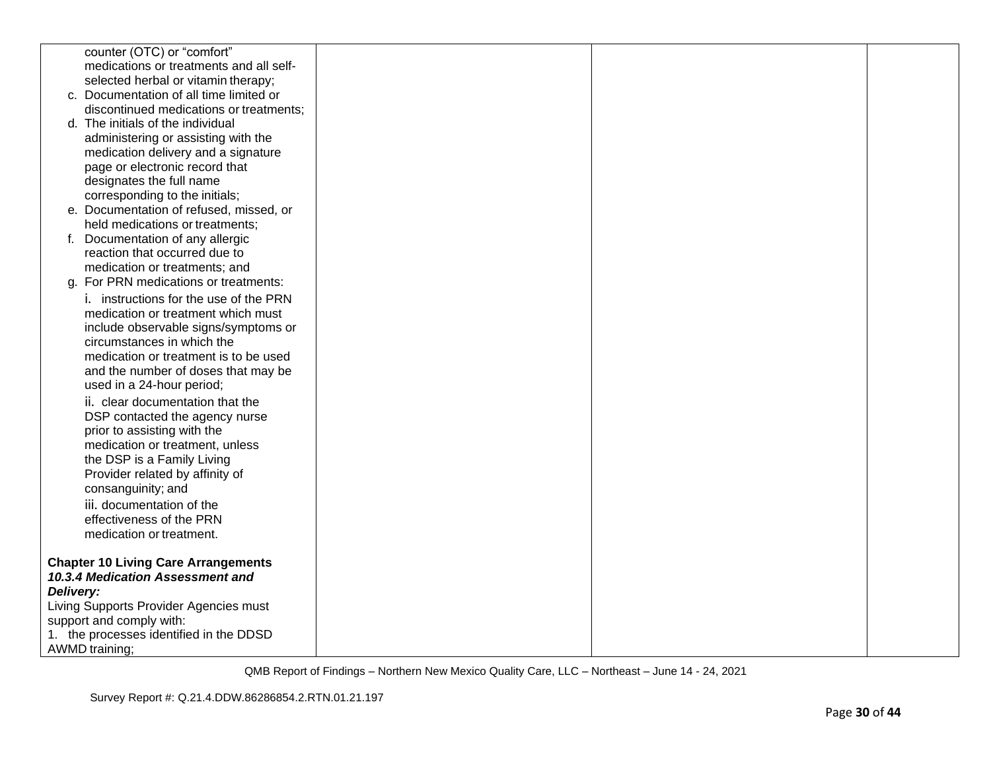|           | counter (OTC) or "comfort"                                 |  |  |
|-----------|------------------------------------------------------------|--|--|
|           | medications or treatments and all self-                    |  |  |
|           | selected herbal or vitamin therapy;                        |  |  |
|           | c. Documentation of all time limited or                    |  |  |
|           | discontinued medications or treatments;                    |  |  |
|           | d. The initials of the individual                          |  |  |
|           | administering or assisting with the                        |  |  |
|           | medication delivery and a signature                        |  |  |
|           | page or electronic record that                             |  |  |
|           | designates the full name<br>corresponding to the initials; |  |  |
|           | e. Documentation of refused, missed, or                    |  |  |
|           | held medications or treatments;                            |  |  |
|           | Documentation of any allergic                              |  |  |
|           | reaction that occurred due to                              |  |  |
|           | medication or treatments; and                              |  |  |
|           | g. For PRN medications or treatments:                      |  |  |
|           | i. instructions for the use of the PRN                     |  |  |
|           | medication or treatment which must                         |  |  |
|           | include observable signs/symptoms or                       |  |  |
|           | circumstances in which the                                 |  |  |
|           | medication or treatment is to be used                      |  |  |
|           | and the number of doses that may be                        |  |  |
|           | used in a 24-hour period;                                  |  |  |
|           | ii. clear documentation that the                           |  |  |
|           | DSP contacted the agency nurse                             |  |  |
|           | prior to assisting with the                                |  |  |
|           | medication or treatment, unless                            |  |  |
|           | the DSP is a Family Living                                 |  |  |
|           | Provider related by affinity of                            |  |  |
|           | consanguinity; and                                         |  |  |
|           | iii. documentation of the                                  |  |  |
|           | effectiveness of the PRN                                   |  |  |
|           | medication or treatment.                                   |  |  |
|           |                                                            |  |  |
|           | <b>Chapter 10 Living Care Arrangements</b>                 |  |  |
|           | 10.3.4 Medication Assessment and                           |  |  |
| Delivery: |                                                            |  |  |
|           | Living Supports Provider Agencies must                     |  |  |
|           | support and comply with:                                   |  |  |
|           | 1. the processes identified in the DDSD                    |  |  |
|           | <b>AWMD</b> training;                                      |  |  |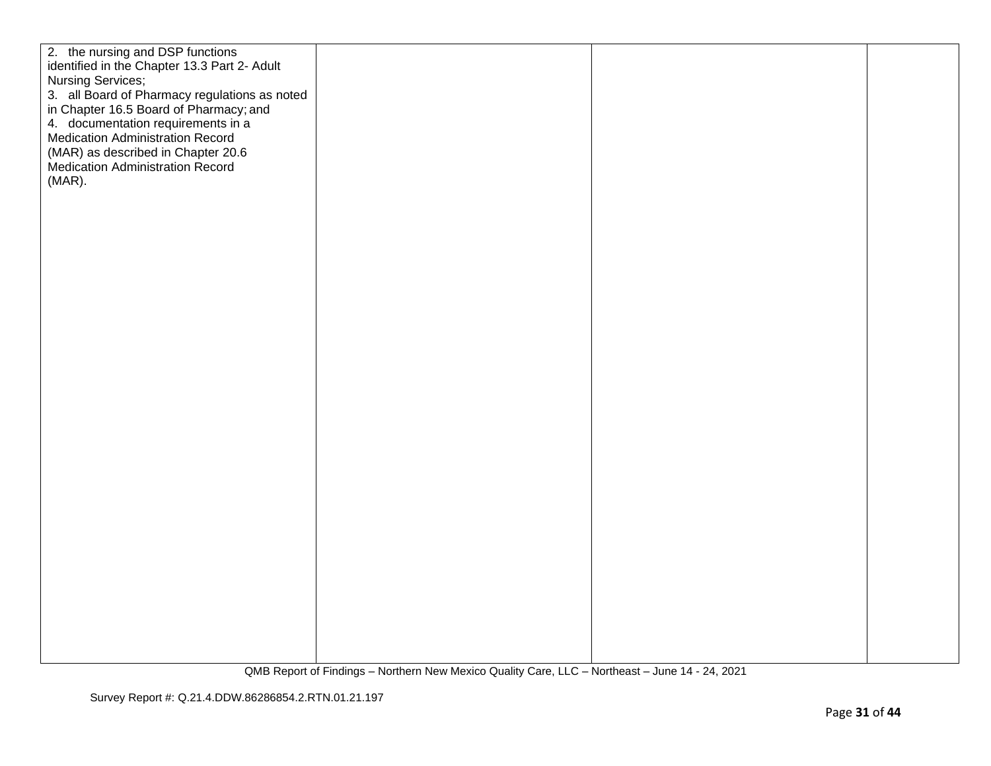| 2. the nursing and DSP functions<br>identified in the Chapter 13.3 Part 2- Adult<br>Nursing Services;<br>3. all Board of Pharmacy regulations as noted<br>in Chapter 16.5 Board of Pharmacy; and<br>4. documentation requirements in a<br><b>Medication Administration Record</b><br>(MAR) as described in Chapter 20.6<br>Medication Administration Record<br>(MAR). |  |  |
|-----------------------------------------------------------------------------------------------------------------------------------------------------------------------------------------------------------------------------------------------------------------------------------------------------------------------------------------------------------------------|--|--|
|                                                                                                                                                                                                                                                                                                                                                                       |  |  |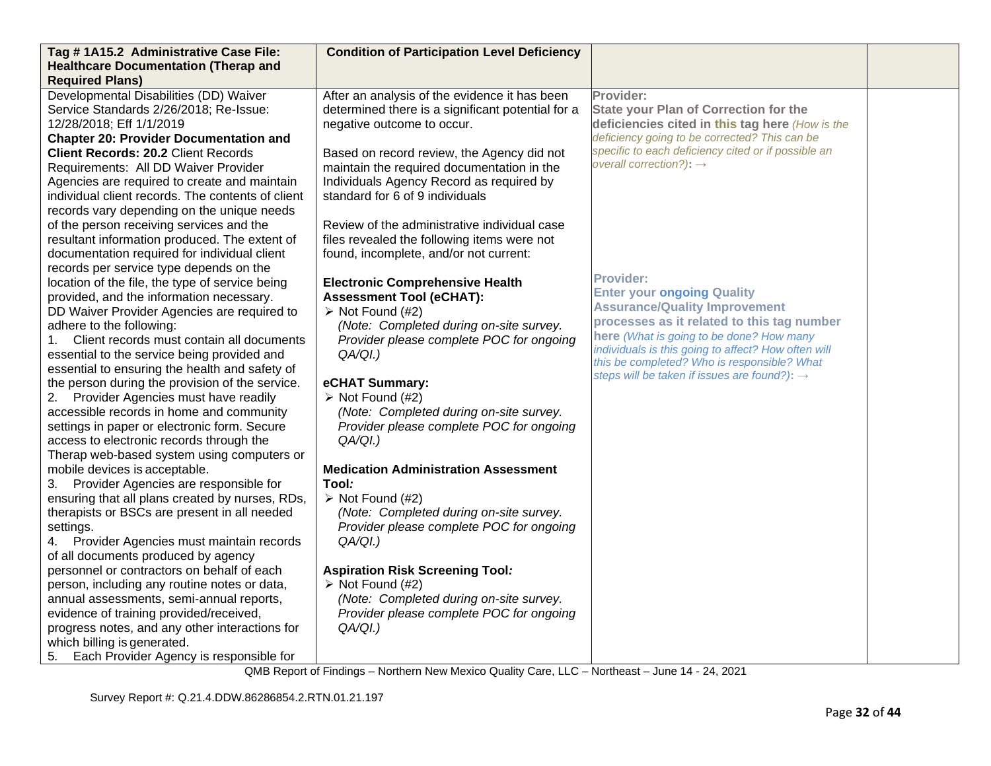| Tag #1A15.2 Administrative Case File:                                       | <b>Condition of Participation Level Deficiency</b> |                                                          |  |
|-----------------------------------------------------------------------------|----------------------------------------------------|----------------------------------------------------------|--|
| <b>Healthcare Documentation (Therap and</b>                                 |                                                    |                                                          |  |
| <b>Required Plans)</b>                                                      |                                                    |                                                          |  |
| Developmental Disabilities (DD) Waiver                                      | After an analysis of the evidence it has been      | Provider:                                                |  |
| Service Standards 2/26/2018; Re-Issue:                                      | determined there is a significant potential for a  | <b>State your Plan of Correction for the</b>             |  |
| 12/28/2018; Eff 1/1/2019                                                    | negative outcome to occur.                         | deficiencies cited in this tag here (How is the          |  |
| <b>Chapter 20: Provider Documentation and</b>                               |                                                    | deficiency going to be corrected? This can be            |  |
| <b>Client Records: 20.2 Client Records</b>                                  | Based on record review, the Agency did not         | specific to each deficiency cited or if possible an      |  |
| Requirements: All DD Waiver Provider                                        | maintain the required documentation in the         | overall correction?): $\rightarrow$                      |  |
| Agencies are required to create and maintain                                | Individuals Agency Record as required by           |                                                          |  |
| individual client records. The contents of client                           | standard for 6 of 9 individuals                    |                                                          |  |
| records vary depending on the unique needs                                  |                                                    |                                                          |  |
| of the person receiving services and the                                    | Review of the administrative individual case       |                                                          |  |
| resultant information produced. The extent of                               | files revealed the following items were not        |                                                          |  |
| documentation required for individual client                                | found, incomplete, and/or not current:             |                                                          |  |
| records per service type depends on the                                     |                                                    |                                                          |  |
| location of the file, the type of service being                             | <b>Electronic Comprehensive Health</b>             | <b>Provider:</b><br><b>Enter your ongoing Quality</b>    |  |
| provided, and the information necessary.                                    | <b>Assessment Tool (eCHAT):</b>                    | <b>Assurance/Quality Improvement</b>                     |  |
| DD Waiver Provider Agencies are required to                                 | $\triangleright$ Not Found (#2)                    | processes as it related to this tag number               |  |
| adhere to the following:                                                    | (Note: Completed during on-site survey.            | here (What is going to be done? How many                 |  |
| Client records must contain all documents                                   | Provider please complete POC for ongoing           | individuals is this going to affect? How often will      |  |
| essential to the service being provided and                                 | QA/QI.)                                            | this be completed? Who is responsible? What              |  |
| essential to ensuring the health and safety of                              |                                                    | steps will be taken if issues are found?): $\rightarrow$ |  |
| the person during the provision of the service.                             | eCHAT Summary:                                     |                                                          |  |
| 2. Provider Agencies must have readily                                      | $\triangleright$ Not Found (#2)                    |                                                          |  |
| accessible records in home and community                                    | (Note: Completed during on-site survey.            |                                                          |  |
| settings in paper or electronic form. Secure                                | Provider please complete POC for ongoing           |                                                          |  |
| access to electronic records through the                                    | $QA/QI.$ )                                         |                                                          |  |
| Therap web-based system using computers or<br>mobile devices is acceptable. | <b>Medication Administration Assessment</b>        |                                                          |  |
| 3. Provider Agencies are responsible for                                    | Tool:                                              |                                                          |  |
| ensuring that all plans created by nurses, RDs,                             | $\triangleright$ Not Found (#2)                    |                                                          |  |
| therapists or BSCs are present in all needed                                | (Note: Completed during on-site survey.            |                                                          |  |
| settings.                                                                   | Provider please complete POC for ongoing           |                                                          |  |
| Provider Agencies must maintain records                                     | $QA/QI.$ )                                         |                                                          |  |
| of all documents produced by agency                                         |                                                    |                                                          |  |
| personnel or contractors on behalf of each                                  | <b>Aspiration Risk Screening Tool:</b>             |                                                          |  |
| person, including any routine notes or data,                                | $\triangleright$ Not Found (#2)                    |                                                          |  |
| annual assessments, semi-annual reports,                                    | (Note: Completed during on-site survey.            |                                                          |  |
| evidence of training provided/received,                                     | Provider please complete POC for ongoing           |                                                          |  |
| progress notes, and any other interactions for                              | QA/QI.)                                            |                                                          |  |
| which billing is generated.                                                 |                                                    |                                                          |  |
| Each Provider Agency is responsible for                                     |                                                    |                                                          |  |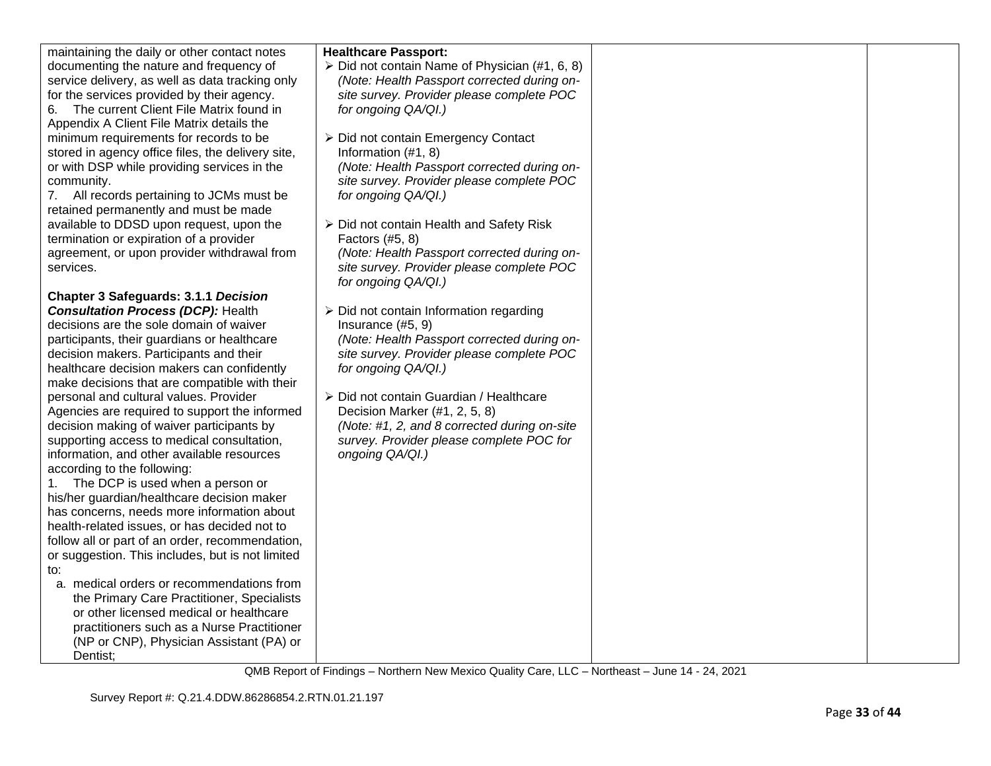| maintaining the daily or other contact notes                                             | <b>Healthcare Passport:</b>                                 |  |
|------------------------------------------------------------------------------------------|-------------------------------------------------------------|--|
| documenting the nature and frequency of                                                  | > Did not contain Name of Physician (#1, 6, 8)              |  |
| service delivery, as well as data tracking only                                          | (Note: Health Passport corrected during on-                 |  |
| for the services provided by their agency.                                               | site survey. Provider please complete POC                   |  |
| The current Client File Matrix found in<br>6.                                            | for ongoing QA/QI.)                                         |  |
| Appendix A Client File Matrix details the                                                |                                                             |  |
| minimum requirements for records to be                                                   | > Did not contain Emergency Contact                         |  |
| stored in agency office files, the delivery site,                                        | Information (#1, 8)                                         |  |
| or with DSP while providing services in the                                              | (Note: Health Passport corrected during on-                 |  |
| community.                                                                               | site survey. Provider please complete POC                   |  |
| 7. All records pertaining to JCMs must be                                                | for ongoing QA/QI.)                                         |  |
| retained permanently and must be made                                                    |                                                             |  |
| available to DDSD upon request, upon the                                                 | ▶ Did not contain Health and Safety Risk                    |  |
| termination or expiration of a provider                                                  | Factors (#5, 8)                                             |  |
| agreement, or upon provider withdrawal from                                              | (Note: Health Passport corrected during on-                 |  |
| services.                                                                                | site survey. Provider please complete POC                   |  |
|                                                                                          | for ongoing QA/QI.)                                         |  |
| <b>Chapter 3 Safeguards: 3.1.1 Decision</b>                                              |                                                             |  |
| <b>Consultation Process (DCP): Health</b>                                                | $\triangleright$ Did not contain Information regarding      |  |
| decisions are the sole domain of waiver                                                  | Insurance (#5, 9)                                           |  |
| participants, their guardians or healthcare                                              | (Note: Health Passport corrected during on-                 |  |
| decision makers. Participants and their                                                  | site survey. Provider please complete POC                   |  |
| healthcare decision makers can confidently                                               | for ongoing QA/QI.)                                         |  |
| make decisions that are compatible with their                                            |                                                             |  |
| personal and cultural values. Provider                                                   | > Did not contain Guardian / Healthcare                     |  |
| Agencies are required to support the informed                                            | Decision Marker (#1, 2, 5, 8)                               |  |
| decision making of waiver participants by                                                | (Note: #1, 2, and 8 corrected during on-site                |  |
| supporting access to medical consultation,<br>information, and other available resources | survey. Provider please complete POC for<br>ongoing QA/QI.) |  |
| according to the following:                                                              |                                                             |  |
| The DCP is used when a person or                                                         |                                                             |  |
| 1.<br>his/her guardian/healthcare decision maker                                         |                                                             |  |
| has concerns, needs more information about                                               |                                                             |  |
| health-related issues, or has decided not to                                             |                                                             |  |
| follow all or part of an order, recommendation,                                          |                                                             |  |
| or suggestion. This includes, but is not limited                                         |                                                             |  |
| to:                                                                                      |                                                             |  |
| a. medical orders or recommendations from                                                |                                                             |  |
| the Primary Care Practitioner, Specialists                                               |                                                             |  |
| or other licensed medical or healthcare                                                  |                                                             |  |
| practitioners such as a Nurse Practitioner                                               |                                                             |  |
| (NP or CNP), Physician Assistant (PA) or                                                 |                                                             |  |
| Dentist;                                                                                 |                                                             |  |
|                                                                                          |                                                             |  |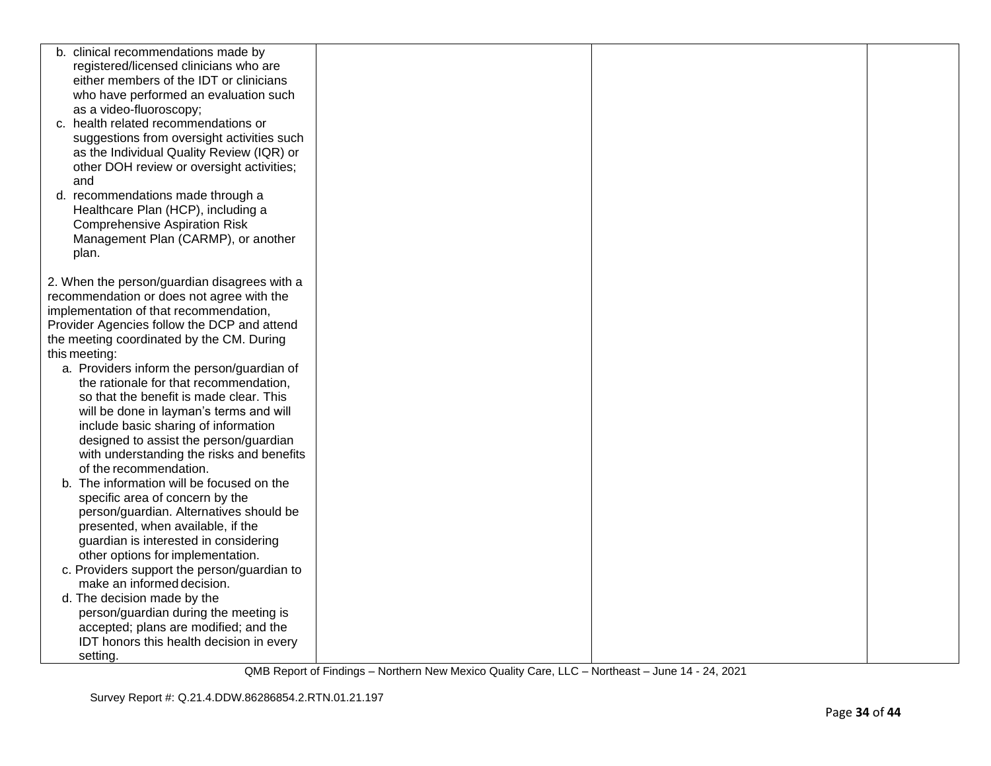| b. clinical recommendations made by          |  |  |
|----------------------------------------------|--|--|
| registered/licensed clinicians who are       |  |  |
| either members of the IDT or clinicians      |  |  |
| who have performed an evaluation such        |  |  |
| as a video-fluoroscopy;                      |  |  |
| c. health related recommendations or         |  |  |
| suggestions from oversight activities such   |  |  |
| as the Individual Quality Review (IQR) or    |  |  |
| other DOH review or oversight activities;    |  |  |
| and                                          |  |  |
| d. recommendations made through a            |  |  |
| Healthcare Plan (HCP), including a           |  |  |
| <b>Comprehensive Aspiration Risk</b>         |  |  |
| Management Plan (CARMP), or another          |  |  |
| plan.                                        |  |  |
|                                              |  |  |
| 2. When the person/guardian disagrees with a |  |  |
| recommendation or does not agree with the    |  |  |
| implementation of that recommendation,       |  |  |
| Provider Agencies follow the DCP and attend  |  |  |
| the meeting coordinated by the CM. During    |  |  |
| this meeting:                                |  |  |
| a. Providers inform the person/guardian of   |  |  |
| the rationale for that recommendation,       |  |  |
| so that the benefit is made clear. This      |  |  |
| will be done in layman's terms and will      |  |  |
| include basic sharing of information         |  |  |
| designed to assist the person/guardian       |  |  |
| with understanding the risks and benefits    |  |  |
| of the recommendation.                       |  |  |
| The information will be focused on the<br>b. |  |  |
| specific area of concern by the              |  |  |
| person/guardian. Alternatives should be      |  |  |
| presented, when available, if the            |  |  |
| guardian is interested in considering        |  |  |
| other options for implementation.            |  |  |
| c. Providers support the person/guardian to  |  |  |
| make an informed decision.                   |  |  |
| d. The decision made by the                  |  |  |
| person/guardian during the meeting is        |  |  |
| accepted; plans are modified; and the        |  |  |
| IDT honors this health decision in every     |  |  |
| setting.                                     |  |  |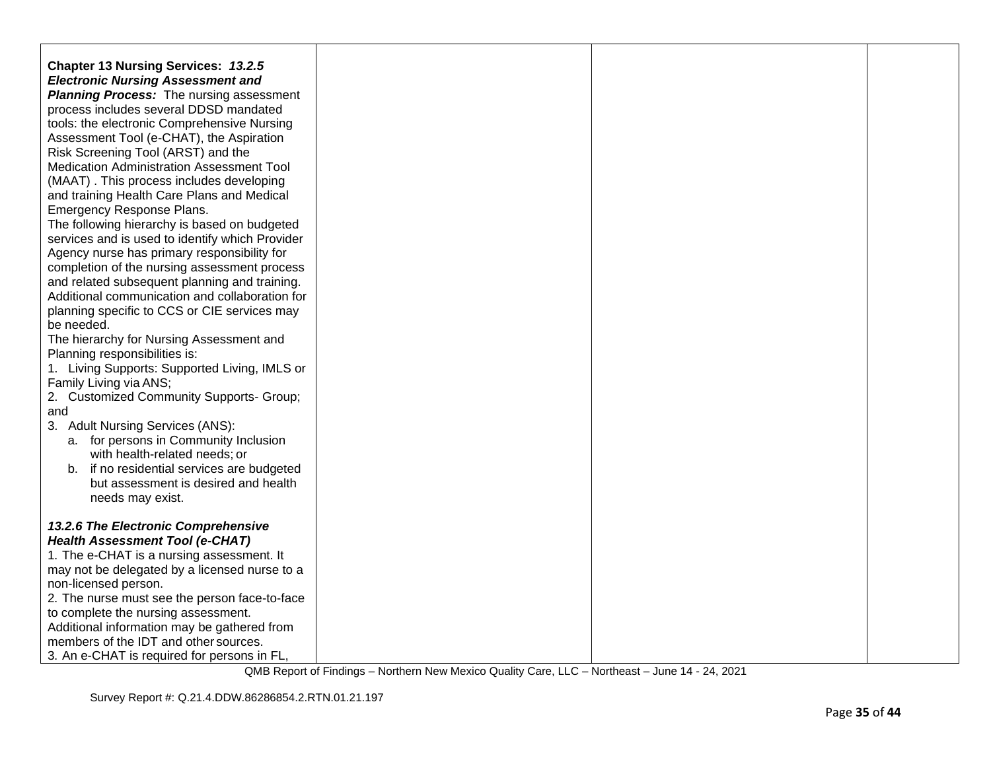| Chapter 13 Nursing Services: 13.2.5<br><b>Electronic Nursing Assessment and</b> |  |  |
|---------------------------------------------------------------------------------|--|--|
| <b>Planning Process:</b> The nursing assessment                                 |  |  |
| process includes several DDSD mandated                                          |  |  |
| tools: the electronic Comprehensive Nursing                                     |  |  |
| Assessment Tool (e-CHAT), the Aspiration                                        |  |  |
| Risk Screening Tool (ARST) and the                                              |  |  |
| Medication Administration Assessment Tool                                       |  |  |
| (MAAT). This process includes developing                                        |  |  |
| and training Health Care Plans and Medical                                      |  |  |
| Emergency Response Plans.                                                       |  |  |
| The following hierarchy is based on budgeted                                    |  |  |
| services and is used to identify which Provider                                 |  |  |
| Agency nurse has primary responsibility for                                     |  |  |
| completion of the nursing assessment process                                    |  |  |
| and related subsequent planning and training.                                   |  |  |
| Additional communication and collaboration for                                  |  |  |
| planning specific to CCS or CIE services may                                    |  |  |
| be needed.                                                                      |  |  |
| The hierarchy for Nursing Assessment and                                        |  |  |
| Planning responsibilities is:                                                   |  |  |
| 1. Living Supports: Supported Living, IMLS or                                   |  |  |
| Family Living via ANS;                                                          |  |  |
| 2. Customized Community Supports- Group;                                        |  |  |
| and                                                                             |  |  |
| 3. Adult Nursing Services (ANS):                                                |  |  |
| a. for persons in Community Inclusion                                           |  |  |
| with health-related needs; or                                                   |  |  |
| b. if no residential services are budgeted                                      |  |  |
| but assessment is desired and health                                            |  |  |
| needs may exist.                                                                |  |  |
|                                                                                 |  |  |
| 13.2.6 The Electronic Comprehensive                                             |  |  |
| <b>Health Assessment Tool (e-CHAT)</b>                                          |  |  |
| 1. The e-CHAT is a nursing assessment. It                                       |  |  |
| may not be delegated by a licensed nurse to a                                   |  |  |
| non-licensed person.                                                            |  |  |
| 2. The nurse must see the person face-to-face                                   |  |  |
| to complete the nursing assessment.                                             |  |  |
| Additional information may be gathered from                                     |  |  |
| members of the IDT and other sources.                                           |  |  |
| 3. An e-CHAT is required for persons in FL,                                     |  |  |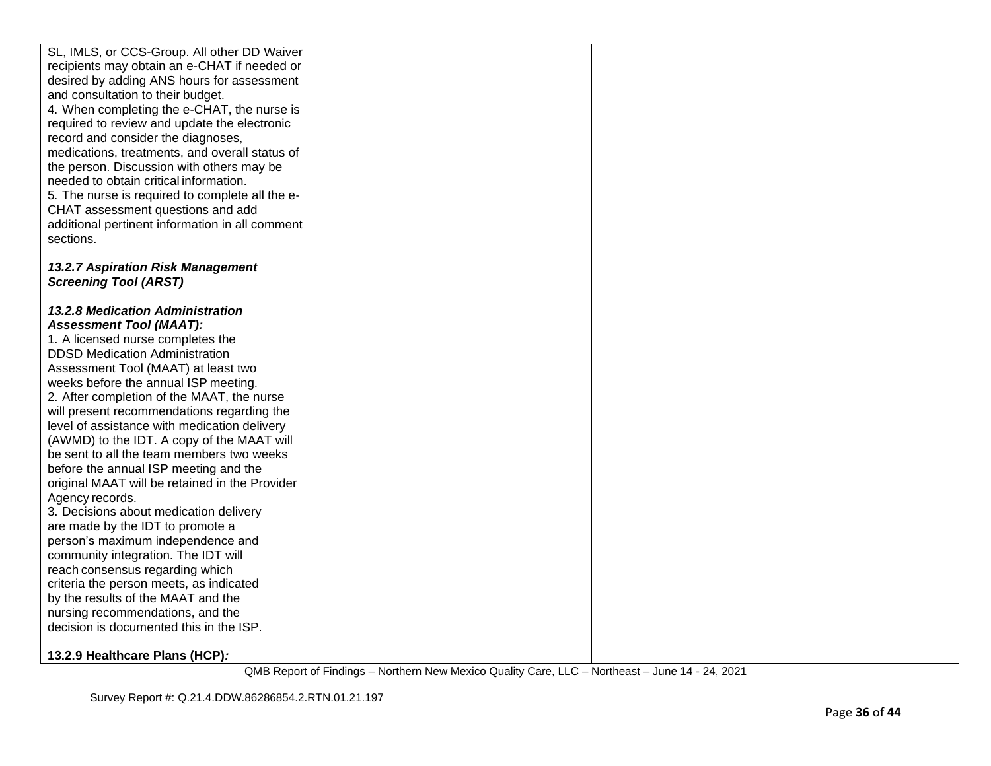| SL, IMLS, or CCS-Group. All other DD Waiver     |  |  |
|-------------------------------------------------|--|--|
| recipients may obtain an e-CHAT if needed or    |  |  |
| desired by adding ANS hours for assessment      |  |  |
| and consultation to their budget.               |  |  |
| 4. When completing the e-CHAT, the nurse is     |  |  |
| required to review and update the electronic    |  |  |
| record and consider the diagnoses,              |  |  |
| medications, treatments, and overall status of  |  |  |
| the person. Discussion with others may be       |  |  |
| needed to obtain critical information.          |  |  |
| 5. The nurse is required to complete all the e- |  |  |
| CHAT assessment questions and add               |  |  |
| additional pertinent information in all comment |  |  |
| sections.                                       |  |  |
|                                                 |  |  |
| 13.2.7 Aspiration Risk Management               |  |  |
| <b>Screening Tool (ARST)</b>                    |  |  |
|                                                 |  |  |
| 13.2.8 Medication Administration                |  |  |
| <b>Assessment Tool (MAAT):</b>                  |  |  |
| 1. A licensed nurse completes the               |  |  |
| <b>DDSD Medication Administration</b>           |  |  |
| Assessment Tool (MAAT) at least two             |  |  |
| weeks before the annual ISP meeting.            |  |  |
| 2. After completion of the MAAT, the nurse      |  |  |
| will present recommendations regarding the      |  |  |
| level of assistance with medication delivery    |  |  |
| (AWMD) to the IDT. A copy of the MAAT will      |  |  |
| be sent to all the team members two weeks       |  |  |
| before the annual ISP meeting and the           |  |  |
| original MAAT will be retained in the Provider  |  |  |
| Agency records.                                 |  |  |
| 3. Decisions about medication delivery          |  |  |
| are made by the IDT to promote a                |  |  |
| person's maximum independence and               |  |  |
| community integration. The IDT will             |  |  |
| reach consensus regarding which                 |  |  |
| criteria the person meets, as indicated         |  |  |
| by the results of the MAAT and the              |  |  |
| nursing recommendations, and the                |  |  |
| decision is documented this in the ISP.         |  |  |
|                                                 |  |  |
| 13.2.9 Healthcare Plans (HCP):                  |  |  |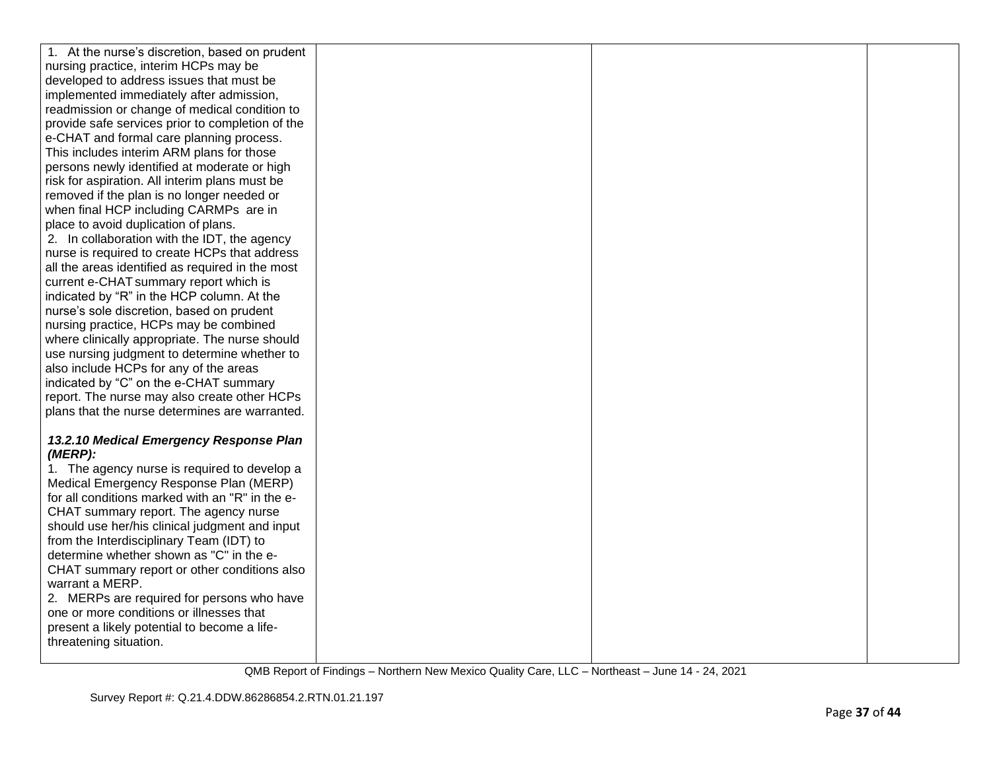| 1. At the nurse's discretion, based on prudent                                            |  |  |
|-------------------------------------------------------------------------------------------|--|--|
| nursing practice, interim HCPs may be                                                     |  |  |
| developed to address issues that must be                                                  |  |  |
| implemented immediately after admission,                                                  |  |  |
| readmission or change of medical condition to                                             |  |  |
| provide safe services prior to completion of the                                          |  |  |
| e-CHAT and formal care planning process.                                                  |  |  |
| This includes interim ARM plans for those                                                 |  |  |
| persons newly identified at moderate or high                                              |  |  |
| risk for aspiration. All interim plans must be                                            |  |  |
| removed if the plan is no longer needed or                                                |  |  |
| when final HCP including CARMPs are in                                                    |  |  |
| place to avoid duplication of plans.                                                      |  |  |
| 2. In collaboration with the IDT, the agency                                              |  |  |
| nurse is required to create HCPs that address                                             |  |  |
| all the areas identified as required in the most                                          |  |  |
| current e-CHAT summary report which is                                                    |  |  |
| indicated by "R" in the HCP column. At the                                                |  |  |
| nurse's sole discretion, based on prudent                                                 |  |  |
| nursing practice, HCPs may be combined                                                    |  |  |
| where clinically appropriate. The nurse should                                            |  |  |
| use nursing judgment to determine whether to                                              |  |  |
| also include HCPs for any of the areas                                                    |  |  |
| indicated by "C" on the e-CHAT summary                                                    |  |  |
| report. The nurse may also create other HCPs                                              |  |  |
| plans that the nurse determines are warranted.                                            |  |  |
|                                                                                           |  |  |
| 13.2.10 Medical Emergency Response Plan                                                   |  |  |
| (MERP):                                                                                   |  |  |
| 1. The agency nurse is required to develop a                                              |  |  |
| Medical Emergency Response Plan (MERP)<br>for all conditions marked with an "R" in the e- |  |  |
| CHAT summary report. The agency nurse                                                     |  |  |
| should use her/his clinical judgment and input                                            |  |  |
| from the Interdisciplinary Team (IDT) to                                                  |  |  |
| determine whether shown as "C" in the e-                                                  |  |  |
| CHAT summary report or other conditions also                                              |  |  |
| warrant a MERP.                                                                           |  |  |
| 2. MERPs are required for persons who have                                                |  |  |
| one or more conditions or illnesses that                                                  |  |  |
| present a likely potential to become a life-                                              |  |  |
| threatening situation.                                                                    |  |  |
|                                                                                           |  |  |
|                                                                                           |  |  |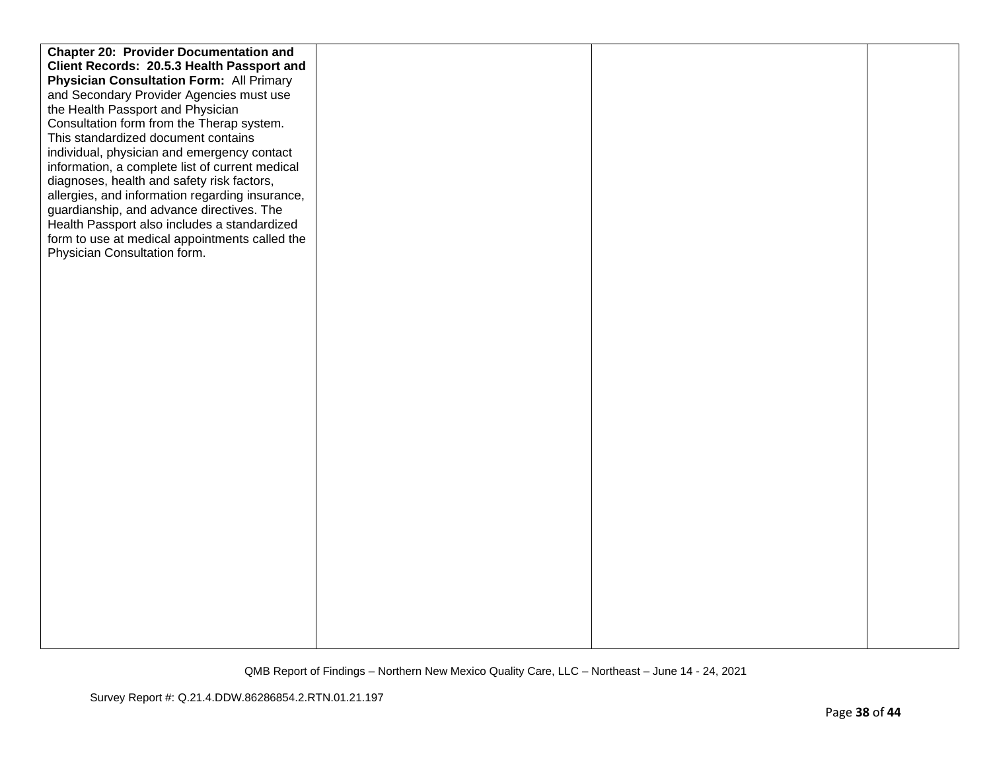| <b>Chapter 20: Provider Documentation and</b>   |  |  |
|-------------------------------------------------|--|--|
| Client Records: 20.5.3 Health Passport and      |  |  |
| <b>Physician Consultation Form: All Primary</b> |  |  |
| and Secondary Provider Agencies must use        |  |  |
| the Health Passport and Physician               |  |  |
| Consultation form from the Therap system.       |  |  |
| This standardized document contains             |  |  |
| individual, physician and emergency contact     |  |  |
| information, a complete list of current medical |  |  |
| diagnoses, health and safety risk factors,      |  |  |
| allergies, and information regarding insurance, |  |  |
| guardianship, and advance directives. The       |  |  |
| Health Passport also includes a standardized    |  |  |
| form to use at medical appointments called the  |  |  |
| Physician Consultation form.                    |  |  |
|                                                 |  |  |
|                                                 |  |  |
|                                                 |  |  |
|                                                 |  |  |
|                                                 |  |  |
|                                                 |  |  |
|                                                 |  |  |
|                                                 |  |  |
|                                                 |  |  |
|                                                 |  |  |
|                                                 |  |  |
|                                                 |  |  |
|                                                 |  |  |
|                                                 |  |  |
|                                                 |  |  |
|                                                 |  |  |
|                                                 |  |  |
|                                                 |  |  |
|                                                 |  |  |
|                                                 |  |  |
|                                                 |  |  |
|                                                 |  |  |
|                                                 |  |  |
|                                                 |  |  |
|                                                 |  |  |
|                                                 |  |  |
|                                                 |  |  |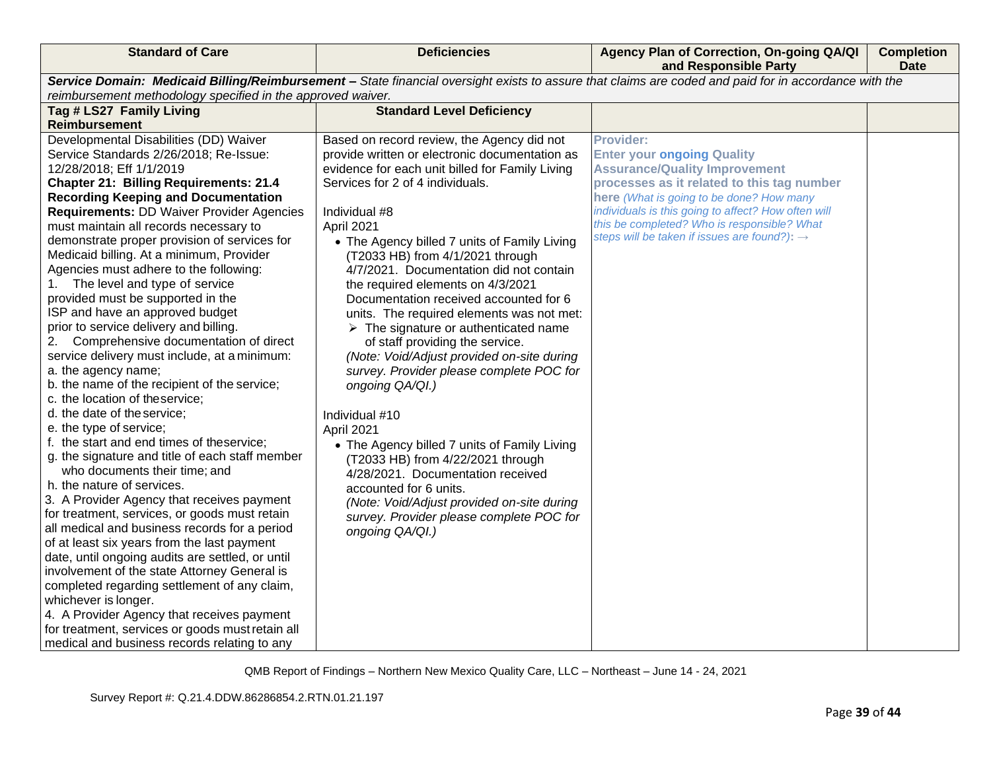| <b>Standard of Care</b>                                             | <b>Deficiencies</b>                                  | Agency Plan of Correction, On-going QA/QI<br>and Responsible Party                                                                                    | <b>Completion</b><br><b>Date</b> |
|---------------------------------------------------------------------|------------------------------------------------------|-------------------------------------------------------------------------------------------------------------------------------------------------------|----------------------------------|
|                                                                     |                                                      | Service Domain: Medicaid Billing/Reimbursement - State financial oversight exists to assure that claims are coded and paid for in accordance with the |                                  |
| reimbursement methodology specified in the approved waiver.         | <b>Standard Level Deficiency</b>                     |                                                                                                                                                       |                                  |
| Tag # LS27 Family Living<br><b>Reimbursement</b>                    |                                                      |                                                                                                                                                       |                                  |
| Developmental Disabilities (DD) Waiver                              | Based on record review, the Agency did not           | <b>Provider:</b>                                                                                                                                      |                                  |
| Service Standards 2/26/2018; Re-Issue:                              | provide written or electronic documentation as       | <b>Enter your ongoing Quality</b>                                                                                                                     |                                  |
| 12/28/2018; Eff 1/1/2019                                            | evidence for each unit billed for Family Living      | <b>Assurance/Quality Improvement</b>                                                                                                                  |                                  |
| <b>Chapter 21: Billing Requirements: 21.4</b>                       | Services for 2 of 4 individuals.                     | processes as it related to this tag number                                                                                                            |                                  |
| <b>Recording Keeping and Documentation</b>                          |                                                      | here (What is going to be done? How many                                                                                                              |                                  |
| <b>Requirements: DD Waiver Provider Agencies</b>                    | Individual #8                                        | individuals is this going to affect? How often will                                                                                                   |                                  |
| must maintain all records necessary to                              | April 2021                                           | this be completed? Who is responsible? What                                                                                                           |                                  |
| demonstrate proper provision of services for                        | • The Agency billed 7 units of Family Living         | steps will be taken if issues are found?): $\rightarrow$                                                                                              |                                  |
| Medicaid billing. At a minimum, Provider                            | (T2033 HB) from 4/1/2021 through                     |                                                                                                                                                       |                                  |
| Agencies must adhere to the following:                              | 4/7/2021. Documentation did not contain              |                                                                                                                                                       |                                  |
| 1. The level and type of service                                    | the required elements on 4/3/2021                    |                                                                                                                                                       |                                  |
| provided must be supported in the                                   | Documentation received accounted for 6               |                                                                                                                                                       |                                  |
| ISP and have an approved budget                                     | units. The required elements was not met:            |                                                                                                                                                       |                                  |
| prior to service delivery and billing.                              | $\triangleright$ The signature or authenticated name |                                                                                                                                                       |                                  |
| 2. Comprehensive documentation of direct                            | of staff providing the service.                      |                                                                                                                                                       |                                  |
| service delivery must include, at a minimum:                        | (Note: Void/Adjust provided on-site during           |                                                                                                                                                       |                                  |
| a. the agency name;<br>b. the name of the recipient of the service; | survey. Provider please complete POC for             |                                                                                                                                                       |                                  |
| c. the location of theservice;                                      | ongoing QA/QI.)                                      |                                                                                                                                                       |                                  |
| d. the date of the service;                                         | Individual #10                                       |                                                                                                                                                       |                                  |
| e. the type of service;                                             | April 2021                                           |                                                                                                                                                       |                                  |
| f. the start and end times of theservice;                           | • The Agency billed 7 units of Family Living         |                                                                                                                                                       |                                  |
| g. the signature and title of each staff member                     | (T2033 HB) from 4/22/2021 through                    |                                                                                                                                                       |                                  |
| who documents their time; and                                       | 4/28/2021. Documentation received                    |                                                                                                                                                       |                                  |
| h. the nature of services.                                          | accounted for 6 units.                               |                                                                                                                                                       |                                  |
| 3. A Provider Agency that receives payment                          | (Note: Void/Adjust provided on-site during           |                                                                                                                                                       |                                  |
| for treatment, services, or goods must retain                       | survey. Provider please complete POC for             |                                                                                                                                                       |                                  |
| all medical and business records for a period                       | ongoing QA/QI.)                                      |                                                                                                                                                       |                                  |
| of at least six years from the last payment                         |                                                      |                                                                                                                                                       |                                  |
| date, until ongoing audits are settled, or until                    |                                                      |                                                                                                                                                       |                                  |
| involvement of the state Attorney General is                        |                                                      |                                                                                                                                                       |                                  |
| completed regarding settlement of any claim,                        |                                                      |                                                                                                                                                       |                                  |
| whichever is longer.                                                |                                                      |                                                                                                                                                       |                                  |
| 4. A Provider Agency that receives payment                          |                                                      |                                                                                                                                                       |                                  |
| for treatment, services or goods must retain all                    |                                                      |                                                                                                                                                       |                                  |
| medical and business records relating to any                        |                                                      |                                                                                                                                                       |                                  |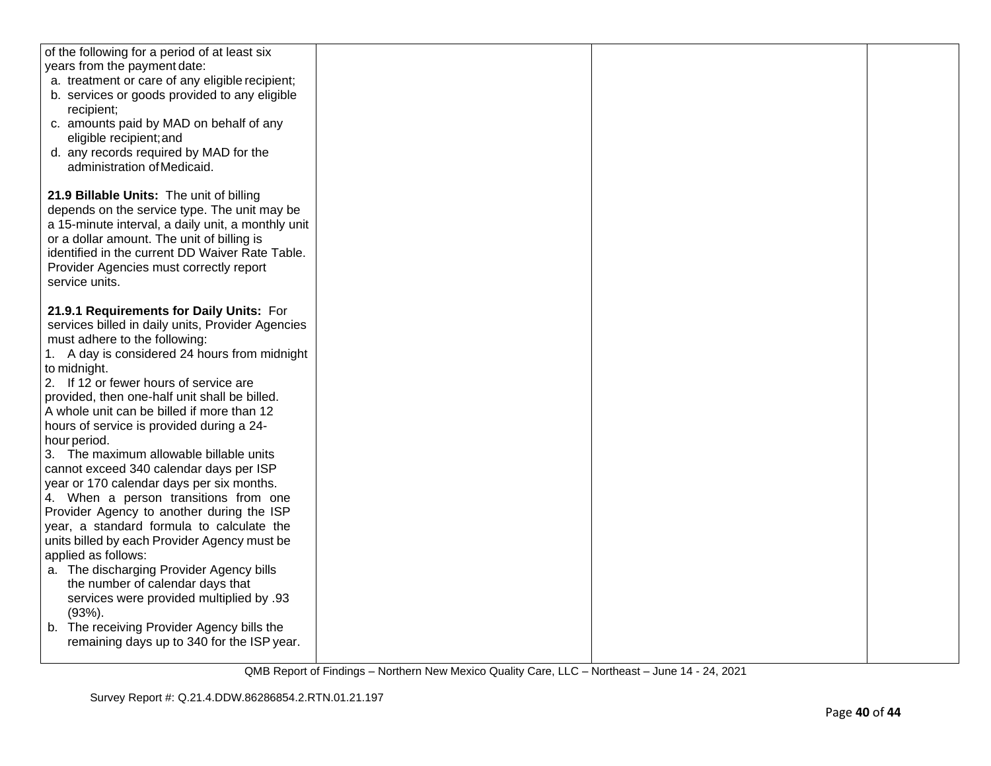| of the following for a period of at least six<br>years from the payment date:<br>a. treatment or care of any eligible recipient;<br>b. services or goods provided to any eligible<br>recipient;<br>c. amounts paid by MAD on behalf of any<br>eligible recipient; and<br>d. any records required by MAD for the<br>administration of Medicaid.                                                                                                                                                                                                                                                                                                                                                                                                                                                                                                                                                                                                                                          |  |  |
|-----------------------------------------------------------------------------------------------------------------------------------------------------------------------------------------------------------------------------------------------------------------------------------------------------------------------------------------------------------------------------------------------------------------------------------------------------------------------------------------------------------------------------------------------------------------------------------------------------------------------------------------------------------------------------------------------------------------------------------------------------------------------------------------------------------------------------------------------------------------------------------------------------------------------------------------------------------------------------------------|--|--|
| 21.9 Billable Units: The unit of billing<br>depends on the service type. The unit may be<br>a 15-minute interval, a daily unit, a monthly unit<br>or a dollar amount. The unit of billing is<br>identified in the current DD Waiver Rate Table.<br>Provider Agencies must correctly report<br>service units.                                                                                                                                                                                                                                                                                                                                                                                                                                                                                                                                                                                                                                                                            |  |  |
| 21.9.1 Requirements for Daily Units: For<br>services billed in daily units, Provider Agencies<br>must adhere to the following:<br>1. A day is considered 24 hours from midnight<br>to midnight.<br>2. If 12 or fewer hours of service are<br>provided, then one-half unit shall be billed.<br>A whole unit can be billed if more than 12<br>hours of service is provided during a 24-<br>hour period.<br>3. The maximum allowable billable units<br>cannot exceed 340 calendar days per ISP<br>year or 170 calendar days per six months.<br>4. When a person transitions from one<br>Provider Agency to another during the ISP<br>year, a standard formula to calculate the<br>units billed by each Provider Agency must be<br>applied as follows:<br>a. The discharging Provider Agency bills<br>the number of calendar days that<br>services were provided multiplied by .93<br>$(93%)$ .<br>b. The receiving Provider Agency bills the<br>remaining days up to 340 for the ISP year. |  |  |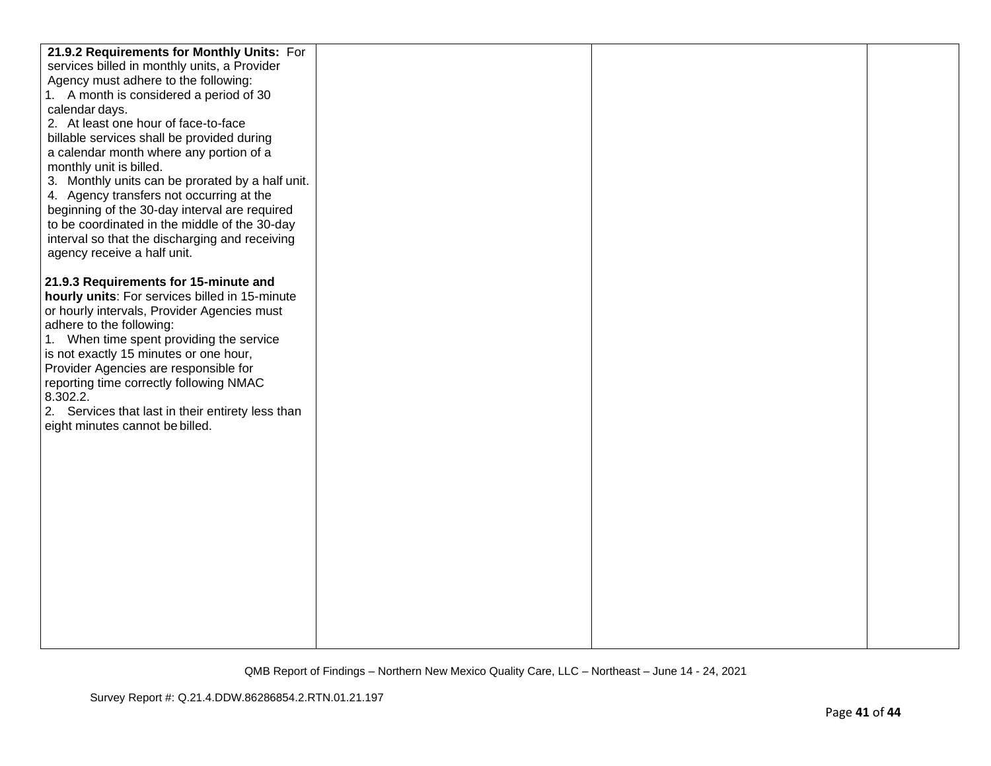| 21.9.2 Requirements for Monthly Units: For                                                      |  |  |
|-------------------------------------------------------------------------------------------------|--|--|
| services billed in monthly units, a Provider                                                    |  |  |
| Agency must adhere to the following:                                                            |  |  |
| 1. A month is considered a period of 30                                                         |  |  |
| calendar days.                                                                                  |  |  |
| 2. At least one hour of face-to-face                                                            |  |  |
| billable services shall be provided during                                                      |  |  |
| a calendar month where any portion of a                                                         |  |  |
| monthly unit is billed.                                                                         |  |  |
| 3. Monthly units can be prorated by a half unit.                                                |  |  |
| 4. Agency transfers not occurring at the                                                        |  |  |
| beginning of the 30-day interval are required                                                   |  |  |
| to be coordinated in the middle of the 30-day<br>interval so that the discharging and receiving |  |  |
| agency receive a half unit.                                                                     |  |  |
|                                                                                                 |  |  |
| 21.9.3 Requirements for 15-minute and                                                           |  |  |
| hourly units: For services billed in 15-minute                                                  |  |  |
| or hourly intervals, Provider Agencies must                                                     |  |  |
| adhere to the following:                                                                        |  |  |
| 1. When time spent providing the service                                                        |  |  |
| is not exactly 15 minutes or one hour,                                                          |  |  |
| Provider Agencies are responsible for                                                           |  |  |
| reporting time correctly following NMAC                                                         |  |  |
| 8.302.2.                                                                                        |  |  |
| 2. Services that last in their entirety less than                                               |  |  |
| eight minutes cannot be billed.                                                                 |  |  |
|                                                                                                 |  |  |
|                                                                                                 |  |  |
|                                                                                                 |  |  |
|                                                                                                 |  |  |
|                                                                                                 |  |  |
|                                                                                                 |  |  |
|                                                                                                 |  |  |
|                                                                                                 |  |  |
|                                                                                                 |  |  |
|                                                                                                 |  |  |
|                                                                                                 |  |  |
|                                                                                                 |  |  |
|                                                                                                 |  |  |
|                                                                                                 |  |  |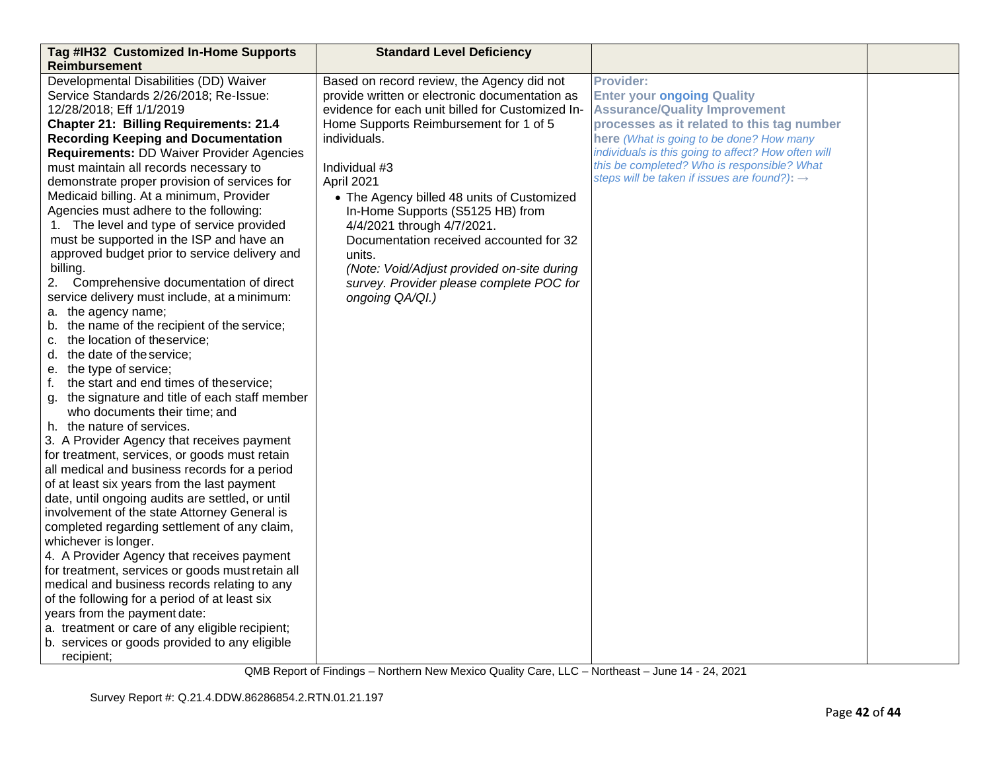| Tag #IH32 Customized In-Home Supports<br>Reimbursement | <b>Standard Level Deficiency</b>                 |                                                          |  |
|--------------------------------------------------------|--------------------------------------------------|----------------------------------------------------------|--|
| Developmental Disabilities (DD) Waiver                 | Based on record review, the Agency did not       | <b>Provider:</b>                                         |  |
| Service Standards 2/26/2018; Re-Issue:                 | provide written or electronic documentation as   | <b>Enter your ongoing Quality</b>                        |  |
| 12/28/2018; Eff 1/1/2019                               | evidence for each unit billed for Customized In- | <b>Assurance/Quality Improvement</b>                     |  |
| <b>Chapter 21: Billing Requirements: 21.4</b>          | Home Supports Reimbursement for 1 of 5           | processes as it related to this tag number               |  |
| <b>Recording Keeping and Documentation</b>             | individuals.                                     | here (What is going to be done? How many                 |  |
| <b>Requirements: DD Waiver Provider Agencies</b>       |                                                  | individuals is this going to affect? How often will      |  |
| must maintain all records necessary to                 | Individual #3                                    | this be completed? Who is responsible? What              |  |
| demonstrate proper provision of services for           | April 2021                                       | steps will be taken if issues are found?): $\rightarrow$ |  |
| Medicaid billing. At a minimum, Provider               | • The Agency billed 48 units of Customized       |                                                          |  |
| Agencies must adhere to the following:                 | In-Home Supports (S5125 HB) from                 |                                                          |  |
| 1. The level and type of service provided              | 4/4/2021 through 4/7/2021.                       |                                                          |  |
| must be supported in the ISP and have an               | Documentation received accounted for 32          |                                                          |  |
| approved budget prior to service delivery and          | units.                                           |                                                          |  |
| billing.                                               | (Note: Void/Adjust provided on-site during       |                                                          |  |
| 2. Comprehensive documentation of direct               | survey. Provider please complete POC for         |                                                          |  |
| service delivery must include, at a minimum:           | ongoing QA/QI.)                                  |                                                          |  |
| a. the agency name;                                    |                                                  |                                                          |  |
| b. the name of the recipient of the service;           |                                                  |                                                          |  |
| c. the location of theservice;                         |                                                  |                                                          |  |
| d. the date of the service;                            |                                                  |                                                          |  |
| e. the type of service;                                |                                                  |                                                          |  |
| the start and end times of theservice;<br>f.           |                                                  |                                                          |  |
| g. the signature and title of each staff member        |                                                  |                                                          |  |
| who documents their time; and                          |                                                  |                                                          |  |
| h. the nature of services.                             |                                                  |                                                          |  |
| 3. A Provider Agency that receives payment             |                                                  |                                                          |  |
| for treatment, services, or goods must retain          |                                                  |                                                          |  |
| all medical and business records for a period          |                                                  |                                                          |  |
| of at least six years from the last payment            |                                                  |                                                          |  |
| date, until ongoing audits are settled, or until       |                                                  |                                                          |  |
| involvement of the state Attorney General is           |                                                  |                                                          |  |
| completed regarding settlement of any claim,           |                                                  |                                                          |  |
| whichever is longer.                                   |                                                  |                                                          |  |
| 4. A Provider Agency that receives payment             |                                                  |                                                          |  |
| for treatment, services or goods must retain all       |                                                  |                                                          |  |
| medical and business records relating to any           |                                                  |                                                          |  |
| of the following for a period of at least six          |                                                  |                                                          |  |
| years from the payment date:                           |                                                  |                                                          |  |
| a. treatment or care of any eligible recipient;        |                                                  |                                                          |  |
| b. services or goods provided to any eligible          |                                                  |                                                          |  |
| recipient;                                             |                                                  |                                                          |  |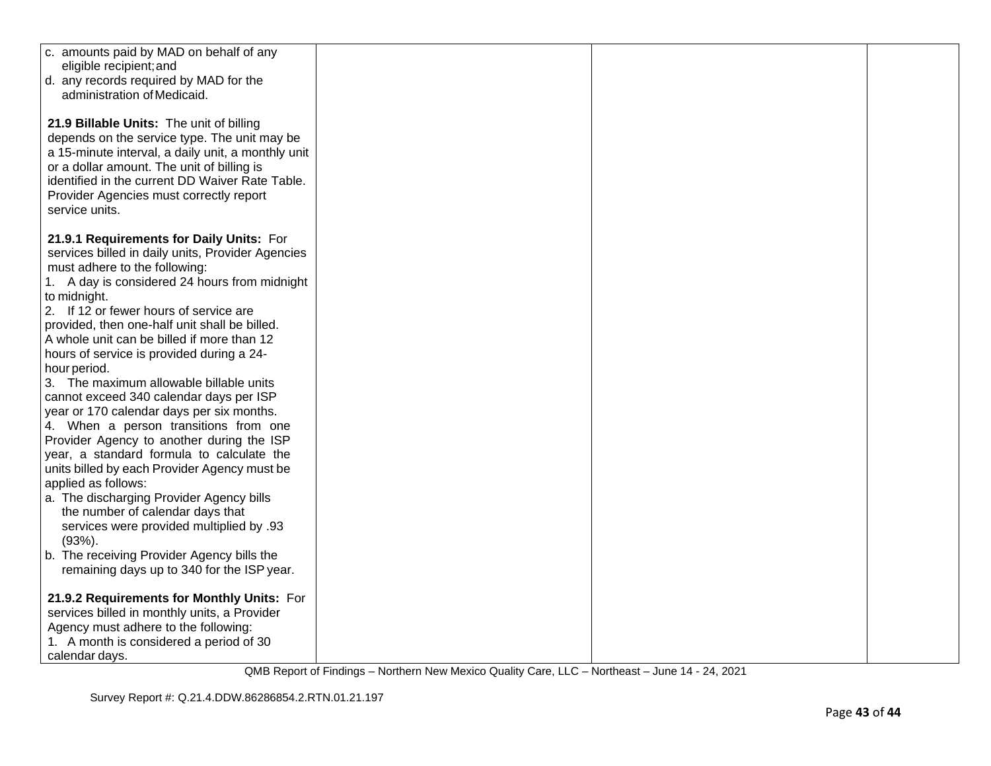| c. amounts paid by MAD on behalf of any            |  |  |
|----------------------------------------------------|--|--|
| eligible recipient; and                            |  |  |
| d. any records required by MAD for the             |  |  |
| administration of Medicaid.                        |  |  |
|                                                    |  |  |
| 21.9 Billable Units: The unit of billing           |  |  |
| depends on the service type. The unit may be       |  |  |
|                                                    |  |  |
| a 15-minute interval, a daily unit, a monthly unit |  |  |
| or a dollar amount. The unit of billing is         |  |  |
| identified in the current DD Waiver Rate Table.    |  |  |
| Provider Agencies must correctly report            |  |  |
| service units.                                     |  |  |
|                                                    |  |  |
| 21.9.1 Requirements for Daily Units: For           |  |  |
| services billed in daily units, Provider Agencies  |  |  |
| must adhere to the following:                      |  |  |
| 1. A day is considered 24 hours from midnight      |  |  |
| to midnight.                                       |  |  |
| 2. If 12 or fewer hours of service are             |  |  |
| provided, then one-half unit shall be billed.      |  |  |
| A whole unit can be billed if more than 12         |  |  |
| hours of service is provided during a 24-          |  |  |
| hour period.                                       |  |  |
| 3. The maximum allowable billable units            |  |  |
| cannot exceed 340 calendar days per ISP            |  |  |
| year or 170 calendar days per six months.          |  |  |
| 4. When a person transitions from one              |  |  |
| Provider Agency to another during the ISP          |  |  |
| year, a standard formula to calculate the          |  |  |
| units billed by each Provider Agency must be       |  |  |
| applied as follows:                                |  |  |
| a. The discharging Provider Agency bills           |  |  |
| the number of calendar days that                   |  |  |
| services were provided multiplied by .93           |  |  |
| $(93%)$ .                                          |  |  |
| b. The receiving Provider Agency bills the         |  |  |
| remaining days up to 340 for the ISP year.         |  |  |
|                                                    |  |  |
| 21.9.2 Requirements for Monthly Units: For         |  |  |
| services billed in monthly units, a Provider       |  |  |
| Agency must adhere to the following:               |  |  |
| 1. A month is considered a period of 30            |  |  |
| calendar days.                                     |  |  |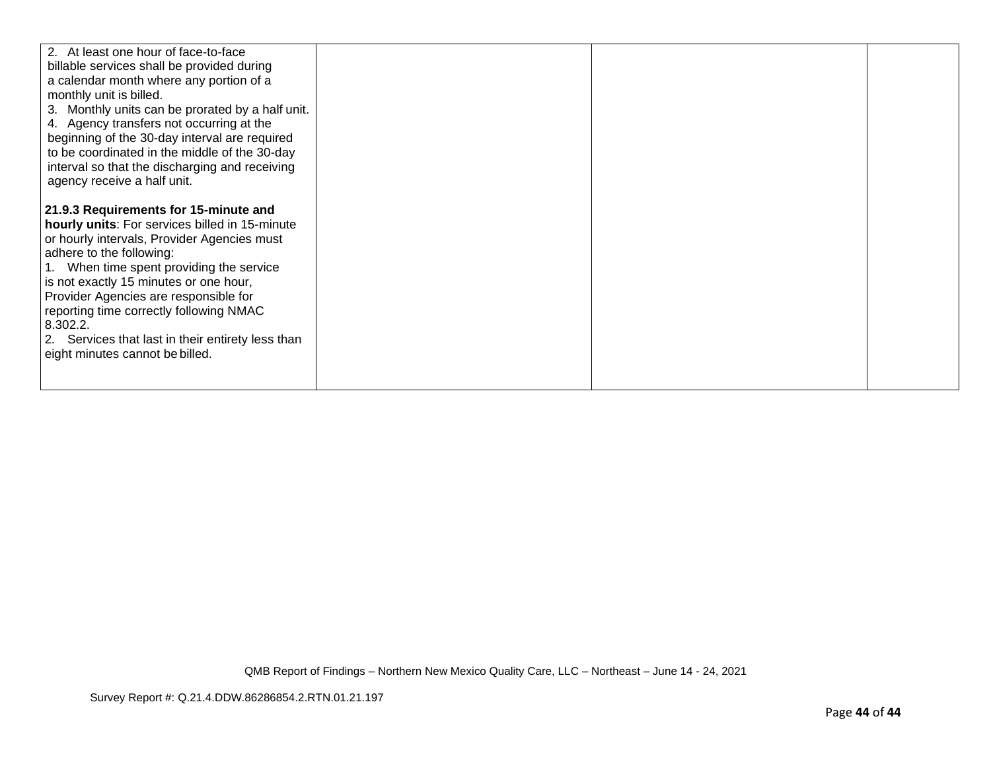| 2. At least one hour of face-to-face<br>billable services shall be provided during<br>a calendar month where any portion of a<br>monthly unit is billed.<br>3. Monthly units can be prorated by a half unit.<br>4. Agency transfers not occurring at the<br>beginning of the 30-day interval are required<br>to be coordinated in the middle of the 30-day<br>interval so that the discharging and receiving<br>agency receive a half unit.      |  |  |
|--------------------------------------------------------------------------------------------------------------------------------------------------------------------------------------------------------------------------------------------------------------------------------------------------------------------------------------------------------------------------------------------------------------------------------------------------|--|--|
| 21.9.3 Requirements for 15-minute and<br>hourly units: For services billed in 15-minute<br>or hourly intervals, Provider Agencies must<br>adhere to the following:<br>1. When time spent providing the service<br>is not exactly 15 minutes or one hour,<br>Provider Agencies are responsible for<br>reporting time correctly following NMAC<br>8.302.2.<br>2. Services that last in their entirety less than<br>eight minutes cannot be billed. |  |  |